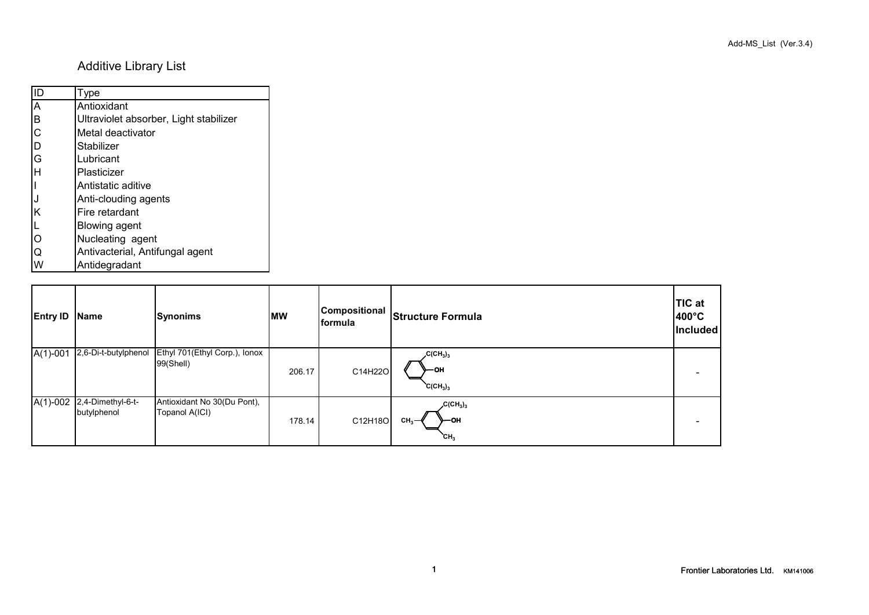## Additive Library List

| ID                      | Type                                   |
|-------------------------|----------------------------------------|
| $\overline{\mathsf{A}}$ | Antioxidant                            |
| İв                      | Ultraviolet absorber, Light stabilizer |
| <b>C</b>                | Metal deactivator                      |
| ID                      | Stabilizer                             |
| G                       | Lubricant                              |
| lн                      | Plasticizer                            |
|                         | Antistatic aditive                     |
| IJ                      | Anti-clouding agents                   |
| Ιĸ                      | Fire retardant                         |
| $\frac{L}{O}$           | <b>Blowing agent</b>                   |
|                         | Nucleating agent                       |
| IQ                      | Antivacterial, Antifungal agent        |
|                         |                                        |

W Antidegradant

| <b>Entry ID</b> | <b>Name</b>                      | <b>Synonims</b>                               | <b>MW</b> | Compositional<br><b>formula</b> | <b>Structure Formula</b>                                 | <b>TIC at</b><br>$400^{\circ}$ C<br>Included |
|-----------------|----------------------------------|-----------------------------------------------|-----------|---------------------------------|----------------------------------------------------------|----------------------------------------------|
| $A(1)-001$      | 2,6-Di-t-butylphenol             | Ethyl 701(Ethyl Corp.), Ionox<br>99(Shell)    | 206.17    | C14H22O                         | $C(CH_3)_3$<br>⊢он<br>$C(CH_3)_3$                        |                                              |
| $A(1)-002$      | 2,4-Dimethyl-6-t-<br>butylphenol | Antioxidant No 30(Du Pont),<br>Topanol A(ICI) | 178.14    | C12H18O                         | $C(CH_3)_3$<br>⊱он<br>CH <sub>3</sub><br>CH <sub>3</sub> |                                              |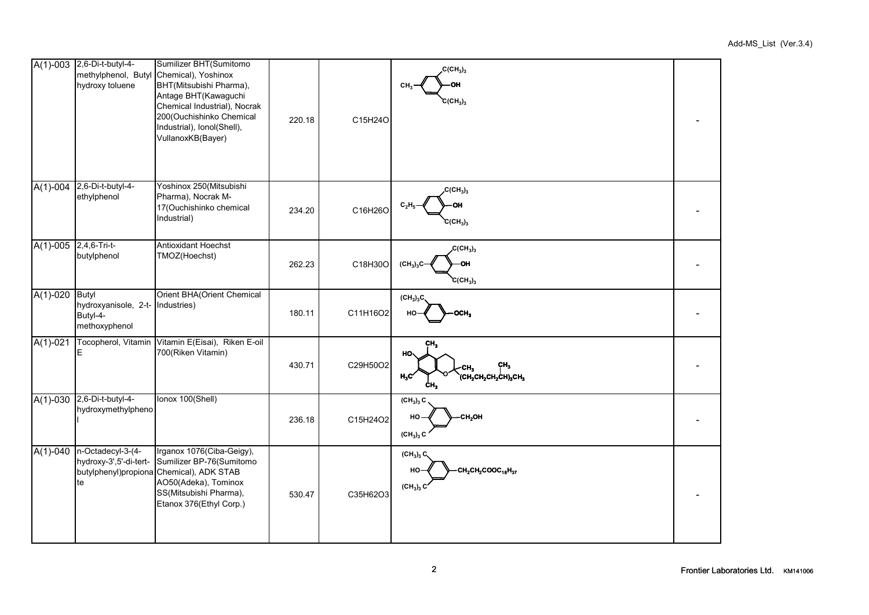|                         | A(1)-003 2,6-Di-t-butyl-4-<br>methylphenol, Butyl<br>hydroxy toluene          | Sumilizer BHT(Sumitomo<br>Chemical), Yoshinox<br>BHT(Mitsubishi Pharma),<br>Antage BHT(Kawaguchi<br>Chemical Industrial), Nocrak<br>200(Ouchishinko Chemical<br>Industrial), Ionol(Shell),<br>VullanoxKB(Bayer) | 220.18 | C15H24O  | $C(CH_3)_3$<br>CH <sub>2</sub><br>OН<br>$C(CH_3)_3$                             |  |
|-------------------------|-------------------------------------------------------------------------------|-----------------------------------------------------------------------------------------------------------------------------------------------------------------------------------------------------------------|--------|----------|---------------------------------------------------------------------------------|--|
| $A(1)-004$              | 2,6-Di-t-butyl-4-<br>ethylphenol                                              | Yoshinox 250(Mitsubishi<br>Pharma), Nocrak M-<br>17(Ouchishinko chemical<br>Industrial)                                                                                                                         | 234.20 | C16H26O  | C(CH <sub>3</sub> ) <sub>3</sub><br>$C_2H_5$<br>OH<br>$C(CH_3)_3$               |  |
| $A(1)-005$ 2,4,6-Tri-t- | butylphenol                                                                   | Antioxidant Hoechst<br>TMOZ(Hoechst)                                                                                                                                                                            | 262.23 | C18H30O  | $C(CH_3)_3$<br>$(CH_3)_3C$<br>OH<br>$C(CH_3)_3$                                 |  |
| $A(1)-020$              | <b>Butyl</b><br>hydroxyanisole, 2-t- Industries)<br>Butyl-4-<br>methoxyphenol | Orient BHA(Orient Chemical                                                                                                                                                                                      | 180.11 | C11H16O2 | (CH <sub>3</sub> ) <sub>3</sub> C<br>OCH <sub>3</sub><br>HO                     |  |
| $A(1)-021$              | Е                                                                             | Tocopherol, Vitamin Vitamin E(Eisai), Riken E-oil<br>700(Riken Vitamin)                                                                                                                                         | 430.71 | C29H50O2 | CH <sub>3</sub><br>HO.<br>CH <sub>3</sub><br>(СН2СН2СН2СН)3СН3<br>$H_3C$<br>ĊН. |  |
| $A(1)-030$              | 2,6-Di-t-butyl-4-<br>hydroxymethylpheno                                       | Ionox 100(Shell)                                                                                                                                                                                                | 236.18 | C15H24O2 | $(CH_3)_3 C$<br>CH <sub>2</sub> OH<br>HO<br>$(CH3)3$ C                          |  |
| $A(1)-040$              | n-Octadecyl-3-(4-<br>hydroxy-3',5'-di-tert-<br>te                             | Irganox 1076(Ciba-Geigy),<br>Sumilizer BP-76(Sumitomo<br>butylphenyl)propiona Chemical), ADK STAB<br>AO50(Adeka), Tominox<br>SS(Mitsubishi Pharma),<br>Etanox 376(Ethyl Corp.)                                  | 530.47 | C35H62O3 | $(CH_3)_3 C$<br>$CH_2CH_2COOC_{18}H_{37}$<br>HO-<br>$(CH3)3$ C                  |  |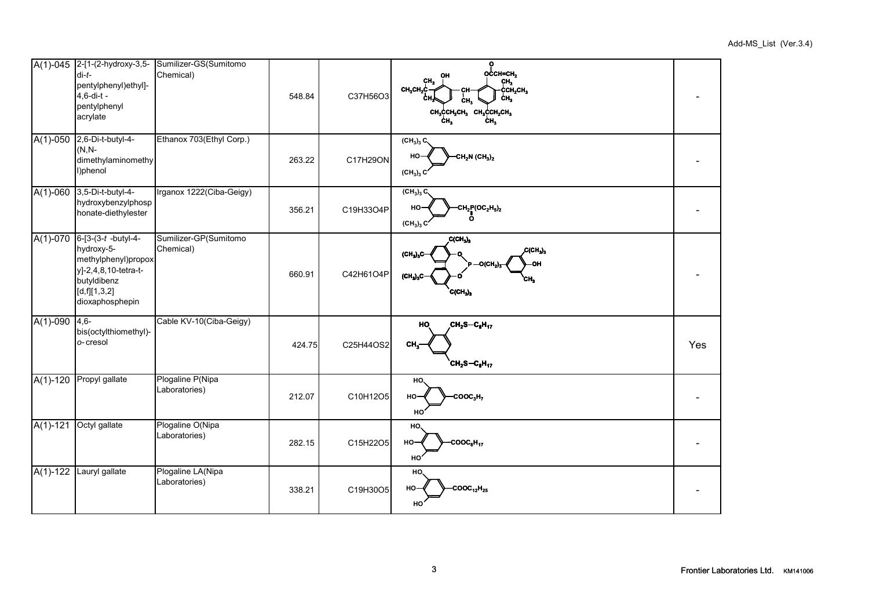|            | $di-t-$<br>pentylphenyl)ethyl]-<br>4,6-di-t -<br>pentylphenyl<br>acrylate                                                             | A(1)-045 2-[1-(2-hydroxy-3,5- Sumilizer-GS(Sumitomo<br>Chemical) | 548.84 | C37H56O3  | $\overline{\text{O}}_{\text{O} \text{CH}=\text{CH}_2}$<br>OН<br>ÇН,<br>сн,<br>ссн,сн,<br>CH <sub>3</sub> CH <sub>2</sub> C<br>CH.<br>ĊН.<br>сн <sub>з</sub> ссн <sub>2</sub> сн <sub>з</sub> сн <sub>з</sub> ссн <sub>2</sub> сн <sub>з</sub><br>ċн.<br>ċн. |     |
|------------|---------------------------------------------------------------------------------------------------------------------------------------|------------------------------------------------------------------|--------|-----------|-------------------------------------------------------------------------------------------------------------------------------------------------------------------------------------------------------------------------------------------------------------|-----|
| $A(1)-050$ | 2,6-Di-t-butyl-4-<br>$(N, N-)$<br>dimethylaminomethy<br>l)phenol                                                                      | Ethanox 703(Ethyl Corp.)                                         | 263.22 | C17H29ON  | $(CH_3)_3 C$<br>$CH_2N$ (CH <sub>3</sub> ) <sub>2</sub><br>HO-<br>$(CH_3)_3 C$                                                                                                                                                                              |     |
|            | A(1)-060 3,5-Di-t-butyl-4-<br>hydroxybenzylphosp<br>honate-diethylester                                                               | Irganox 1222(Ciba-Geigy)                                         | 356.21 | C19H33O4P | $\overline{\text{CH}_3}_3$ C<br>$CH_2P(OC_2H_5)_2$<br>но<br>$(CH3)3$ C                                                                                                                                                                                      |     |
| $A(1)-070$ | $6-[3-(3-t - butyl-4-$<br>hydroxy-5-<br>methylphenyl)propox<br>y]-2,4,8,10-tetra-t-<br>butyldibenz<br>[d,f][1,3,2]<br>dioxaphosphepin | Sumilizer-GP(Sumitomo<br>Chemical)                               | 660.91 | C42H61O4P | $C(CH_3)_3$<br>C(CH <sub>3</sub> ) <sub>3</sub><br>(CH <sub>3</sub> ) <sub>3</sub> C<br>$P = O(CH_2)_3$<br>OH<br>$(CH_3)_3C$<br>CН,<br>$\overline{C}$ (CH <sub>3</sub> ) <sub>3</sub>                                                                       |     |
| $A(1)-090$ | $4,6-$<br>bis(octylthiomethyl)-<br>o-cresol                                                                                           | Cable KV-10(Ciba-Geigy)                                          | 424.75 | C25H44OS2 | HO <sub>.</sub><br>CH <sub>2</sub> S-C <sub>8</sub> H <sub>17</sub><br>$CH_3^-$<br>$\textbf{c}_{\mathsf{H}_{2}}\textbf{s}-\textbf{c}_{\mathsf{g}}\textbf{H}_{17}$                                                                                           | Yes |
| $A(1)-120$ | Propyl gallate                                                                                                                        | Plogaline P(Nipa<br>Laboratories)                                | 212.07 | C10H12O5  | HO.<br>$\text{cooc}_3H_7$<br>HO<br>HO                                                                                                                                                                                                                       |     |
| $A(1)-121$ | Octyl gallate                                                                                                                         | Plogaline O(Nipa<br>Laboratories)                                | 282.15 | C15H22O5  | HO.<br>$\cdot$ COOC <sub>8</sub> H <sub>17</sub><br>нo-<br>HO                                                                                                                                                                                               |     |
| $A(1)-122$ | Lauryl gallate                                                                                                                        | Plogaline LA(Nipa<br>Laboratories)                               | 338.21 | C19H30O5  | HO.<br>$COOC_{12}H_{25}$<br>HO-<br>HO                                                                                                                                                                                                                       |     |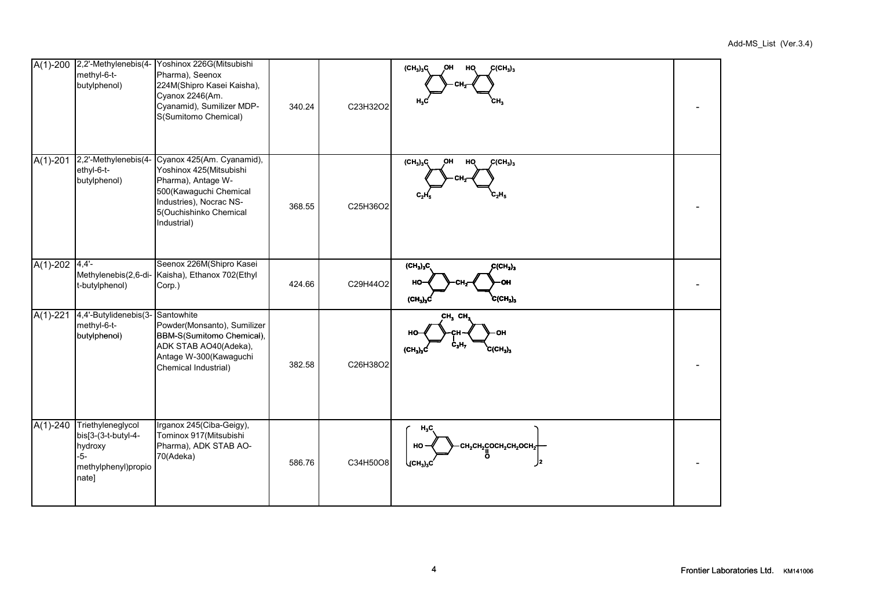|            | A(1)-200 2,2'-Methylenebis(4-<br>methyl-6-t-<br>butylphenol)                                 | Yoshinox 226G(Mitsubishi<br>Pharma), Seenox<br>224M(Shipro Kasei Kaisha),<br>Cyanox 2246(Am.<br>Cyanamid), Sumilizer MDP-<br>S(Sumitomo Chemical)                        | 340.24 | C23H32O2 | $C(CH_3)_3$<br>$(CH_3)_3C$<br>ОH<br>HQ<br>CH.<br>н.,                                                         |  |
|------------|----------------------------------------------------------------------------------------------|--------------------------------------------------------------------------------------------------------------------------------------------------------------------------|--------|----------|--------------------------------------------------------------------------------------------------------------|--|
|            | A(1)-201 2,2'-Methylenebis(4-<br>ethyl-6-t-<br>butylphenol)                                  | Cyanox 425(Am. Cyanamid),<br>Yoshinox 425(Mitsubishi<br>Pharma), Antage W-<br>500(Kawaguchi Chemical<br>Industries), Nocrac NS-<br>5(Ouchishinko Chemical<br>Industrial) | 368.55 | C25H36O2 | (CH <sub>3</sub> ) <sub>3</sub> C<br>OH<br>HQ<br>$C(H_3)_3$<br>C,H,                                          |  |
| $A(1)-202$ | 4,4'<br>Methylenebis(2,6-di-<br>t-butylphenol)                                               | Seenox 226M(Shipro Kasei<br>Kaisha), Ethanox 702(Ethyl<br>Corp.)                                                                                                         | 424.66 | C29H44O2 | $(\text{CH}_3)_3\text{C}$<br>$C(H_3)_3$<br>HO<br>OН<br>$(CH_3)_3C$<br>$C(CH_3)_3$                            |  |
| $A(1)-221$ | 4,4'-Butylidenebis(3-<br>methyl-6-t-<br>butylphenol)                                         | Santowhite<br>Powder(Monsanto), Sumilizer<br>BBM-S(Sumitomo Chemical),<br>ADK STAB AO40(Adeka),<br>Antage W-300(Kawaguchi<br>Chemical Industrial)                        | 382.58 | C26H38O2 | CH <sub>3</sub> CH <sub>3</sub><br>c <sub>3</sub> H <sub>7</sub><br>$(\text{CH}_3)_3\text{C}$<br>$C(CH_3)_3$ |  |
| $A(1)-240$ | Triethyleneglycol<br>bis[3-(3-t-butyl-4-<br>hydroxy<br>$-5-$<br>methylphenyl)propio<br>nate] | Irganox 245(Ciba-Geigy),<br>Tominox 917(Mitsubishi<br>Pharma), ADK STAB AO-<br>70(Adeka)                                                                                 | 586.76 | C34H50O8 | $H_3C$<br>$CH_2CH_2COCH_2CH_2OCH_2$ <sup>+</sup><br>HO-<br>J2<br>$\big\langle$ (СН $_3$ ) $_3$ С             |  |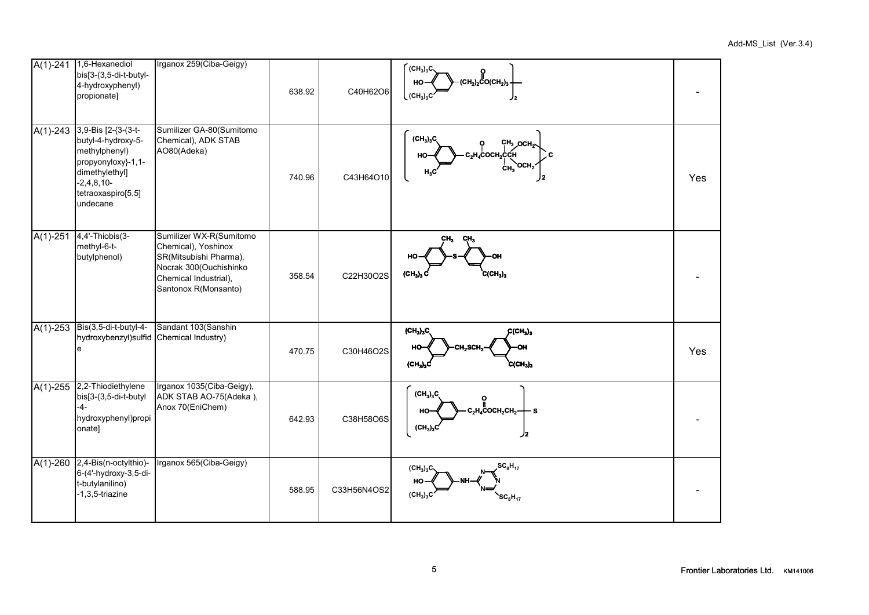| $A(1)-241$   | 1,6-Hexanediol<br>bis[3-(3,5-di-t-butyl-<br>4-hydroxyphenyl)<br>propionate]                                                                          | Irganox 259(Ciba-Geigy)                                                                                                                             | 638.92 | C40H62O6    | $(CH_3)_3C$<br>______________<br>(СН <sub>2</sub> ) <sub>2</sub> СО(СН <sub>2</sub> ) <sub>3</sub> ·<br>HO-<br>$(CH_3)_3C$<br>J2 |     |
|--------------|------------------------------------------------------------------------------------------------------------------------------------------------------|-----------------------------------------------------------------------------------------------------------------------------------------------------|--------|-------------|----------------------------------------------------------------------------------------------------------------------------------|-----|
| $A(1)-243$   | 3,9-Bis [2-{3-(3-t-<br>butyl-4-hydroxy-5-<br>methylphenyl)<br>propyonyloxy}-1,1-<br>dimethylethyl]<br>$-2,4,8,10-$<br>tetraoxaspiro[5,5]<br>undecane | Sumilizer GA-80(Sumitomo<br>Chemical), ADK STAB<br>AO80(Adeka)                                                                                      | 740.96 | C43H64O10   | $(CH_3)_3C$<br>$CH3$ OCH <sub>2</sub><br>с,н,сосн,ссн<br>C<br>HO<br>'OCH2<br>ĊН <sub>3</sub><br>$H_3C$<br>J2.                    | Yes |
| $A(1)-251$   | 4,4'-Thiobis(3-<br>methyl-6-t-<br>butylphenol)                                                                                                       | Sumilizer WX-R(Sumitomo<br>Chemical), Yoshinox<br>SR(Mitsubishi Pharma),<br>Nocrak 300(Ouchishinko<br>Chemical Industrial),<br>Santonox R(Monsanto) | 358.54 | C22H30O2S   | CH <sub>3</sub><br>CH <sub>3</sub><br>$(CH_3)_3 C$<br>$C(CH_3)_3$                                                                |     |
| $A(1) - 253$ | Bis(3,5-di-t-butyl-4-<br>hydroxybenzyl) sulfid Chemical Industry)<br>e                                                                               | Sandant 103(Sanshin                                                                                                                                 | 470.75 | C30H46O2S   | $(CH_3)_3C$<br>$C(CH_3)_3$<br>HO<br>OH<br>CH,SCH,<br>$\text{(CH}_3)_3\text{C}$<br>$C(CH_3)_3$                                    | Yes |
|              | $A(1)-255$ 2.2-Thiodiethylene<br>bis[3-(3,5-di-t-butyl<br>$-4-$<br>hydroxyphenyl)propi<br>onate]                                                     | Irganox 1035(Ciba-Geigy),<br>ADK STAB AO-75(Adeka),<br>Anox 70(EniChem)                                                                             | 642.93 | C38H58O6S   | $(CH_3)_3C$<br>$c_{2}$ н $_{4}$ Сосн $_{2}$ сн $_{2}$ –<br>- s<br>HO<br>(CH <sub>3</sub> ) <sub>3</sub> C<br>ر/                  |     |
| $A(1)-260$   | 2,4-Bis(n-octylthio)-<br>6-(4'-hydroxy-3,5-di-<br>t-butylanilino)<br>$-1,3,5$ -triazine                                                              | Irganox 565(Ciba-Geigy)                                                                                                                             | 588.95 | C33H56N4OS2 | $SC_8H_{17}$<br>$(CH_3)_3C$<br>HO<br>(CH <sub>3</sub> ) <sub>3</sub> C<br>$SC_8H_{17}$                                           |     |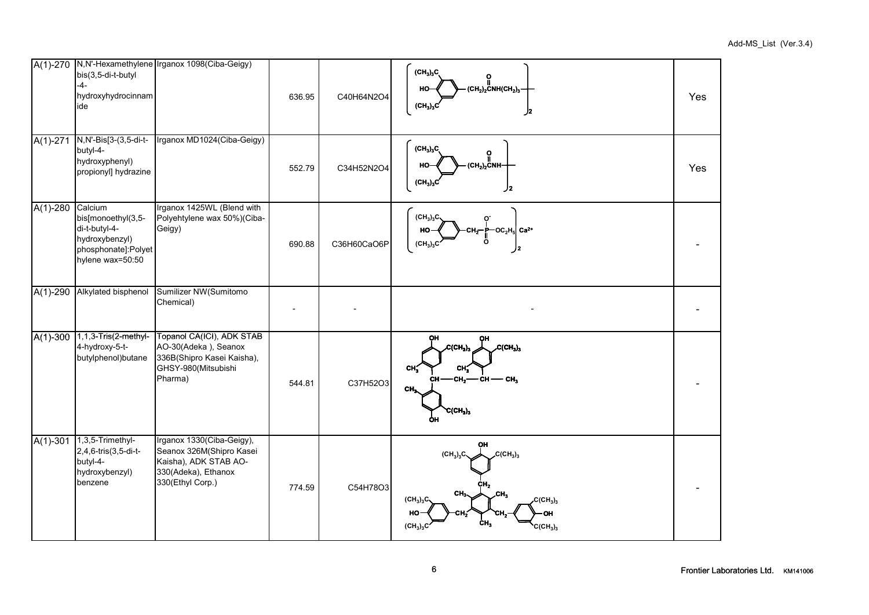|            | bis(3,5-di-t-butyl<br>$-4-$<br>hydroxyhydrocinnam<br>ide                                                    | A(1)-270 N,N'-Hexamethylene Irganox 1098(Ciba-Geigy)                                                                      | 636.95 | C40H64N2O4  | $(CH_3)_3C$<br>о<br>$\text{(CH}_2\text{)}_2$ CNH(CH <sub>2</sub> ) <sub>3</sub><br>HO<br>(CH <sub>3</sub> ) <sub>3</sub> C<br>2/                                                                          | Yes |
|------------|-------------------------------------------------------------------------------------------------------------|---------------------------------------------------------------------------------------------------------------------------|--------|-------------|-----------------------------------------------------------------------------------------------------------------------------------------------------------------------------------------------------------|-----|
| $A(1)-271$ | N, N'-Bis[3-(3, 5-di-t-<br>butyl-4-<br>hydroxyphenyl)<br>propionyl] hydrazine                               | Irganox MD1024(Ciba-Geigy)                                                                                                | 552.79 | C34H52N2O4  | (CH <sub>3</sub> ) <sub>3</sub> C<br>o<br>$(\mathsf{CH}_2)_2$ CNH-<br>HO-<br>$(CH_3)_3$<br>J2.                                                                                                            | Yes |
| $A(1)-280$ | Calcium<br>bis[monoethyl(3,5-<br>di-t-butyl-4-<br>hydroxybenzyl)<br>phosphonate]:Polyet<br>hylene wax=50:50 | Irganox 1425WL (Blend with<br>Polyehtylene wax 50%)(Ciba-<br>Geigy)                                                       | 690.88 | C36H60CaO6P | (CH <sub>3</sub> ) <sub>3</sub> C<br>$-$ OC <sub>2</sub> H <sub>5</sub> Ca <sup>2+</sup><br>HO<br>(CH <sub>3</sub> ) <sub>3</sub> C<br>J2                                                                 |     |
| $A(1)-290$ | Alkylated bisphenol                                                                                         | Sumilizer NW(Sumitomo<br>Chemical)                                                                                        |        |             |                                                                                                                                                                                                           |     |
| $A(1)-300$ | $1, 1, 3$ -Tris $(2$ -methyl-<br>4-hydroxy-5-t-<br>butylphenol) butane                                      | Topanol CA(ICI), ADK STAB<br>AO-30(Adeka), Seanox<br>336B(Shipro Kasei Kaisha),<br>GHSY-980(Mitsubishi<br>Pharma)         | 544.81 | C37H52O3    | C(CH <sub>3</sub> ) <sub>3</sub><br>CCH <sub>3</sub> ) <sub>3</sub><br>CH.<br>CH <sub>3</sub><br>—сн,——сн -<br>— СН,<br>CH-<br>CH,<br>$C(CH_3)_3$<br>ÒН                                                   |     |
| $A(1)-301$ | 1,3,5-Trimethyl-<br>2,4,6-tris(3,5-di-t-<br>butyl-4-<br>hydroxybenzyl)<br>benzene                           | Irganox 1330(Ciba-Geigy),<br>Seanox 326M(Shipro Kasei<br>Kaisha), ADK STAB AO-<br>330(Adeka), Ethanox<br>330(Ethyl Corp.) | 774.59 | C54H78O3    | ОН<br>$C(CH_3)_3$<br>$(CH_3)_3C$<br>cн,<br>CH <sub>3</sub><br>.СΗ.,<br>$(CH_3)_3C$<br>$C(CH_3)_3$<br>HO<br>ΟН<br>CH <sub>3</sub><br>(CH <sub>3</sub> ) <sub>3</sub> C<br>C(CH <sub>3</sub> ) <sub>3</sub> |     |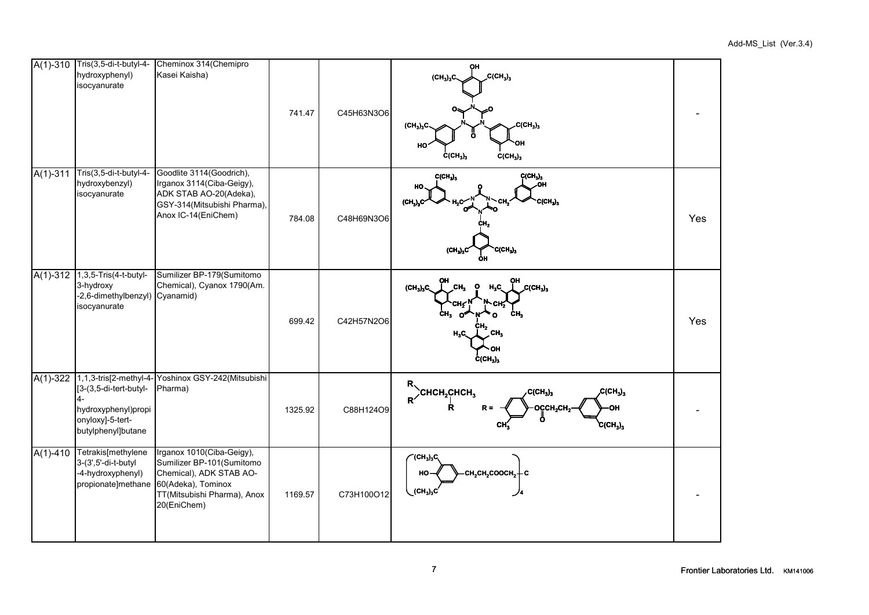|              | A(1)-310 Tris(3,5-di-t-butyl-4-<br>hydroxyphenyl)<br>isocyanurate                       | Cheminox 314(Chemipro<br>Kasei Kaisha)                                                                                                                                   | 741.47  | C45H63N3O6 | OH<br>$C(CH_3)_3$<br>(CH <sub>3</sub> ) <sub>3</sub> C<br>$C(CH_3)_3$<br>(CH <sub>3</sub> ) <sub>3</sub> C<br>Õ<br>HO<br>$\text{C}(\text{CH}_3)_3$<br>$C(CH_3)_3$                  |     |
|--------------|-----------------------------------------------------------------------------------------|--------------------------------------------------------------------------------------------------------------------------------------------------------------------------|---------|------------|------------------------------------------------------------------------------------------------------------------------------------------------------------------------------------|-----|
| $A(1)-311$   | Tris(3,5-di-t-butyl-4-<br>hydroxybenzyl)<br>isocyanurate                                | Goodlite 3114(Goodrich),<br>Irganox 3114(Ciba-Geigy),<br>ADK STAB AO-20(Adeka),<br>GSY-314(Mitsubishi Pharma),<br>Anox IC-14(EniChem)                                    | 784.08  | C48H69N3O6 | C(CH <sub>3</sub> ) <sub>3</sub><br>$C(CH_3)_3$<br>HO<br>$C(CH_3)_3$<br>$(CH_n)_nC$<br>$C(CH_3)_3$<br>(CH <sub>3</sub> ) <sub>3</sub> C<br>ÒН                                      | Yes |
| $A(1) - 312$ | 1,3,5-Tris(4-t-butyl-<br>3-hydroxy<br>-2,6-dimethylbenzyl) Cyanamid)<br>isocyanurate    | Sumilizer BP-179(Sumitomo<br>Chemical), Cyanox 1790(Am.                                                                                                                  | 699.42  | C42H57N2O6 | $C(CH_3)_3$<br>(CH <sub>3</sub> ) <sub>3</sub> C<br>CH.<br>H.C<br>Сŀ<br>CH.<br>cн,<br>CH <sub>3</sub><br>H,C<br>$C(H_3)_3$                                                         | Yes |
| $A(1)-322$   | [3-(3,5-di-tert-butyl-<br>hydroxyphenyl)propi<br>onyloxy]-5-tert-<br>butylphenyl]butane | 1,1,3-tris[2-methyl-4- Yoshinox GSY-242(Mitsubishi<br>Pharma)                                                                                                            | 1325.92 | C88H124O9  | $C(CH_3)_3$<br>$R$ <sup>)</sup> CHCH <sub>2</sub> CHCH <sub>3</sub><br>$C(CH_3)_3$<br>OCCH <sub>2</sub> CH <sub>2</sub><br>R<br>$R =$<br>OH<br>Ö<br>$\mathcal{C}(\mathsf{CH}_3)_3$ |     |
| $A(1)-410$   | Tetrakis[methylene<br>3-(3',5'-di-t-butyl<br>-4-hydroxyphenyl)                          | Irganox 1010(Ciba-Geigy),<br>Sumilizer BP-101(Sumitomo<br>Chemical), ADK STAB AO-<br>propionate]methane 60(Adeka), Tominox<br>TT(Mitsubishi Pharma), Anox<br>20(EniChem) | 1169.57 | C73H100O12 | $(CH_3)_3C$<br>$\cdot$ сн $_{2}$ сн $_{2}$ соосн $_{2}+$ с<br>HO<br>$(CH_3)_3C$                                                                                                    |     |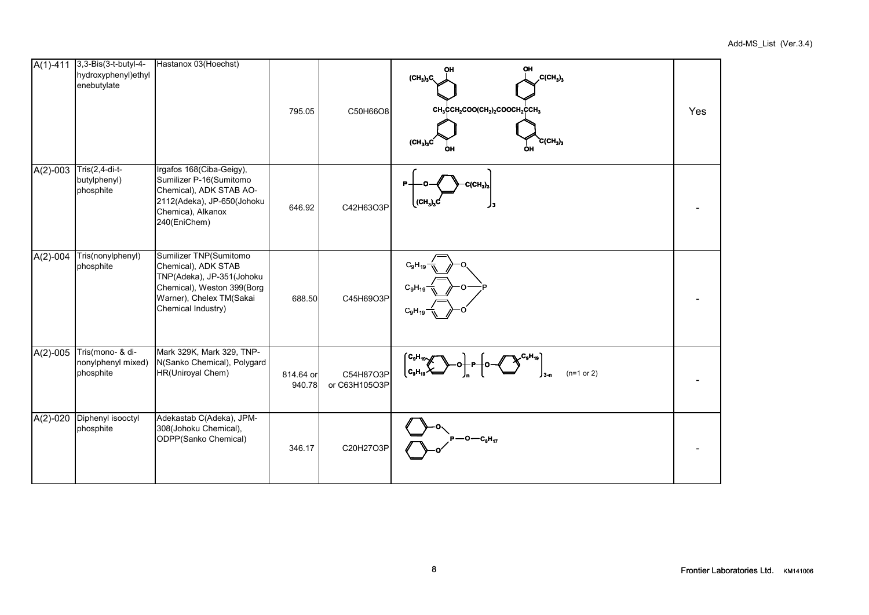| $A(1) - 411$ | 3,3-Bis(3-t-butyl-4-<br>hydroxyphenyl)ethyl<br>enebutylate | Hastanox 03(Hoechst)                                                                                                                                       | 795.05              | C50H66O8                   | OH<br>ΟН<br>$C(CH_3)_3$<br>$(CH_3)_3C$<br>$CH_3CCH_2COO(CH_2)_2COOCH_2CCH_3$<br>$\text{C}(\text{CH}_3)_3$<br>$(CH_3)_3C$<br>ÒН<br>OH | Yes |
|--------------|------------------------------------------------------------|------------------------------------------------------------------------------------------------------------------------------------------------------------|---------------------|----------------------------|--------------------------------------------------------------------------------------------------------------------------------------|-----|
| $A(2)-003$   | $Tris(2,4-di-t-$<br>butylphenyl)<br>phosphite              | Irgafos 168(Ciba-Geigy),<br>Sumilizer P-16(Sumitomo<br>Chemical), ADK STAB AO-<br>2112(Adeka), JP-650(Johoku<br>Chemica), Alkanox<br>240(EniChem)          | 646.92              | C42H63O3P                  | $C(CH_3)$<br>$(CH_3)_3$                                                                                                              |     |
| $A(2)-004$   | Tris(nonylphenyl)<br>phosphite                             | Sumilizer TNP(Sumitomo<br>Chemical), ADK STAB<br>TNP(Adeka), JP-351(Johoku<br>Chemical), Weston 399(Borg<br>Warner), Chelex TM(Sakai<br>Chemical Industry) | 688.50              | C45H69O3P                  | $C_9H_{19}$<br>$C_9H_{19}$<br>$C_9H_{19}$                                                                                            |     |
| $A(2)-005$   | Tris(mono- & di-<br>nonylphenyl mixed)<br>phosphite        | Mark 329K, Mark 329, TNP-<br>N(Sanko Chemical), Polygard<br>HR(Uniroyal Chem)                                                                              | 814.64 or<br>940.78 | C54H87O3P<br>or C63H105O3P | $C_9H_{19}$<br>$C_9H_{19}$<br>$(n=1 or 2)$                                                                                           |     |
| $A(2)-020$   | Diphenyl isooctyl<br>phosphite                             | Adekastab C(Adeka), JPM-<br>308(Johoku Chemical),<br>ODPP(Sanko Chemical)                                                                                  | 346.17              | C20H27O3P                  | -0—c <sub>8</sub> H <sub>17</sub>                                                                                                    |     |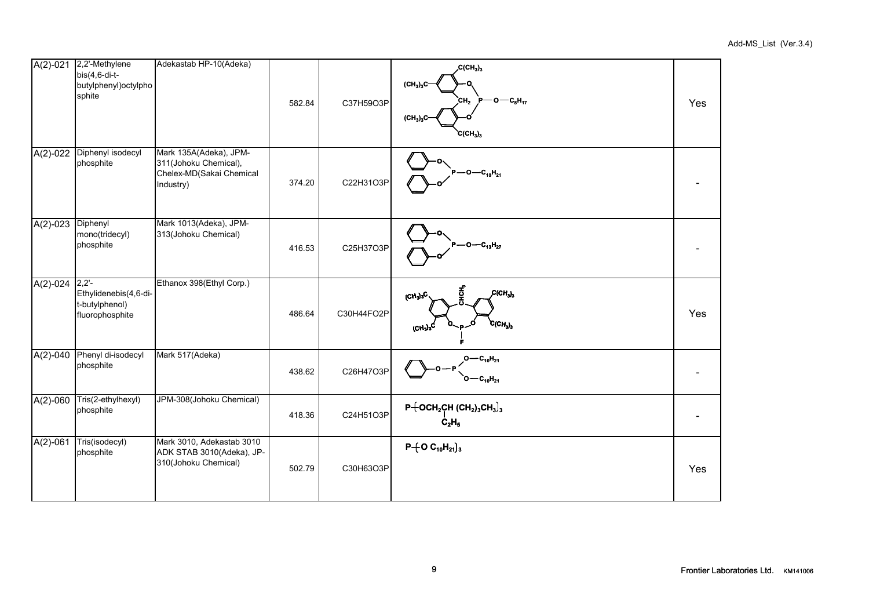|                   | A(2)-021 2,2'-Methylene<br>$bis(4,6-di-t-$<br>butylphenyl) octylpho<br>sphite | Adekastab HP-10(Adeka)                                                                   | 582.84 | C37H59O3P  | CCH <sub>3</sub> ) <sub>3</sub><br>(CH <sub>3</sub> ) <sub>3</sub> C<br>Р— 0 — С <sub>8</sub> Н <sub>17</sub><br>CH <sub>2</sub><br>$(CH_3)_3C$<br>$CCH_3)_3$ | Yes |
|-------------------|-------------------------------------------------------------------------------|------------------------------------------------------------------------------------------|--------|------------|---------------------------------------------------------------------------------------------------------------------------------------------------------------|-----|
| $A(2)-022$        | Diphenyl isodecyl<br>phosphite                                                | Mark 135A(Adeka), JPM-<br>311(Johoku Chemical),<br>Chelex-MD(Sakai Chemical<br>Industry) | 374.20 | C22H31O3P  | $P$ - O - $C_{10}$ H <sub>21</sub>                                                                                                                            |     |
| A(2)-023 Diphenyl | mono(tridecyl)<br>phosphite                                                   | Mark 1013(Adeka), JPM-<br>313(Johoku Chemical)                                           | 416.53 | C25H37O3P  | $P - O - C_{13}H_{27}$                                                                                                                                        |     |
| $A(2)-024$ 2,2'-  | Ethylidenebis(4,6-di-<br>t-butylphenol)<br>fluorophosphite                    | Ethanox 398(Ethyl Corp.)                                                                 | 486.64 | C30H44FO2P | Ť<br>$\mathcal{L}(\mathsf{CH}_3)_3$<br>$(CH_3)_3C$<br>$CCH_{3})_{3}$<br>(CH <sub>3</sub>                                                                      | Yes |
| $A(2)-040$        | Phenyl di-isodecyl<br>phosphite                                               | Mark 517(Adeka)                                                                          | 438.62 | C26H47O3P  | $O - C_{10}H_{21}$<br>$\overline{C} - C_{10}H_{21}$                                                                                                           |     |
| $A(2) - 060$      | Tris(2-ethylhexyl)<br>phosphite                                               | JPM-308(Johoku Chemical)                                                                 | 418.36 | C24H51O3P  | $P + OCH2CH (CH2)3CH3)3$<br>C <sub>2</sub> H <sub>5</sub>                                                                                                     |     |
| $A(2)-061$        | Tris(isodecyl)<br>phosphite                                                   | Mark 3010, Adekastab 3010<br>ADK STAB 3010(Adeka), JP-<br>310(Johoku Chemical)           | 502.79 | C30H63O3P  | $P + O C_{10}H_{21}$ <sub>3</sub>                                                                                                                             | Yes |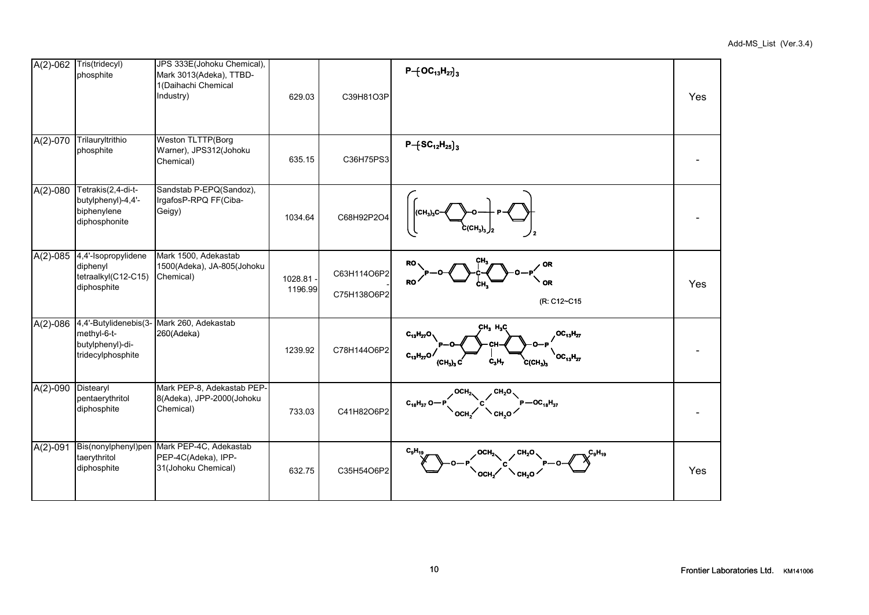|              | A(2)-062 Tris(tridecyl)<br>phosphite                                          | JPS 333E(Johoku Chemical),<br>Mark 3013(Adeka), TTBD-<br>1(Daihachi Chemical<br>Industry) | 629.03               | C39H81O3P                  | $P + \left[OC_{13}H_{27}\right]_{3}$                                                                                                                                   | Yes |
|--------------|-------------------------------------------------------------------------------|-------------------------------------------------------------------------------------------|----------------------|----------------------------|------------------------------------------------------------------------------------------------------------------------------------------------------------------------|-----|
| $A(2) - 070$ | Trilauryltrithio<br>phosphite                                                 | <b>Weston TLTTP(Borg</b><br>Warner), JPS312(Johoku<br>Chemical)                           | 635.15               | C36H75PS3                  | $P - [SC_{12}H_{25}]$ <sub>3</sub>                                                                                                                                     |     |
| $A(2)-080$   | Tetrakis(2,4-di-t-<br>butylphenyl)-4,4'-<br>biphenylene<br>diphosphonite      | Sandstab P-EPQ(Sandoz),<br>IrgafosP-RPQ FF(Ciba-<br>Geigy)                                | 1034.64              | C68H92P2O4                 | $c$ (CH <sub>3</sub> ) <sub>3</sub> $J_2$                                                                                                                              |     |
| $A(2)-085$   | 4,4'-Isopropylidene<br>diphenyl<br>tetraalkyl(C12-C15)<br>diphosphite         | Mark 1500, Adekastab<br>1500(Adeka), JA-805(Johoku<br>Chemical)                           | 1028.81 -<br>1196.99 | C63H114O6P2<br>C75H138O6P2 | RO<br><b>OR</b><br><b>RO</b><br>OR<br>(R: C12~C15                                                                                                                      | Yes |
| $A(2)-086$   | 4,4'-Butylidenebis(3-<br>methyl-6-t-<br>butylphenyl)-di-<br>tridecylphosphite | Mark 260, Adekastab<br>260(Adeka)                                                         | 1239.92              | C78H144O6P2                | CH <sub>3</sub> H <sub>3</sub> C<br>$OC_{13}H_{27}$<br>$C_{13}H_{27}C$<br>$C_{13}H_{27}O$<br>$OC_{13}H_{27}$<br>C <sub>3</sub> H <sub>7</sub><br>$C(CH_3)_3$<br>(CH.). |     |
| $A(2)-090$   | Distearyl<br>pentaerythritol<br>diphosphite                                   | Mark PEP-8, Adekastab PEP-<br>8(Adeka), JPP-2000(Johoku<br>Chemical)                      | 733.03               | C41H82O6P2                 | $P - OC_{18}H_{37}$<br>$C_{18}H_{37}O -$<br>CH.O                                                                                                                       |     |
| $A(2)-091$   | Bis(nonylphenyl)pen<br>taerythritol<br>diphosphite                            | Mark PEP-4C, Adekastab<br>PEP-4C(Adeka), IPP-<br>31(Johoku Chemical)                      | 632.75               | C35H54O6P2                 | $C_9H_{19}$<br>OCH <sub>2</sub><br>CH <sub>2</sub> O<br>CH <sub>2</sub> O<br>OCH <sub>2</sub>                                                                          | Yes |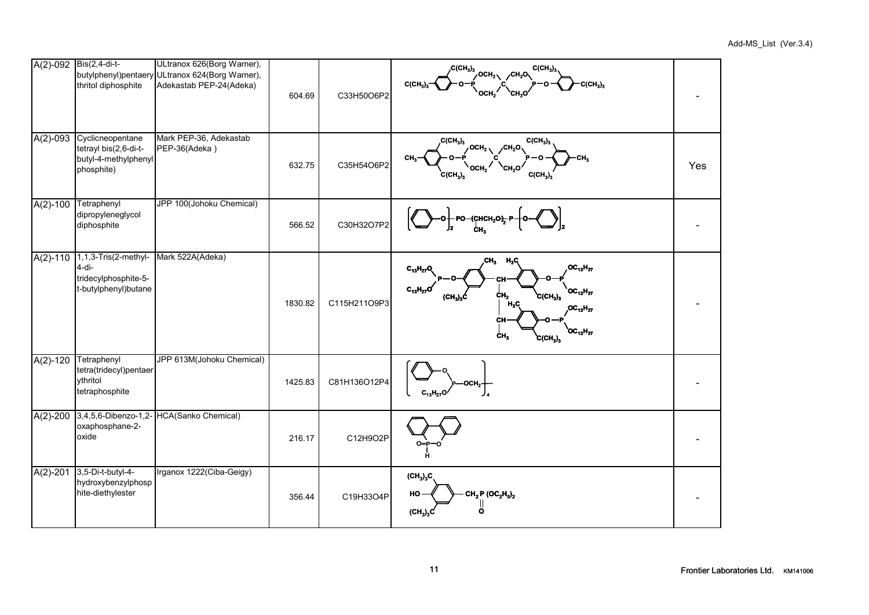|              | A(2)-092 Bis(2,4-di-t-<br>thritol diphosphite                                   | ULtranox 626(Borg Warner),<br>butylphenyl)pentaery ULtranox 624(Borg Warner),<br>Adekastab PEP-24(Adeka) | 604.69  | C33H50O6P2   | $\overline{\mathcal{L}}(CH_3)_3$<br>$C(CH_3)$<br>$\sqrt{OCH_2}$<br>$C(CH_3)$<br>$C(CH_3)_3$                                                                                                                                                                                                  |     |
|--------------|---------------------------------------------------------------------------------|----------------------------------------------------------------------------------------------------------|---------|--------------|----------------------------------------------------------------------------------------------------------------------------------------------------------------------------------------------------------------------------------------------------------------------------------------------|-----|
| $A(2)-093$   | Cyclicneopentane<br>tetrayl bis(2,6-di-t-<br>butyl-4-methylphenyl<br>phosphite) | Mark PEP-36, Adekastab<br>PEP-36(Adeka)                                                                  | 632.75  | C35H54O6P2   | , C(CH <sub>3</sub> ) <sub>3</sub><br>C(CH <sub>3</sub> ) <sub>3</sub><br>OCH <sub>2</sub><br>CH,O.<br>CH.<br>осн.<br>сн,о<br>$C(CH_3)_3$<br>$C(CH_3)_3$                                                                                                                                     | Yes |
| $A(2) - 100$ | Tetraphenyl<br>dipropyleneglycol<br>diphosphite                                 | JPP 100(Johoku Chemical)                                                                                 | 566.52  | C30H32O7P2   | РО-{CHCH <sub>2</sub> O <del>},</del>                                                                                                                                                                                                                                                        |     |
| $A(2)-110$   | 1,1,3-Tris(2-methyl-<br>$4-di-$<br>tridecylphosphite-5-<br>t-butylphenyl)butane | Mark 522A(Adeka)                                                                                         | 1830.82 | C115H211O9P3 | CH <sub>3</sub><br>$H_3C_1$<br>$OC_{13}H_{27}$<br>$C_{13}H_{27}O$<br>$C_{13}H_{27}C$<br>$OC_{13}H_{27}$<br>$\dot{\text{c}}\text{H}_2$<br>$\text{C}(\text{CH}_3)_3$<br>$(CH_3)_3$ Ċ<br>$H_3C$<br>$OC_{13}H_{27}$<br>CН<br>$\mathrm{^{\text{10}}C_{13}H_{27}}$<br>ċн,<br>$\rm \dot C (CH_3)_3$ |     |
| $A(2)-120$   | Tetraphenyl<br>tetra(tridecyl)pentaer<br>ythritol<br>tetraphosphite             | JPP 613M(Johoku Chemical)                                                                                | 1425.83 | C81H136O12P4 | осн,-<br>$C_{13}H_{27}O$                                                                                                                                                                                                                                                                     |     |
| $A(2)-200$   | oxaphosphane-2-<br>oxide                                                        | 3,4,5,6-Dibenzo-1,2- HCA(Sanko Chemical)                                                                 | 216.17  | C12H9O2P     | $O = P$<br>-ח                                                                                                                                                                                                                                                                                |     |
| $A(2)-201$   | 3,5-Di-t-butyl-4-<br>hydroxybenzylphosp<br>hite-diethylester                    | Irganox 1222(Ciba-Geigy)                                                                                 | 356.44  | C19H33O4P    | $(\text{CH}_3)_3\text{C}$<br>$CH_2 P (OC_2H_5)_2$<br>HO<br>$(CH_3)_3C$<br>$\mathbf{o}$                                                                                                                                                                                                       |     |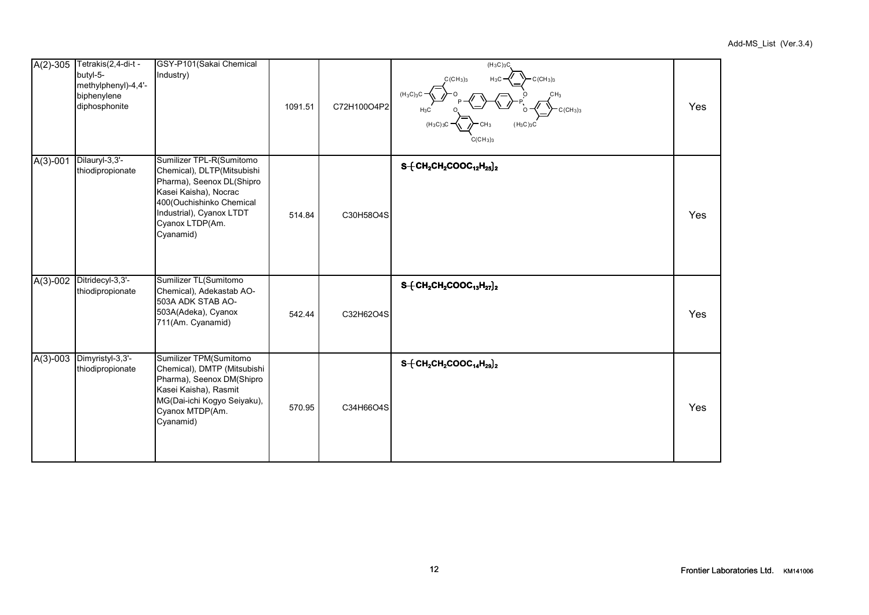| $A(2)-305$ | Tetrakis(2,4-di-t -<br>butyl-5-<br>methylphenyl)-4,4'-<br>biphenylene<br>diphosphonite | GSY-P101(Sakai Chemical<br>Industry)                                                                                                                                                                 | 1091.51 | C72H100O4P2 | $(H_3C)_3C$<br>$H_3C$<br>$C$ (CH <sub>3</sub> ) <sub>3</sub><br>$C$ (CH <sub>3</sub> ) <sub>3</sub><br>$(H_3C)_3C$<br>(CH <sub>3</sub> ) <sub>3</sub><br>H3C<br>$(H_3C)_3$<br>(H <sub>3</sub> C) <sub>3</sub> C<br>$C(CH_3)_3$ | Yes |
|------------|----------------------------------------------------------------------------------------|------------------------------------------------------------------------------------------------------------------------------------------------------------------------------------------------------|---------|-------------|--------------------------------------------------------------------------------------------------------------------------------------------------------------------------------------------------------------------------------|-----|
| $A(3)-001$ | Dilauryl-3,3'-<br>thiodipropionate                                                     | Sumilizer TPL-R(Sumitomo<br>Chemical), DLTP(Mitsubishi<br>Pharma), Seenox DL(Shipro<br>Kasei Kaisha), Nocrac<br>400(Ouchishinko Chemical<br>Industrial), Cyanox LTDT<br>Cyanox LTDP(Am.<br>Cyanamid) | 514.84  | C30H58O4S   | $S + CH_2CH_2COOC_{12}H_{25}$ <sub>2</sub>                                                                                                                                                                                     | Yes |
| $A(3)-002$ | Ditridecyl-3,3'-<br>thiodipropionate                                                   | Sumilizer TL(Sumitomo<br>Chemical), Adekastab AO-<br>503A ADK STAB AO-<br>503A(Adeka), Cyanox<br>711(Am. Cyanamid)                                                                                   | 542.44  | C32H62O4S   | $S + CH_2CH_2COOC_{13}H_{27}$ <sub>2</sub>                                                                                                                                                                                     | Yes |
| $A(3)-003$ | Dimyristyl-3,3'-<br>thiodipropionate                                                   | Sumilizer TPM(Sumitomo<br>Chemical), DMTP (Mitsubishi<br>Pharma), Seenox DM(Shipro<br>Kasei Kaisha), Rasmit<br>MG(Dai-ichi Kogyo Seiyaku),<br>Cyanox MTDP(Am.<br>Cyanamid)                           | 570.95  | C34H66O4S   | $S + CH_2CH_2COOC_{14}H_{29}$ <sub>2</sub>                                                                                                                                                                                     | Yes |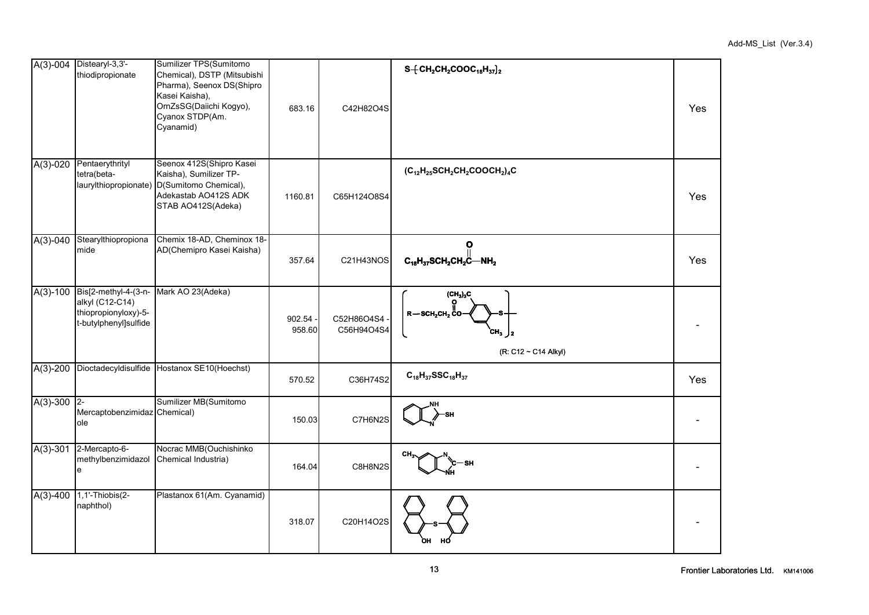|            | A(3)-004 Distearyl-3,3'-<br>thiodipropionate                                             | Sumilizer TPS(Sumitomo<br>Chemical), DSTP (Mitsubishi<br>Pharma), Seenox DS(Shipro<br>Kasei Kaisha),<br>OrnZsSG(Daiichi Kogyo),<br>Cyanox STDP(Am.<br>Cyanamid) | 683.16           | C42H82O4S                | $S + CH_2CH_2COOC_{18}H_{37}$ <sub>2</sub>                                           | Yes |
|------------|------------------------------------------------------------------------------------------|-----------------------------------------------------------------------------------------------------------------------------------------------------------------|------------------|--------------------------|--------------------------------------------------------------------------------------|-----|
| $A(3)-020$ | Pentaerythrityl<br>tetra(beta-                                                           | Seenox 412S(Shipro Kasei<br>Kaisha), Sumilizer TP-<br>laurylthiopropionate) D(Sumitomo Chemical),<br>Adekastab AO412S ADK<br>STAB AO412S(Adeka)                 | 1160.81          | C65H124O8S4              | $(C_{12}H_{25}SCH_2CH_2COOCH_2)_4C$                                                  | Yes |
| $A(3)-040$ | Stearylthiopropiona<br>mide                                                              | Chemix 18-AD, Cheminox 18-<br>AD(Chemipro Kasei Kaisha)                                                                                                         | 357.64           | C21H43NOS                | $\mathbf{o}$<br>$C_{18}H_{37}SCH_2CH_2C-MH_2$                                        | Yes |
| $A(3)-100$ | Bis[2-methyl-4-(3-n-<br>alkyl (C12-C14)<br>thiopropionyloxy)-5-<br>t-butylphenyl]sulfide | Mark AO 23(Adeka)                                                                                                                                               | 902.54<br>958.60 | C52H86O4S4<br>C56H94O4S4 | $(CH_3)_3C$<br>$R - \text{SCH}_2\text{CH}_2$ CO<br>CH,<br>12<br>(R: C12 ~ C14 Alkyl) |     |
| $A(3)-200$ |                                                                                          | Dioctadecyldisulfide Hostanox SE10(Hoechst)                                                                                                                     | 570.52           | C36H74S2                 | $C_{18}H_{37}SSC_{18}H_{37}$                                                         | Yes |
| $A(3)-300$ | $ 2 -$<br>Mercaptobenzimidaz Chemical)<br>ole                                            | Sumilizer MB(Sumitomo                                                                                                                                           | 150.03           | C7H6N2S                  |                                                                                      |     |
| $A(3)-301$ | 2-Mercapto-6-<br>methylbenzimidazol<br>e                                                 | Nocrac MMB(Ouchishinko<br>Chemical Industria)                                                                                                                   | 164.04           | C8H8N2S                  | CH.                                                                                  |     |
| $A(3)-400$ | 1,1'-Thiobis(2-<br>naphthol)                                                             | Plastanox 61(Am. Cyanamid)                                                                                                                                      | 318.07           | C20H14O2S                |                                                                                      |     |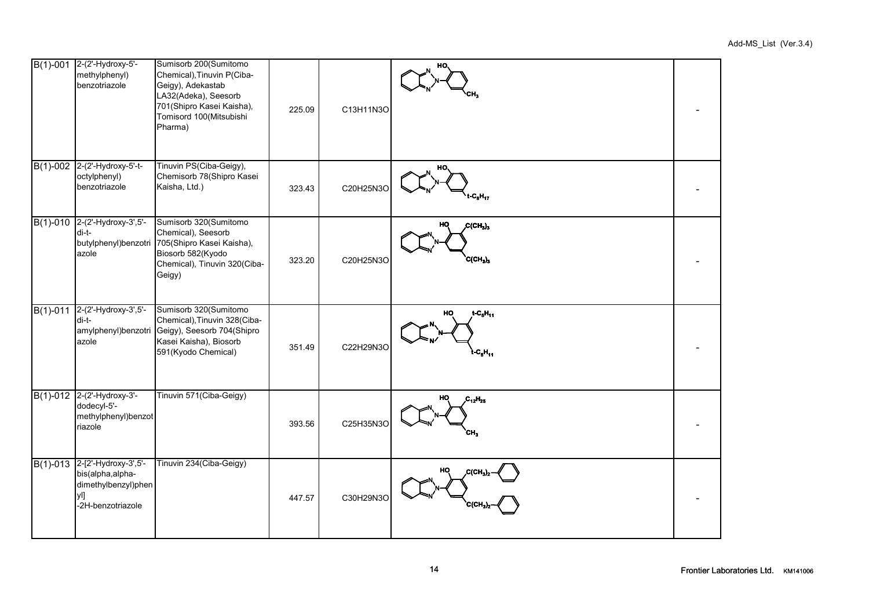|            | B(1)-001 2-(2'-Hydroxy-5'-<br>methylphenyl)<br>benzotriazole                                         | Sumisorb 200(Sumitomo<br>Chemical), Tinuvin P(Ciba-<br>Geigy), Adekastab<br>LA32(Adeka), Seesorb<br>701 (Shipro Kasei Kaisha),<br>Tomisord 100(Mitsubishi<br>Pharma) | 225.09 | C13H11N3O | HO.                                      |  |
|------------|------------------------------------------------------------------------------------------------------|----------------------------------------------------------------------------------------------------------------------------------------------------------------------|--------|-----------|------------------------------------------|--|
|            | B(1)-002 2-(2'-Hydroxy-5'-t-<br>octylphenyl)<br>benzotriazole                                        | Tinuvin PS(Ciba-Geigy),<br>Chemisorb 78(Shipro Kasei<br>Kaisha, Ltd.)                                                                                                | 323.43 | C20H25N3O | HO.<br>$-C_8H_{17}$                      |  |
| $B(1)-010$ | 2-(2'-Hydroxy-3',5'-<br>di-t-<br>butylphenyl)benzotri<br>azole                                       | Sumisorb 320(Sumitomo<br>Chemical), Seesorb<br>705(Shipro Kasei Kaisha),<br>Biosorb 582(Kyodo<br>Chemical), Tinuvin 320(Ciba-<br>Geigy)                              | 323.20 | C20H25N3O | $C(CH_3)_3$<br>HQ<br>$C(CH_3)_3$         |  |
| $B(1)-011$ | 2-(2'-Hydroxy-3',5'-<br>di-t-<br>amylphenyl)benzotri<br>azole                                        | Sumisorb 320(Sumitomo<br>Chemical), Tinuvin 328(Ciba-<br>Geigy), Seesorb 704(Shipro<br>Kasei Kaisha), Biosorb<br>591(Kyodo Chemical)                                 | 351.49 | C22H29N3O | $t - C_5H_{11}$<br>HO<br>$t - C_5H_{11}$ |  |
| $B(1)-012$ | 2-(2'-Hydroxy-3'-<br>dodecyl-5'-<br>methylphenyl)benzot<br>riazole                                   | Tinuvin 571(Ciba-Geigy)                                                                                                                                              | 393.56 | C25H35N3O | но<br>$C_{12}H_{25}$<br>CH <sub>3</sub>  |  |
|            | B(1)-013 2-[2'-Hydroxy-3',5'-<br>bis(alpha,alpha-<br>dimethylbenzyl)phen<br>yl]<br>-2H-benzotriazole | Tinuvin 234(Ciba-Geigy)                                                                                                                                              | 447.57 | C30H29N3O | HO<br>C(CH,<br>CICH.                     |  |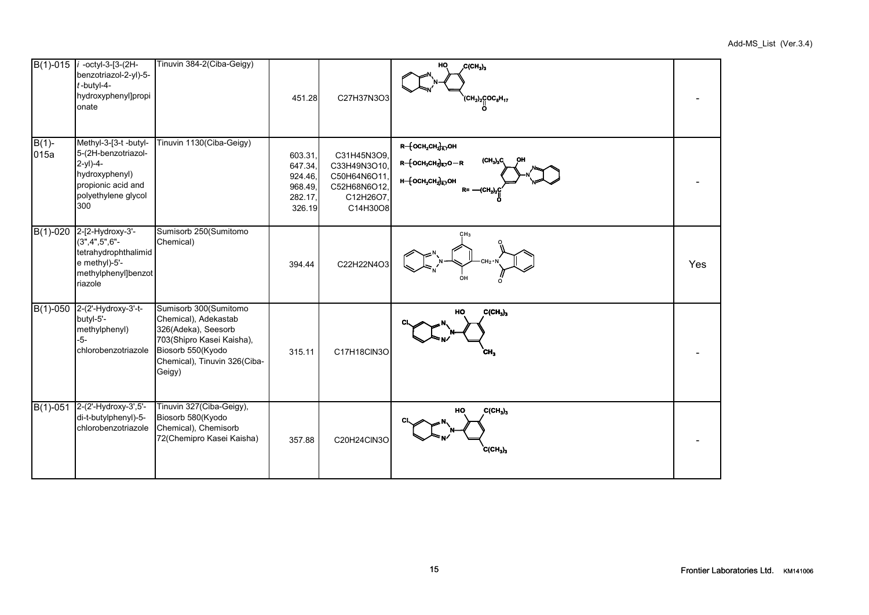|                  | B(1)-015 / -octyl-3-[3-(2H-<br>benzotriazol-2-yl)-5-<br>$t$ -butyl-4-<br>hydroxyphenyl]propi<br>onate                            | Tinuvin 384-2(Ciba-Geigy)                                                                                                                                        | 451.28                                                      | C27H37N3O3                                                                          | HO<br>$C(CH_3)_3$<br>$(CH_2)_2$ COC <sub>8</sub> H <sub>17</sub>                                                 |     |
|------------------|----------------------------------------------------------------------------------------------------------------------------------|------------------------------------------------------------------------------------------------------------------------------------------------------------------|-------------------------------------------------------------|-------------------------------------------------------------------------------------|------------------------------------------------------------------------------------------------------------------|-----|
| $B(1)$ -<br>015a | Methyl-3-[3-t -butyl-<br>5-(2H-benzotriazol-<br>$2-y1)-4-$<br>hydroxyphenyl)<br>propionic acid and<br>polyethylene glycol<br>300 | Tinuvin 1130(Ciba-Geigy)                                                                                                                                         | 603.31<br>647.34,<br>924.46.<br>968.49<br>282.17,<br>326.19 | C31H45N3O9,<br>C33H49N3O10,<br>C50H64N6O11<br>C52H68N6O12,<br>C12H26O7,<br>C14H30O8 | R-{OCH2CH2}E7OH<br>$(CH_3)_3C$<br>$R - \{OCH_2CH_2\}_{E,7}O - R$<br>н $-$ {ОСН2СН2} $_{6,7}$ ОН<br>$R = -(CH2)2$ |     |
| $B(1)-020$       | 2-[2-Hydroxy-3'-<br>$(3", 4", 5", 6" -$<br>tetrahydrophthalimid<br>e methyl)-5'-<br>methylphenyl]benzot<br>riazole               | Sumisorb 250(Sumitomo<br>Chemical)                                                                                                                               | 394.44                                                      | C22H22N4O3                                                                          | CH3<br>OH                                                                                                        | Yes |
| $B(1)-050$       | 2-(2'-Hydroxy-3'-t-<br>butyl-5'-<br>methylphenyl)<br>$-5-$<br>chlorobenzotriazole                                                | Sumisorb 300(Sumitomo<br>Chemical), Adekastab<br>326(Adeka), Seesorb<br>703(Shipro Kasei Kaisha),<br>Biosorb 550(Kyodo<br>Chemical), Tinuvin 326(Ciba-<br>Geigy) | 315.11                                                      | C17H18CIN3O                                                                         | $C(CH_3)_3$<br>HO<br>сн,                                                                                         |     |
| $B(1)-051$       | 2-(2'-Hydroxy-3',5'-<br>di-t-butylphenyl)-5-<br>chlorobenzotriazole                                                              | Tinuvin 327(Ciba-Geigy),<br>Biosorb 580(Kyodo<br>Chemical), Chemisorb<br>72(Chemipro Kasei Kaisha)                                                               | 357.88                                                      | C20H24ClN3O                                                                         | HO<br>$C(CH_3)_3$<br>$C(CH_3)_3$                                                                                 |     |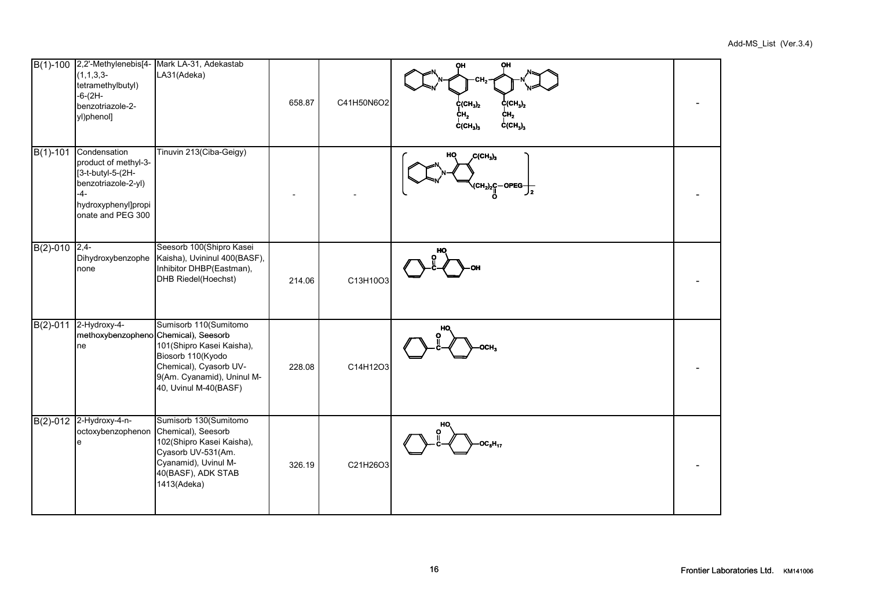|                 | $(1,1,3,3-$<br>tetramethylbutyl)<br>$-6-(2H -$<br>benzotriazole-2-<br>yl)phenol]                                                      | B(1)-100 2,2'-Methylenebis[4- Mark LA-31, Adekastab<br>LA31(Adeka)                                                                                          | 658.87 | C41H50N6O2 | OH<br>QН<br>CH.<br>$\text{C}(\text{CH}_3)_2$<br>$\text{C}(\text{CH}_3)_2$<br>CH <sub>2</sub><br>ċн,<br>$C(CH_3)_3$<br>$\dot{C}$ (CH <sub>3</sub> ) <sub>3</sub> |  |
|-----------------|---------------------------------------------------------------------------------------------------------------------------------------|-------------------------------------------------------------------------------------------------------------------------------------------------------------|--------|------------|-----------------------------------------------------------------------------------------------------------------------------------------------------------------|--|
| $B(1)-101$      | Condensation<br>product of methyl-3-<br>[3-t-butyl-5-(2H-<br>benzotriazole-2-yl)<br>$-4-$<br>hydroxyphenyl]propi<br>onate and PEG 300 | Tinuvin 213(Ciba-Geigy)                                                                                                                                     |        |            | HQ<br>C(CH <sub>3</sub> ) <sub>3</sub><br>(CH <sub>2</sub> ) <sub>2</sub> C-OPEG-<br>$J_{2}$                                                                    |  |
| $B(2)-010$ 2,4- | Dihydroxybenzophe<br>none                                                                                                             | Seesorb 100(Shipro Kasei<br>Kaisha), Uvininul 400(BASF),<br>Inhibitor DHBP(Eastman),<br>DHB Riedel(Hoechst)                                                 | 214.06 | C13H10O3   |                                                                                                                                                                 |  |
| $B(2)-011$      | 2-Hydroxy-4-<br>methoxybenzopheno Chemical), Seesorb<br>ne                                                                            | Sumisorb 110(Sumitomo<br>101(Shipro Kasei Kaisha),<br>Biosorb 110(Kyodo<br>Chemical), Cyasorb UV-<br>9(Am. Cyanamid), Uninul M-<br>40, Uvinul M-40(BASF)    | 228.08 | C14H12O3   | HO                                                                                                                                                              |  |
|                 | B(2)-012 2-Hydroxy-4-n-<br>octoxybenzophenon<br>e                                                                                     | Sumisorb 130(Sumitomo<br>Chemical), Seesorb<br>102(Shipro Kasei Kaisha),<br>Cyasorb UV-531(Am.<br>Cyanamid), Uvinul M-<br>40(BASF), ADK STAB<br>1413(Adeka) | 326.19 | C21H26O3   | HO<br>$\overline{C_8H_{17}}$                                                                                                                                    |  |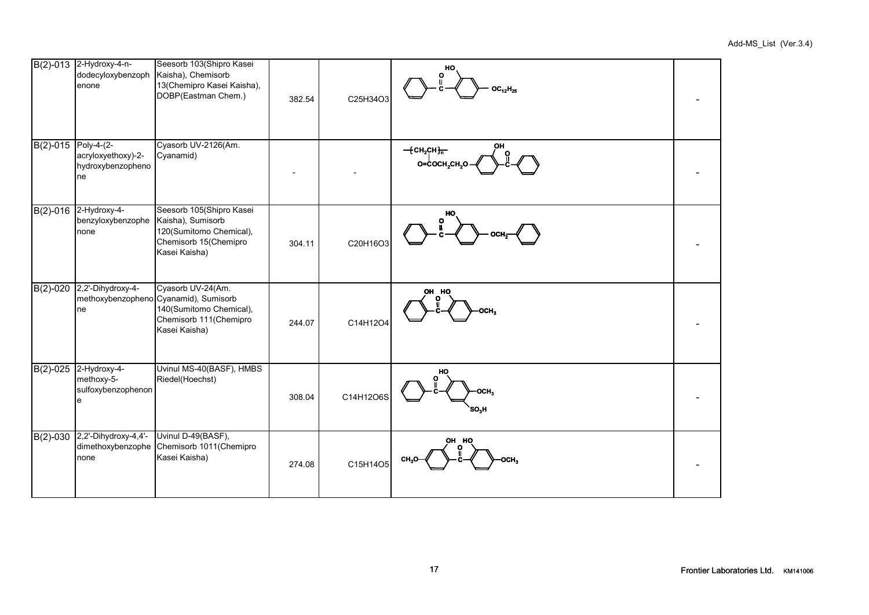|                     | B(2)-013 2-Hydroxy-4-n-<br>dodecyloxybenzoph<br>enone          | Seesorb 103(Shipro Kasei<br>Kaisha), Chemisorb<br>13(Chemipro Kasei Kaisha),<br>DOBP(Eastman Chem.)                              | 382.54 | C25H34O3  | HO<br>ი<br>$OC_{12}H_{25}$                                                                  |  |
|---------------------|----------------------------------------------------------------|----------------------------------------------------------------------------------------------------------------------------------|--------|-----------|---------------------------------------------------------------------------------------------|--|
| B(2)-015 Poly-4-(2- | acryloxyethoxy)-2-<br>hydroxybenzopheno<br>ne                  | Cyasorb UV-2126(Am.<br>Cyanamid)                                                                                                 |        |           | $-$ {CH <sub>2</sub> CH} <del><sub>n</sub></del><br>O=COCH <sub>2</sub> CH <sub>2</sub> O - |  |
|                     | B(2)-016 2-Hydroxy-4-<br>benzyloxybenzophe<br>none             | Seesorb 105(Shipro Kasei<br>Kaisha), Sumisorb<br>120(Sumitomo Chemical),<br>Chemisorb 15(Chemipro<br>Kasei Kaisha)               | 304.11 | C20H16O3  | HO<br>ο                                                                                     |  |
| $B(2)-020$          | 2,2'-Dihydroxy-4-<br>ne                                        | Cyasorb UV-24(Am.<br>methoxybenzopheno Cyanamid), Sumisorb<br>140(Sumitomo Chemical),<br>Chemisorb 111(Chemipro<br>Kasei Kaisha) | 244.07 | C14H12O4  | OH HO                                                                                       |  |
|                     | B(2)-025 2-Hydroxy-4-<br>methoxy-5-<br>sulfoxybenzophenon<br>e | Uvinul MS-40(BASF), HMBS<br>Riedel(Hoechst)                                                                                      | 308.04 | C14H12O6S | но<br>осн,<br>SO,H                                                                          |  |
| $B(2)-030$          | 2,2'-Dihydroxy-4,4'-<br>dimethoxybenzophe<br>none              | Uvinul D-49(BASF),<br>Chemisorb 1011(Chemipro<br>Kasei Kaisha)                                                                   | 274.08 | C15H14O5  | он но                                                                                       |  |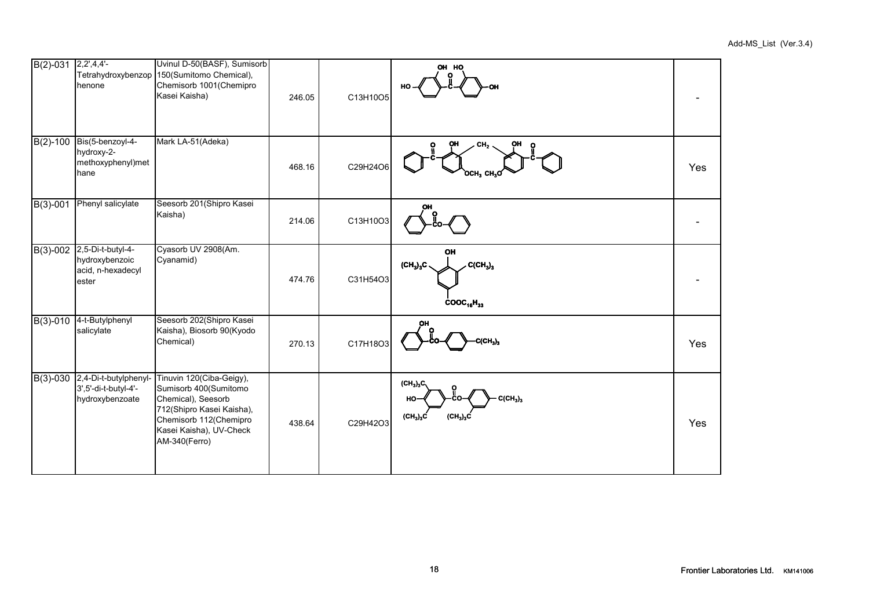| $B(2)-031$ 2,2',4,4'-   | henone                                                            | Uvinul D-50(BASF), Sumisorb<br>Tetrahydroxybenzop 150(Sumitomo Chemical),<br>Chemisorb 1001(Chemipro<br>Kasei Kaisha)                                                      | 246.05 | C13H10O5 | OH HO<br>нс                                                                |     |
|-------------------------|-------------------------------------------------------------------|----------------------------------------------------------------------------------------------------------------------------------------------------------------------------|--------|----------|----------------------------------------------------------------------------|-----|
| $\overline{B(2)}$ -100  | Bis(5-benzoyl-4-<br>hydroxy-2-<br>methoxyphenyl)met<br>hane       | Mark LA-51(Adeka)                                                                                                                                                          | 468.16 | C29H24O6 | CH.<br>$OCH3$ CH <sub>3</sub> C                                            | Yes |
| $B(3)-001$              | Phenyl salicylate                                                 | Seesorb 201(Shipro Kasei<br>Kaisha)                                                                                                                                        | 214.06 | C13H10O3 |                                                                            |     |
| $B(3)-002$              | 2,5-Di-t-butyl-4-<br>hydroxybenzoic<br>acid, n-hexadecyl<br>ester | Cyasorb UV 2908(Am.<br>Cyanamid)                                                                                                                                           | 474.76 | C31H54O3 | OH<br>$(\text{CH}_3)_3\text{C}$<br>$C(CH_3)_3$<br>$\text{cooc}_{16}H_{33}$ |     |
| $B(3) - 010$            | 4-t-Butylphenyl<br>salicylate                                     | Seesorb 202(Shipro Kasei<br>Kaisha), Biosorb 90(Kyodo<br>Chemical)                                                                                                         | 270.13 | C17H18O3 | $\text{CH}_3$ )                                                            | Yes |
| $\overline{B(3)} - 030$ | 2,4-Di-t-butylphenyl-<br>3',5'-di-t-butyl-4'-<br>hydroxybenzoate  | Tinuvin 120(Ciba-Geigy),<br>Sumisorb 400(Sumitomo<br>Chemical), Seesorb<br>712(Shipro Kasei Kaisha),<br>Chemisorb 112(Chemipro<br>Kasei Kaisha), UV-Check<br>AM-340(Ferro) | 438.64 | C29H42O3 | $(CH_3)_3C$<br>$C(CH_3)_3$<br>HO<br>$(CH_3)_3C$<br>$(CH_3)_3C$             | Yes |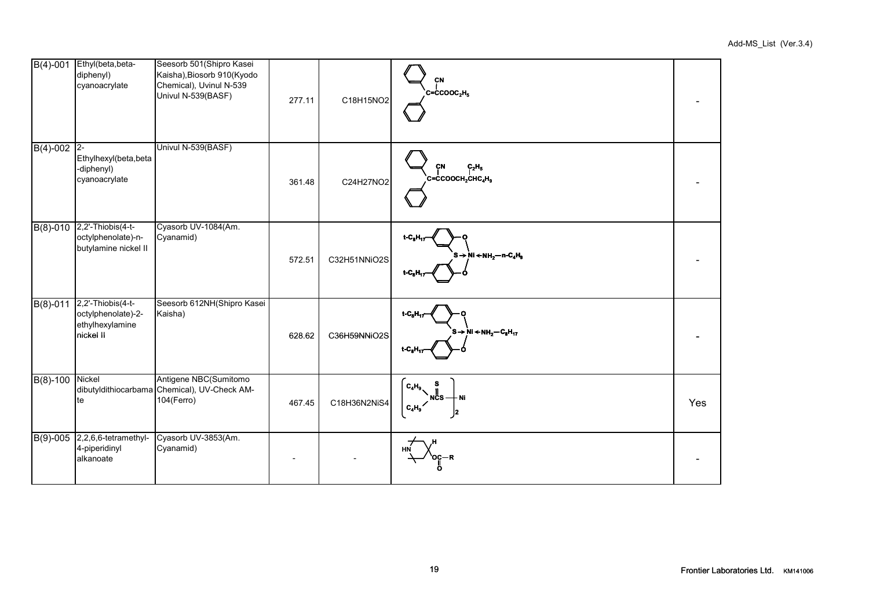| $B(4)-001$    | Ethyl(beta, beta-<br>diphenyl)<br>cyanoacrylate                          | Seesorb 501(Shipro Kasei<br>Kaisha), Biosorb 910(Kyodo<br>Chemical), Uvinul N-539<br>Univul N-539(BASF) | 277.11 | C18H15NO2    | CN<br>$c = c \text{cooc}_2H_5$                                                  |     |
|---------------|--------------------------------------------------------------------------|---------------------------------------------------------------------------------------------------------|--------|--------------|---------------------------------------------------------------------------------|-----|
| $B(4)-002$ 2- | Ethylhexyl(beta, beta<br>-diphenyl)<br>cyanoacrylate                     | Univul N-539(BASF)                                                                                      | 361.48 | C24H27NO2    | CN<br>$C_2H_5$<br>$C = CCOOCH2CHC4H9$                                           |     |
|               | B(8)-010 2,2'-Thiobis(4-t-<br>octylphenolate)-n-<br>butylamine nickel II | Cyasorb UV-1084(Am.<br>Cyanamid)                                                                        | 572.51 | C32H51NNiO2S | $t - CnH17$<br>$S \rightarrow Ni \leftarrow NH_2 - n - C_4H_9$<br>$t - C_n H_1$ |     |
| $B(8)-011$    | 2,2'-Thiobis(4-t-<br>octylphenolate)-2-<br>ethylhexylamine<br>nickel II  | Seesorb 612NH(Shipro Kasei<br>Kaisha)                                                                   | 628.62 | C36H59NNiO2S | $t - CnHn$<br>$S \rightarrow Ni \leftarrow NH_2-C_8H_{17}$                      |     |
| $B(8)-100$    | Nickel<br>te                                                             | Antigene NBC(Sumitomo<br>dibutyldithiocarbama Chemical), UV-Check AM-<br>104(Ferro)                     | 467.45 | C18H36N2NiS4 | $C_4H_9$<br>- Ni<br>$C_4H_9$<br>2                                               | Yes |
|               | B(9)-005 2,2,6,6-tetramethyl-<br>4-piperidinyl<br>alkanoate              | Cyasorb UV-3853(Am.<br>Cyanamid)                                                                        |        |              | HN                                                                              |     |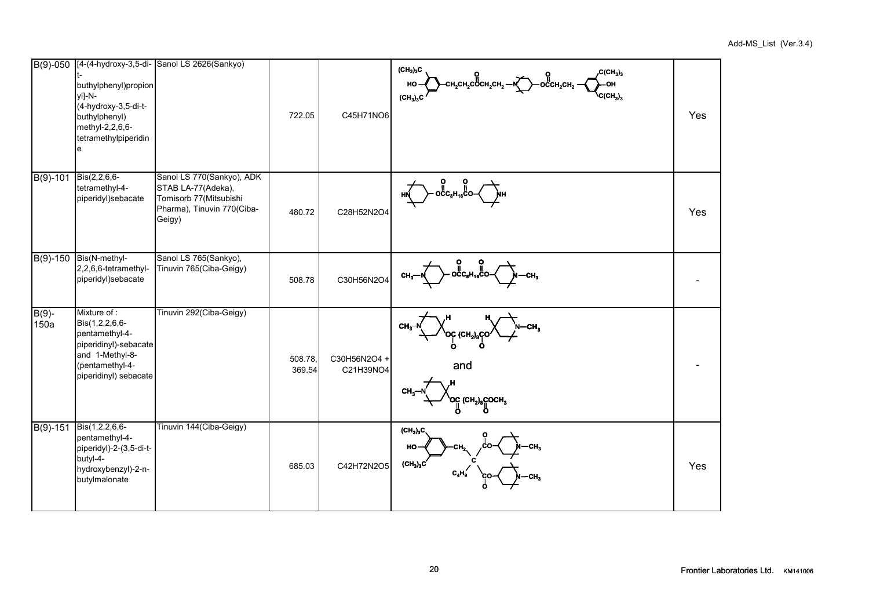| $\overline{B(9)} - 050$ | buthylphenyl)propion<br>yl]-N-<br>(4-hydroxy-3,5-di-t-<br>buthylphenyl)<br>methyl-2,2,6,6-<br>tetramethylpiperidin<br>ė                 | [4-(4-hydroxy-3,5-di- Sanol LS 2626(Sankyo)                                                                       | 722.05            | C45H71NO6                 | $(CH_3)_3C$<br>, $C(CH_3)_3$<br>—<br>Сн <sub>2</sub> сн <sub>2</sub> сосн <sub>2</sub> сн <sub>2</sub> — Nina Co <sup>0</sup> CCH <sub>2</sub> CH <sub>2</sub> —<br>-OH<br>HO-<br>$C(CH_3)_3$<br>(CH <sub>3</sub> ) <sub>3</sub> C | Yes |
|-------------------------|-----------------------------------------------------------------------------------------------------------------------------------------|-------------------------------------------------------------------------------------------------------------------|-------------------|---------------------------|------------------------------------------------------------------------------------------------------------------------------------------------------------------------------------------------------------------------------------|-----|
| $B(9)-101$              | Bis(2,2,6,6-<br>tetramethyl-4-<br>piperidyl)sebacate                                                                                    | Sanol LS 770(Sankyo), ADK<br>STAB LA-77(Adeka),<br>Tomisorb 77(Mitsubishi<br>Pharma), Tinuvin 770(Ciba-<br>Geigy) | 480.72            | C28H52N2O4                |                                                                                                                                                                                                                                    | Yes |
| B(9)-150                | Bis(N-methyl-<br>2,2,6,6-tetramethyl-<br>piperidyl)sebacate                                                                             | Sanol LS 765(Sankyo),<br>Tinuvin 765(Ciba-Geigy)                                                                  | 508.78            | C30H56N2O4                | -CH,<br>$CH3$ -                                                                                                                                                                                                                    |     |
| $B(9)$ -<br>150a        | Mixture of:<br>Bis(1,2,2,6,6-<br>pentamethyl-4-<br>piperidinyl)-sebacate<br>and 1-Methyl-8-<br>(pentamethyl-4-<br>piperidinyl) sebacate | Tinuvin 292(Ciba-Geigy)                                                                                           | 508.78,<br>369.54 | C30H56N2O4 +<br>C21H39NO4 | CH <sub>5</sub><br>$\rm \backslash$ ဝင္ (CH <sub>2</sub> ) <sub>8</sub> င္(<br>and<br>CH.<br>၀ငူ (CH <sub>2</sub> ) <sub>8</sub> ငူဝCH <sub>3</sub>                                                                                |     |
| B(9)-151                | Bis(1,2,2,6,6-<br>pentamethyl-4-<br>piperidyl)-2-(3,5-di-t-<br>butyl-4-<br>hydroxybenzyl)-2-n-<br>butylmalonate                         | Tinuvin 144(Ciba-Geigy)                                                                                           | 685.03            | C42H72N2O5                | $(CH_3)_3C$<br>HO<br>$(CH_3)_3C$                                                                                                                                                                                                   | Yes |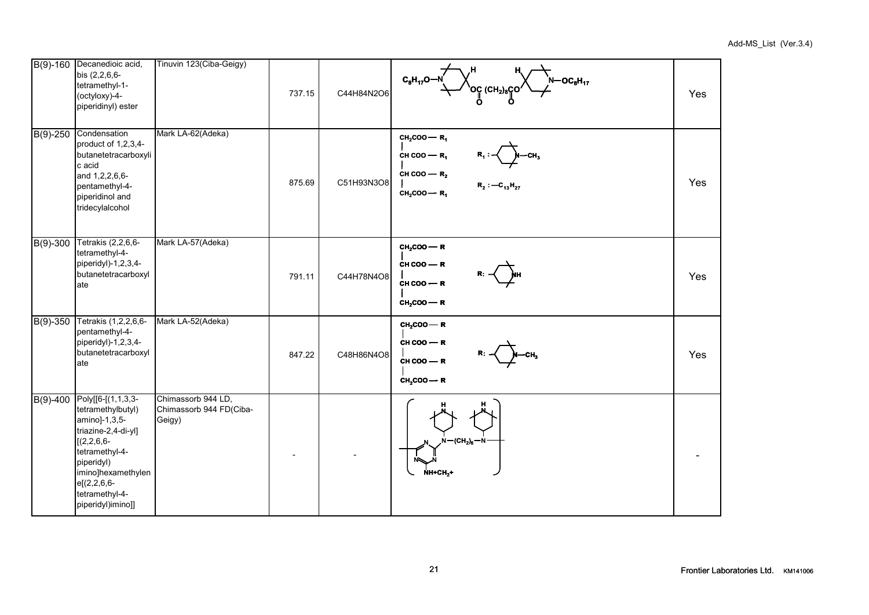|                        | B(9)-160 Decanedioic acid,<br>bis (2,2,6,6-<br>tetramethyl-1-<br>(octyloxy)-4-<br>piperidinyl) ester                                                                                                              | Tinuvin 123(Ciba-Geigy)                                 | 737.15 | C44H84N2O6 | $\begin{picture}(130,10) \put(0,0){\line(1,0){10}} \put(15,0){\line(1,0){10}} \put(15,0){\line(1,0){10}} \put(15,0){\line(1,0){10}} \put(15,0){\line(1,0){10}} \put(15,0){\line(1,0){10}} \put(15,0){\line(1,0){10}} \put(15,0){\line(1,0){10}} \put(15,0){\line(1,0){10}} \put(15,0){\line(1,0){10}} \put(15,0){\line(1,0){10}} \put(15,0){\line($<br>.<br> N—OC <sub>8</sub> H <sub>17</sub><br> - | Yes |
|------------------------|-------------------------------------------------------------------------------------------------------------------------------------------------------------------------------------------------------------------|---------------------------------------------------------|--------|------------|------------------------------------------------------------------------------------------------------------------------------------------------------------------------------------------------------------------------------------------------------------------------------------------------------------------------------------------------------------------------------------------------------|-----|
| $B(9)-250$             | Condensation<br>product of 1,2,3,4-<br>butanetetracarboxyli<br>c acid<br>and 1,2,2,6,6-<br>pentamethyl-4-<br>piperidinol and<br>tridecylalcohol                                                                   | Mark LA-62(Adeka)                                       | 875.69 | C51H93N3O8 | $CH2COO$ $ R1$<br>CH COO – $R_1$<br>СΗ,<br>CH COO - $R_2$<br>$R_2: -C_{13}H_{27}$<br>$CH2COO$ - R <sub>1</sub>                                                                                                                                                                                                                                                                                       | Yes |
| $B(9)-300$             | Tetrakis (2,2,6,6-<br>tetramethyl-4-<br>piperidyl)-1,2,3,4-<br>butanetetracarboxyl<br>late                                                                                                                        | Mark LA-57(Adeka)                                       | 791.11 | C44H78N4O8 | $CH2COO$ - R<br>$CH COO - R$<br>$CH COO - R$<br>$CH2COO$ - R                                                                                                                                                                                                                                                                                                                                         | Yes |
| $\overline{B(9)}$ -350 | Tetrakis (1,2,2,6,6-<br>pentamethyl-4-<br>piperidyl)-1,2,3,4-<br>butanetetracarboxyl<br>ate                                                                                                                       | Mark LA-52(Adeka)                                       | 847.22 | C48H86N4O8 | $CH2COO$ - R<br>$CH COO - R$<br>$CH COO - R$<br>$CH2COO$ - R                                                                                                                                                                                                                                                                                                                                         | Yes |
| $B(9)-400$             | Poly[[6-[(1,1,3,3-<br>tetramethylbutyl)<br>amino]-1,3,5-<br>triazine-2,4-di-yl]<br>$[(2, 2, 6, 6 -$<br>tetramethyl-4-<br>piperidyl)<br>imino]hexamethylen<br>$e[(2,2,6,6-$<br>tetramethyl-4-<br>piperidyl)imino]] | Chimassorb 944 LD,<br>Chimassorb 944 FD(Ciba-<br>Geigy) |        |            | $-(CH2)6$<br>NS.<br><b>NH+CH,+</b>                                                                                                                                                                                                                                                                                                                                                                   |     |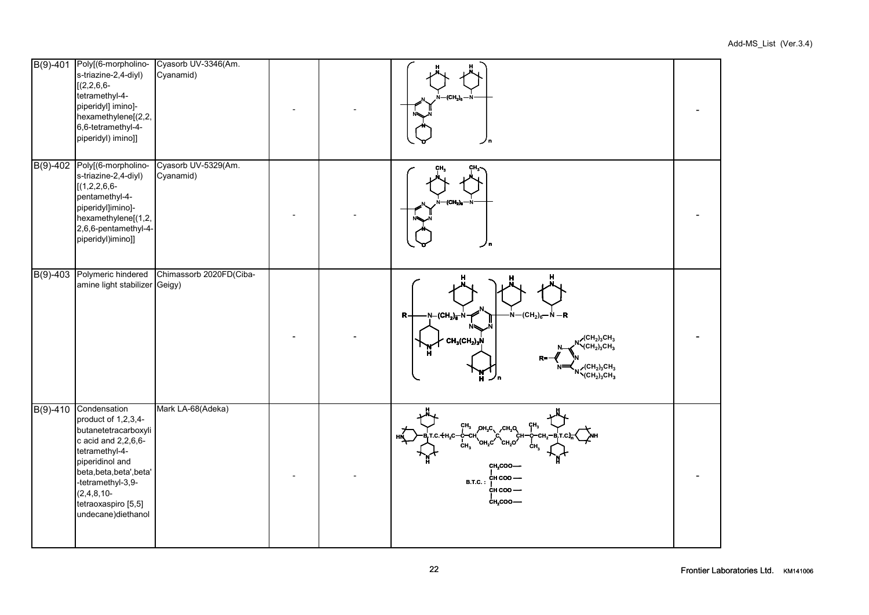| $B(9)-401$ | Poly[(6-morpholino-<br>s-triazine-2,4-diyl)<br>$[(2, 2, 6, 6 -$<br>tetramethyl-4-<br>piperidyl] imino]-<br>hexamethylene[(2,2,<br>6,6-tetramethyl-4-<br>piperidyl) imino]]                                                               | Cyasorb UV-3346(Am.<br>Cyanamid) |  | (CH,),<br>ノロ                                                                                                                                                                                                                                                                                           |  |
|------------|------------------------------------------------------------------------------------------------------------------------------------------------------------------------------------------------------------------------------------------|----------------------------------|--|--------------------------------------------------------------------------------------------------------------------------------------------------------------------------------------------------------------------------------------------------------------------------------------------------------|--|
| $B(9)-402$ | Poly[(6-morpholino-<br>s-triazine-2,4-diyl)<br>$[(1,2,2,6,6-$<br>pentamethyl-4-<br>piperidyl]imino]-<br>hexamethylene[(1,2,<br>2,6,6-pentamethyl-4-<br>piperidyl)imino]]                                                                 | Cyasorb UV-5329(Am.<br>Cyanamid) |  | (CH <sub>2</sub> ) <sub>0</sub>                                                                                                                                                                                                                                                                        |  |
| $B(9)-403$ | Polymeric hindered<br>amine light stabilizer Geigy)                                                                                                                                                                                      | Chimassorb 2020FD(Ciba-          |  | $N - (CH2)6 - N - R$<br>N-(CH <sub>2</sub> ) <sub>6</sub> -N<br>R<br>$\chi$ (CH <sub>2</sub> ) <sub>3</sub> CH <sub>3</sub><br>$CH_3CH_2)_3N$<br>$\sqrt{\text{CH}_2}_3\text{CH}_3$<br><sub>╱</sub> (СН <sub>2</sub> ) <sub>3</sub> СН <sub>3</sub><br>╲(СН <sub>2</sub> ) <sub>3</sub> СН <sub>3</sub> |  |
| $B(9)-410$ | Condensation<br>product of 1,2,3,4-<br>butanetetracarboxyli<br>c acid and 2,2,6,6-<br>tetramethyl-4-<br>piperidinol and<br>beta, beta, beta', beta'<br>-tetramethyl-3,9-<br>$(2, 4, 8, 10-$<br>tetraoxaspiro [5,5]<br>undecane)diethanol | Mark LA-68(Adeka)                |  | $CH_3$ OH <sub>2</sub> C CH <sub>2</sub> Q<br>$\begin{array}{cc}\nC + H_2C - C - C_1 \\ C - C_2\n\end{array}$<br>OH C<br>CH <sub>2</sub> COO-<br>сн соо —<br>B.T.C.:<br>ċн соо —<br>CH <sub>2</sub> COO-                                                                                               |  |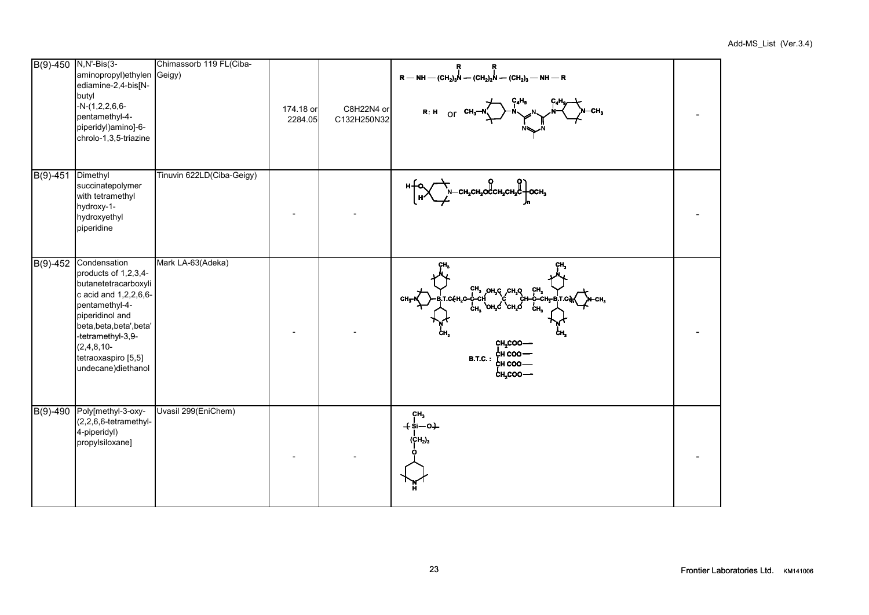|            | B(9)-450 N,N'-Bis(3-<br>aminopropyl)ethylen Geigy)<br>ediamine-2,4-bis[N-<br>butyl<br>$-N-(1,2,2,6,6-$<br>pentamethyl-4-<br>piperidyl)amino]-6-<br>chrolo-1,3,5-triazine                                                                    | Chimassorb 119 FL(Ciba-   | 174.18 or<br>2284.05 | C8H22N4 or<br>C132H250N32 | Ŗ<br>Ŗ<br>$R$ – NH – (CH <sub>2</sub> ) <sub>3</sub> N – (CH <sub>2</sub> ) <sub>2</sub> N – (CH <sub>2</sub> ) <sub>3</sub> – NH – R<br>R: H Or $CH_3-N$ $\rightarrow N$ |  |
|------------|---------------------------------------------------------------------------------------------------------------------------------------------------------------------------------------------------------------------------------------------|---------------------------|----------------------|---------------------------|---------------------------------------------------------------------------------------------------------------------------------------------------------------------------|--|
| $B(9)-451$ | Dimethyl<br>succinatepolymer<br>with tetramethyl<br>hydroxy-1-<br>hydroxyethyl<br>piperidine                                                                                                                                                | Tinuvin 622LD(Ciba-Geigy) |                      |                           | $\uparrow$ - CH <sub>2</sub> CH <sub>2</sub> OCCH <sub>2</sub> CH <sub>2</sub> C - OCH <sub>3</sub>                                                                       |  |
| $B(9)-452$ | Condensation<br>products of 1,2,3,4-<br>butanetetracarboxyli<br>c acid and $1,2,2,6,6$ -<br>pentamethyl-4-<br>piperidinol and<br>beta, beta, beta', beta'<br>-tetramethyl-3,9-<br>$(2,4,8,10-$<br>tetraoxaspiro [5,5]<br>undecane)diethanol | Mark LA-63(Adeka)         |                      |                           | A CH3 OH3 CH3 CH3 AN<br>ĊН.<br>CH <sub>2</sub> COO-<br>¢н соо —<br><b>B.T.C.:</b><br>сн соо —<br>$c_{H,COO}$ —                                                            |  |
| $B(9)-490$ | Poly[methyl-3-oxy-<br>(2,2,6,6-tetramethyl-<br>4-piperidyl)<br>propylsiloxane]                                                                                                                                                              | Uvasil 299(EniChem)       |                      |                           | CH <sub>3</sub><br>$+$ si $-$ o $+$<br>(CH <sub>2</sub> ) <sub>3</sub>                                                                                                    |  |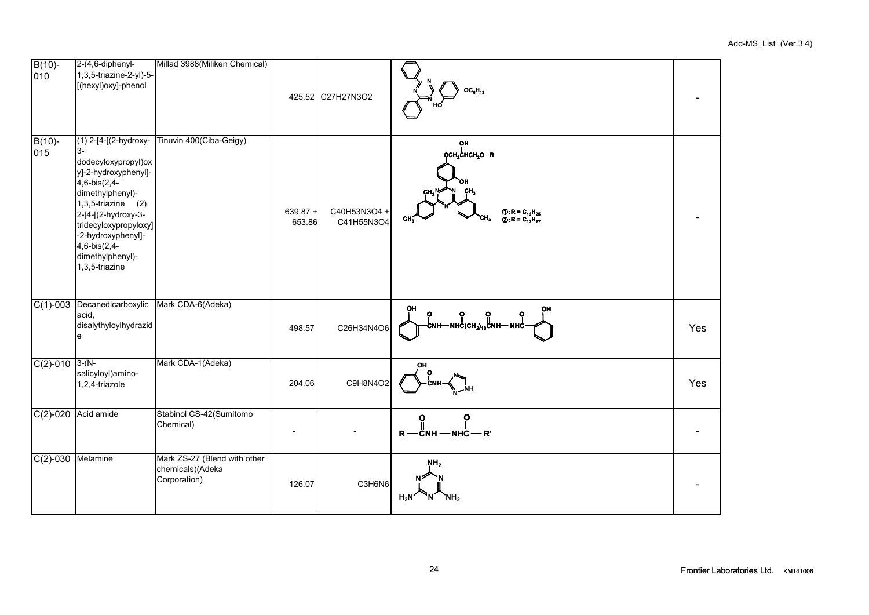| $B(10)$ -<br>010    | 2-(4,6-diphenyl-<br>1,3,5-triazine-2-yl)-5-<br>[(hexyl)oxy]-phenol                                                                                                                                                                                                       | Millad 3988(Miliken Chemical)                                    |                      | 425.52 C27H27N3O2          | OC <sub>6</sub> H <sub>43</sub>                                                                                                               |     |
|---------------------|--------------------------------------------------------------------------------------------------------------------------------------------------------------------------------------------------------------------------------------------------------------------------|------------------------------------------------------------------|----------------------|----------------------------|-----------------------------------------------------------------------------------------------------------------------------------------------|-----|
| $B(10)$ -<br>015    | (1) 2-[4-[(2-hydroxy-<br>l3-<br>dodecyloxypropyl)ox<br>y]-2-hydroxyphenyl]-<br>$4,6-bis(2,4-$<br>dimethylphenyl)-<br>$1,3,5$ -triazine $(2)$<br>2-[4-[(2-hydroxy-3-<br>tridecyloxypropyloxy]<br>-2-hydroxyphenyl]-<br>4,6-bis(2,4-<br>dimethylphenyl)-<br>1,3,5-triazine | Tinuvin 400(Ciba-Geigy)                                          | $639.87 +$<br>653.86 | C40H53N3O4 +<br>C41H55N3O4 | OН<br>OCH <sub>2</sub> CHCH <sub>2</sub> O-R<br>$\bigoplus$ : R = C <sub>12</sub> H <sub>25</sub><br>CH <sub>3</sub><br>$Q: R = C_{13}H_{27}$ |     |
| $C(1)-003$          | Decanedicarboxylic<br>acid,<br>disalythyloylhydrazid<br>e                                                                                                                                                                                                                | Mark CDA-6(Adeka)                                                | 498.57               | C26H34N4O6                 | OH<br>OH<br>-С" - "С" (СН <sub>2)10</sub> С" - "С" - "С" -                                                                                    | Yes |
| $C(2)-010$ 3-(N-    | salicyloyl)amino-<br>1,2,4-triazole                                                                                                                                                                                                                                      | Mark CDA-1(Adeka)                                                | 204.06               | C9H8N4O2                   | OH                                                                                                                                            | Yes |
| $C(2) - 020$        | Acid amide                                                                                                                                                                                                                                                               | Stabinol CS-42(Sumitomo<br>Chemical)                             |                      |                            | ဝူ<br>O<br>$R$ - $\ddot{C}$ NH - NHC - $R'$                                                                                                   |     |
| $C(2)-030$ Melamine |                                                                                                                                                                                                                                                                          | Mark ZS-27 (Blend with other<br>chemicals)(Adeka<br>Corporation) | 126.07               | C3H6N6                     | NH <sub>2</sub><br>$H_2N$<br>N<br>`NH,                                                                                                        |     |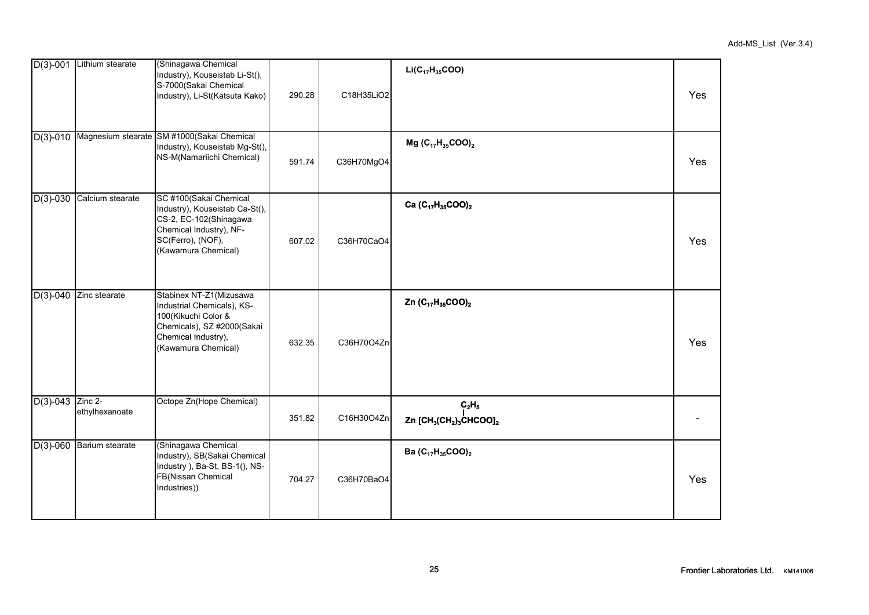|                     | $D(3)-001$ Lithium stearate | (Shinagawa Chemical<br>Industry), Kouseistab Li-St(),<br>S-7000(Sakai Chemical<br>Industry), Li-St(Katsuta Kako)                                          | 290.28 | C18H35LiO2 | $Li(C_{17}H_{35}COO)$                                                               | Yes |
|---------------------|-----------------------------|-----------------------------------------------------------------------------------------------------------------------------------------------------------|--------|------------|-------------------------------------------------------------------------------------|-----|
|                     |                             | D(3)-010 Magnesium stearate SM #1000(Sakai Chemical<br>Industry), Kouseistab Mg-St(),<br>NS-M(Namariichi Chemical)                                        | 591.74 | C36H70MgO4 | Mg $(C_{17}H_{35}COO)_2$                                                            | Yes |
|                     | D(3)-030 Calcium stearate   | SC #100(Sakai Chemical<br>Industry), Kouseistab Ca-St(),<br>CS-2, EC-102(Shinagawa<br>Chemical Industry), NF-<br>SC(Ferro), (NOF),<br>(Kawamura Chemical) | 607.02 | C36H70CaO4 | Ca (C <sub>17</sub> H <sub>35</sub> COO) <sub>2</sub>                               | Yes |
| $D(3)-040$          | Zinc stearate               | Stabinex NT-Z1(Mizusawa<br>Industrial Chemicals), KS-<br>100(Kikuchi Color &<br>Chemicals), SZ #2000(Sakai<br>Chemical Industry),<br>(Kawamura Chemical)  | 632.35 | C36H70O4Zn | Zn $(C_{17}H_{35}COO)_2$                                                            | Yes |
| $D(3)$ -043 Zinc 2- | ethylhexanoate              | Octope Zn(Hope Chemical)                                                                                                                                  | 351.82 | C16H30O4Zn | $C_2H_5$<br>Zn [CH <sub>3</sub> (CH <sub>2</sub> ) <sub>3</sub> CHCOO] <sub>2</sub> |     |
|                     | $D(3)$ -060 Barium stearate | (Shinagawa Chemical<br>Industry), SB(Sakai Chemical<br>Industry ), Ba-St, BS-1(), NS-<br>FB(Nissan Chemical<br>Industries))                               | 704.27 | C36H70BaO4 | Ba (C <sub>17</sub> H <sub>35</sub> COO) <sub>2</sub>                               | Yes |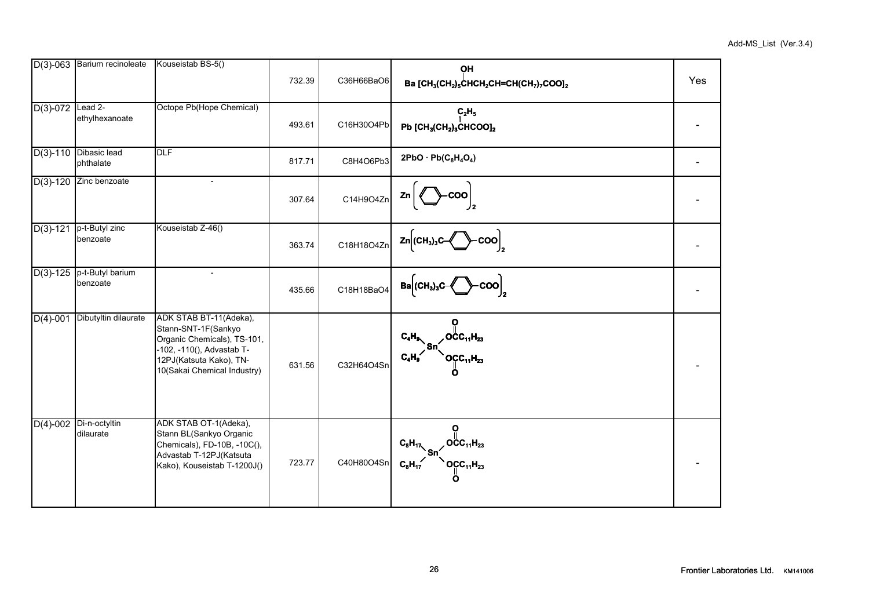|              | $D(3)$ -063 Barium recinoleate | Kouseistab BS-5()                                                                                                                                                   | 732.39 | C36H66BaO6 | <b>OH</b><br>Ba [CH <sub>3</sub> (CH <sub>2</sub> ) <sub>5</sub> CHCH <sub>2</sub> CH=CH(CH <sub>7</sub> ) <sub>7</sub> COO] <sub>2</sub> | Yes |
|--------------|--------------------------------|---------------------------------------------------------------------------------------------------------------------------------------------------------------------|--------|------------|-------------------------------------------------------------------------------------------------------------------------------------------|-----|
| $D(3)-072$   | $Lead$ $2-$<br>ethylhexanoate  | Octope Pb(Hope Chemical)                                                                                                                                            | 493.61 | C16H30O4Pb | $C_2H_5$<br>Pb $[CH_3(CH_2)_3CHCOO]_2$                                                                                                    |     |
| $D(3)-110$   | Dibasic lead<br>phthalate      | DLF                                                                                                                                                                 | 817.71 | C8H4O6Pb3  | $2PbO \cdot Pb(C_8H_4O_4)$                                                                                                                |     |
| $D(3) - 120$ | Zinc benzoate                  | $\overline{\phantom{0}}$                                                                                                                                            | 307.64 | C14H9O4Zn  | Zn                                                                                                                                        |     |
| $D(3)-121$   | p-t-Butyl zinc<br>benzoate     | Kouseistab Z-46()                                                                                                                                                   | 363.74 | C18H18O4Zn | $Zn$ (CH <sub>3</sub> ) <sub>3</sub> C-<br>coo                                                                                            |     |
| $D(3)-125$   | p-t-Butyl barium<br>benzoate   | $\overline{\phantom{a}}$                                                                                                                                            | 435.66 | C18H18BaO4 | $Ba$ (CH <sub>3</sub> ) <sub>3</sub> C<br>${\sf coo}$                                                                                     |     |
| $D(4)-001$   | Dibutyltin dilaurate           | ADK STAB BT-11(Adeka),<br>Stann-SNT-1F(Sankyo<br>Organic Chemicals), TS-101,<br>-102, -110(), Advastab T-<br>12PJ(Katsuta Kako), TN-<br>10(Sakai Chemical Industry) | 631.56 | C32H64O4Sn | $C_4H_9$<br>, OCC <sub>11</sub> H <sub>23</sub><br>`OCC <sub>11</sub> H <sub>23</sub><br>$C_{4}H_{4}$                                     |     |
| $D(4)-002$   | Di-n-octyltin<br>dilaurate     | ADK STAB OT-1(Adeka),<br>Stann BL(Sankyo Organic<br>Chemicals), FD-10B, -10C(),<br>Advastab T-12PJ(Katsuta<br>Kako), Kouseistab T-1200J()                           | 723.77 | C40H80O4Sn | $\frac{c_8H_{17}}{c_8H_{17}}$ sn $\bigotimes_{n=0}^{\infty}$ occ <sub>11</sub> H <sub>23</sub>                                            |     |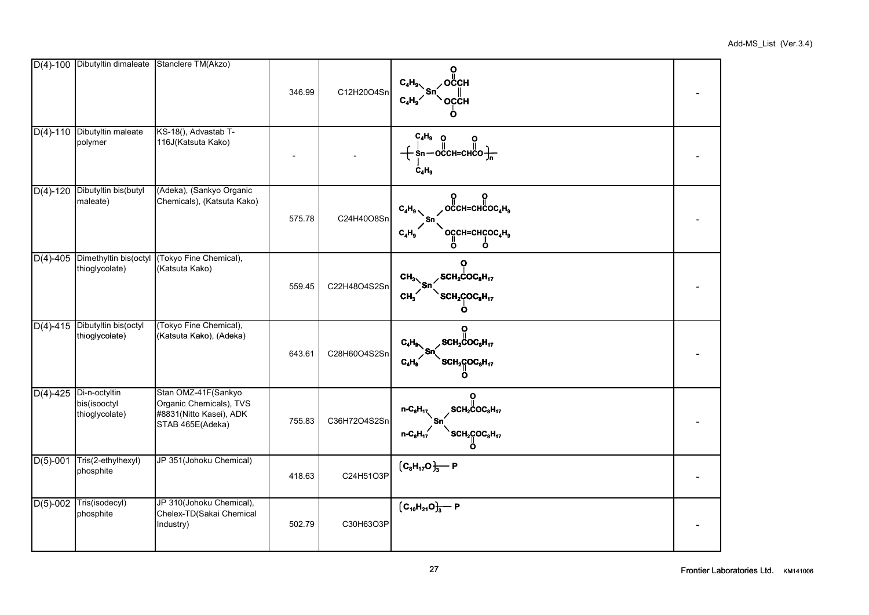|              | D(4)-100 Dibutyltin dimaleate Stanclere TM(Akzo)            |                                                                                               | 346.99 | C12H20O4Sn   | $C_4H_9$ Sn $\overline{\phantom{a}}$ OCCH<br>OCCH<br>$C_4H_9'$                                                                                                          |  |
|--------------|-------------------------------------------------------------|-----------------------------------------------------------------------------------------------|--------|--------------|-------------------------------------------------------------------------------------------------------------------------------------------------------------------------|--|
|              | D(4)-110 Dibutyltin maleate<br>polymer                      | KS-18(), Advastab T-<br>116J(Katsuta Kako)                                                    |        |              | $C_4H_9$ o o<br>$\left.\left.\begin{array}{ccc} 1 & 0 & 0 \\ 0 & 0 & 0 \\ \sin - \text{OCC}H = \text{CHCO} & \frac{1}{10} \end{array}\right\right _0$<br>$\dot{C}_4H_9$ |  |
|              | D(4)-120 Dibutyltin bis(butyl<br>maleate)                   | (Adeka), (Sankyo Organic<br>Chemicals), (Katsuta Kako)                                        | 575.78 | C24H40O8Sn   | <b>ူ ဂူ</b><br>.occн=снсос <sub>4</sub> н。<br>$C_4H_9$<br>$C_4H_9$<br>ဝငူငн=ငнငူဝင $_4$ н $_9$<br>Ö<br>n                                                                |  |
|              | D(4)-405 Dimethyltin bis(octyl<br>thioglycolate)            | (Tokyo Fine Chemical),<br>(Katsuta Kako)                                                      | 559.45 | C22H48O4S2Sn | $SCH2COC8H17$<br>CH <sub>3</sub><br>SCH2COC <sub>8</sub> H <sub>17</sub><br>CH <sub>3</sub><br>ი                                                                        |  |
| $D(4) - 415$ | Dibutyltin bis(octyl<br>thioglycolate)                      | (Tokyo Fine Chemical),<br>(Katsuta Kako), (Adeka)                                             | 643.61 | C28H60O4S2Sn | $SCH2COC8H17$<br>$C_4H_9$<br>$\mathsf{SCH}_2^\mathsf{c}\mathsf{QOC}_8\mathsf{H}_{17}$<br>$C_4H_9$                                                                       |  |
|              | $D(4)$ -425 Di-n-octyltin<br>bis(isooctyl<br>thioglycolate) | Stan OMZ-41F(Sankyo<br>Organic Chemicals), TVS<br>#8831(Nitto Kasei), ADK<br>STAB 465E(Adeka) | 755.83 | C36H72O4S2Sn | $\rm _{_2}$ SCH $\rm _2$ COC $\rm _8$ H $\rm _17$<br>$n-C_8H_{17}$<br>$\text{SCH}_2\text{COC}_8\text{H}_{17}$<br>$n-C_8H_{17}$                                          |  |
| $D(5)-001$   | Tris(2-ethylhexyl)<br>phosphite                             | JP 351(Johoku Chemical)                                                                       | 418.63 | C24H51O3P    | $\left[{C_8}H_{17}O\right]_3$ P                                                                                                                                         |  |
| $D(5)-002$   | Tris(isodecyl)<br>phosphite                                 | JP 310(Johoku Chemical),<br>Chelex-TD(Sakai Chemical<br>Industry)                             | 502.79 | C30H63O3P    | $[C_{10}H_{21}O]_{3}$ P                                                                                                                                                 |  |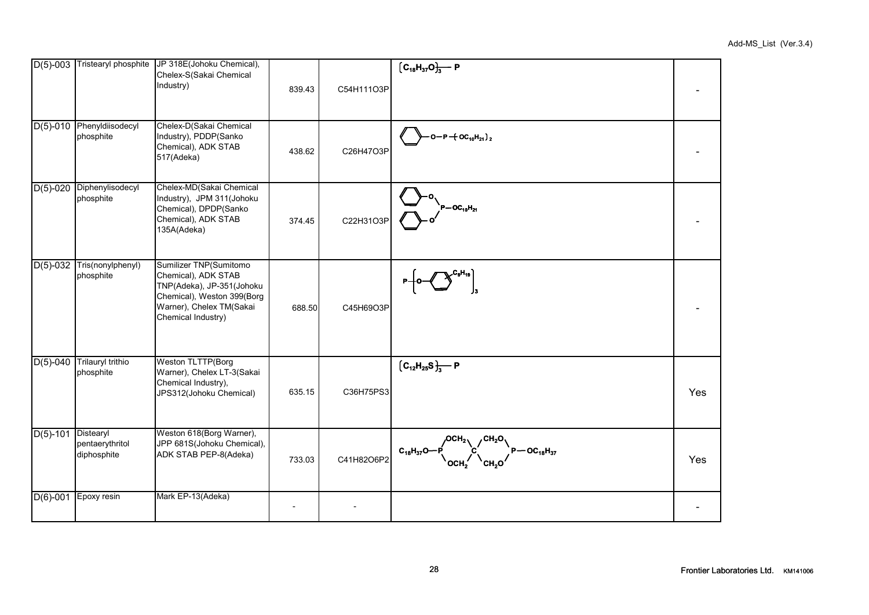|                       | D(5)-003 Tristearyl phosphite          | JP 318E(Johoku Chemical),<br>Chelex-S(Sakai Chemical<br>Industry)                                                                                          | 839.43 | C54H111O3P | $[C_{18}H_{37}O]_{3}$ P                                         |     |
|-----------------------|----------------------------------------|------------------------------------------------------------------------------------------------------------------------------------------------------------|--------|------------|-----------------------------------------------------------------|-----|
|                       | D(5)-010 Phenyldiisodecyl<br>phosphite | Chelex-D(Sakai Chemical<br>Industry), PDDP(Sanko<br>Chemical), ADK STAB<br>517(Adeka)                                                                      | 438.62 | C26H47O3P  | $-$ O $-$ P $+$ OC <sub>10</sub> H <sub>21</sub> ) <sub>2</sub> |     |
|                       | D(5)-020 Diphenylisodecyl<br>phosphite | Chelex-MD(Sakai Chemical<br>Industry), JPM 311(Johoku<br>Chemical), DPDP(Sanko<br>Chemical), ADK STAB<br>135A(Adeka)                                       | 374.45 | C22H31O3P  | $P-OC_{10}H_{21}$                                               |     |
| $D(5) - 032$          | Tris(nonylphenyl)<br>phosphite         | Sumilizer TNP(Sumitomo<br>Chemical), ADK STAB<br>TNP(Adeka), JP-351(Johoku<br>Chemical), Weston 399(Borg<br>Warner), Chelex TM(Sakai<br>Chemical Industry) | 688.50 | C45H69O3P  |                                                                 |     |
| $D(5)-040$            | Trilauryl trithio<br>phosphite         | <b>Weston TLTTP(Borg</b><br>Warner), Chelex LT-3(Sakai<br>Chemical Industry),<br>JPS312(Johoku Chemical)                                                   | 635.15 | C36H75PS3  | $\left[{C_{12}H_{25}S}_{3}^{1}\right]-P$                        | Yes |
| $D(5)$ -101 Distearyl | pentaerythritol<br>diphosphite         | Weston 618(Borg Warner),<br>JPP 681S(Johoku Chemical),<br>ADK STAB PEP-8(Adeka)                                                                            | 733.03 | C41H82O6P2 | $c_{18}H_{37}O-P$ $c_{18}H_{37}O$ $p-oc_{18}H_{37}$             | Yes |
| $D(6)-001$            | Epoxy resin                            | Mark EP-13(Adeka)                                                                                                                                          |        |            |                                                                 |     |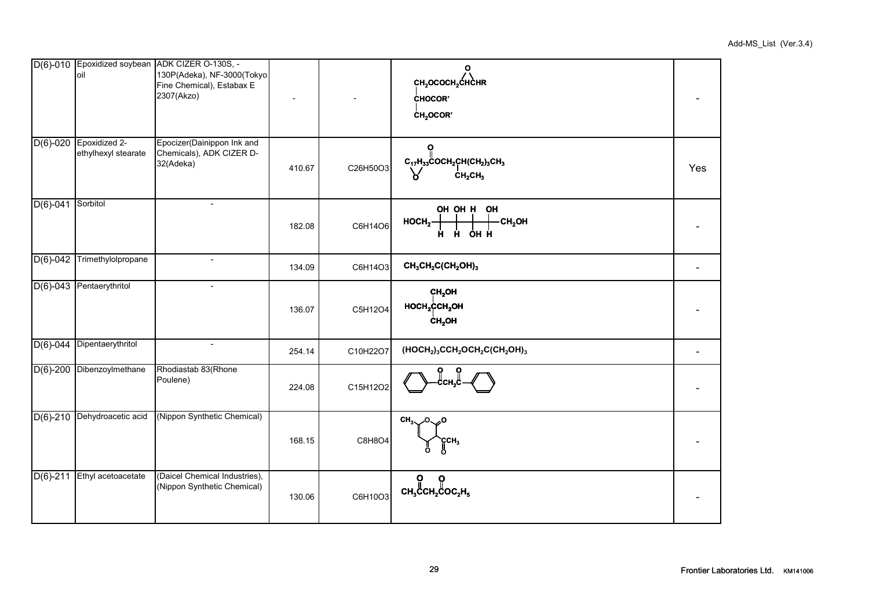|              | loil                                 | D(6)-010 Epoxidized soybean ADK CIZER O-130S, -<br>130P(Adeka), NF-3000(Tokyo<br>Fine Chemical), Estabax E<br>2307(Akzo) |        |          | $\mathbf{o}$<br>CH <sub>2</sub> OCOCH <sub>2</sub> CHCHR<br><b>CHOCOR'</b><br>CH <sub>2</sub> OCOR' |     |
|--------------|--------------------------------------|--------------------------------------------------------------------------------------------------------------------------|--------|----------|-----------------------------------------------------------------------------------------------------|-----|
| $D(6)-020$   | Epoxidized 2-<br>ethylhexyl stearate | Epocizer(Dainippon Ink and<br>Chemicals), ADK CIZER D-<br>32(Adeka)                                                      | 410.67 | C26H50O3 | $C_{17}H_{33}COCH_2CH(CH_2)_3CH_3$<br>CH <sub>2</sub> CH <sub>3</sub>                               | Yes |
| $D(6)-041$   | Sorbitol                             | $\overline{a}$                                                                                                           | 182.08 | C6H14O6  | OH OH H OH<br>HOCH <sub>2</sub><br>-CH <sub>2</sub> OH<br><b>H</b> H OH H                           |     |
| $D(6)-042$   | Trimethylolpropane                   | $\overline{\phantom{a}}$                                                                                                 | 134.09 | C6H14O3  | $CH3CH2C(CH2OH)3$                                                                                   |     |
| $D(6)-043$   | Pentaerythritol                      | $\blacksquare$                                                                                                           | 136.07 | C5H12O4  | CH <sub>2</sub> OH<br>$HOCH2$ CCH <sub>2</sub> OH<br>CH <sub>2</sub> OH                             |     |
| $D(6) - 044$ | Dipentaerythritol                    | $\overline{\phantom{a}}$                                                                                                 | 254.14 | C10H22O7 | $(HOCH2)3CCH2OCH2C(CH2OH)3$                                                                         |     |
| $D(6)-200$   | Dibenzoylmethane                     | Rhodiastab 83(Rhone<br>Poulene)                                                                                          | 224.08 | C15H12O2 |                                                                                                     |     |
| $D(6)-210$   | Dehydroacetic acid                   | (Nippon Synthetic Chemical)                                                                                              | 168.15 | C8H8O4   | CH <sub>3</sub> $\sqrt{0}$ $\sqrt{0}$<br>CCH <sub>3</sub>                                           |     |
| $D(6)-211$   | Ethyl acetoacetate                   | (Daicel Chemical Industries),<br>(Nippon Synthetic Chemical)                                                             | 130.06 | C6H10O3  | $CH3$ CCH <sub>2</sub> COC <sub>2</sub> H <sub>5</sub>                                              |     |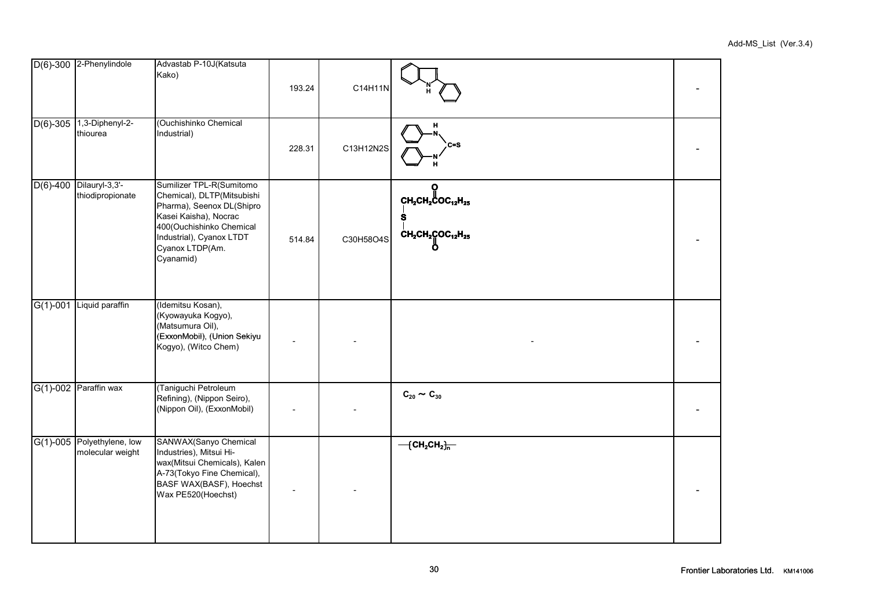|            | D(6)-300 2-Phenylindole                        | Advastab P-10J(Katsuta<br>Kako)                                                                                                                                                                      | 193.24 | C14H11N   |                                                                          |  |
|------------|------------------------------------------------|------------------------------------------------------------------------------------------------------------------------------------------------------------------------------------------------------|--------|-----------|--------------------------------------------------------------------------|--|
|            | $D(6)$ -305 1,3-Diphenyl-2-<br>thiourea        | (Ouchishinko Chemical<br>Industrial)                                                                                                                                                                 | 228.31 | C13H12N2S | н<br>$c = s$                                                             |  |
| $D(6)-400$ | Dilauryl-3,3'-<br>thiodipropionate             | Sumilizer TPL-R(Sumitomo<br>Chemical), DLTP(Mitsubishi<br>Pharma), Seenox DL(Shipro<br>Kasei Kaisha), Nocrac<br>400(Ouchishinko Chemical<br>Industrial), Cyanox LTDT<br>Cyanox LTDP(Am.<br>Cyanamid) | 514.84 | C30H58O4S | $CH_2CH_2COC_{12}H_{25}$<br>Ś.<br>$\rm \dot{c}H_{2}CH_{2}COC_{12}H_{25}$ |  |
| $G(1)-001$ | Liquid paraffin                                | (Idemitsu Kosan),<br>(Kyowayuka Kogyo),<br>(Matsumura Oil),<br>(ExxonMobil), (Union Sekiyu<br>Kogyo), (Witco Chem)                                                                                   |        |           |                                                                          |  |
|            | $G(1)-002$ Paraffin wax                        | (Taniguchi Petroleum<br>Refining), (Nippon Seiro),<br>(Nippon Oil), (ExxonMobil)                                                                                                                     |        |           | $C_{20} \sim C_{30}$                                                     |  |
|            | G(1)-005 Polyethylene, low<br>molecular weight | SANWAX(Sanyo Chemical<br>Industries), Mitsui Hi-<br>wax(Mitsui Chemicals), Kalen<br>A-73(Tokyo Fine Chemical),<br>BASF WAX(BASF), Hoechst<br>Wax PE520(Hoechst)                                      |        |           | $-\left\{ \text{CH}_{2}\text{CH}_{2}\right\} _{\text{n}}$                |  |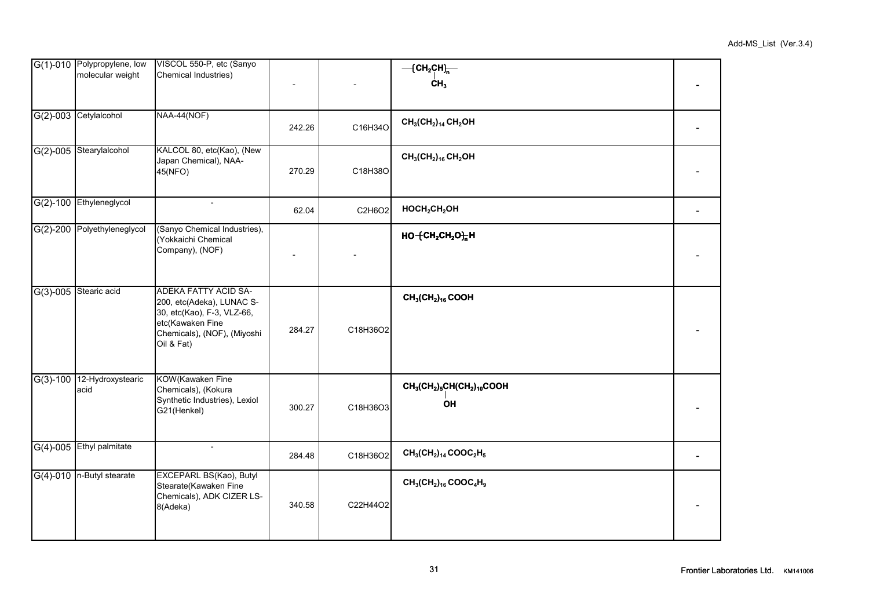|            | G(1)-010 Polypropylene, low<br>molecular weight | VISCOL 550-P, etc (Sanyo<br>Chemical Industries)                                                                                                        |        |          | $-\left\{ \text{CH}_{2} \text{CH} \right\}_{n}$<br>CH <sub>3</sub> |  |
|------------|-------------------------------------------------|---------------------------------------------------------------------------------------------------------------------------------------------------------|--------|----------|--------------------------------------------------------------------|--|
| $G(2)-003$ | Cetylalcohol                                    | NAA-44(NOF)                                                                                                                                             | 242.26 | C16H34O  | $CH_3CH_2)_{14}CH_2OH$                                             |  |
|            | G(2)-005 Stearylalcohol                         | KALCOL 80, etc(Kao), (New<br>Japan Chemical), NAA-<br>45(NFO)                                                                                           | 270.29 | C18H38O  | $CH_3(CH_2)_{16}CH_2OH$                                            |  |
|            | G(2)-100 Ethyleneglycol                         |                                                                                                                                                         | 62.04  | C2H6O2   | HOCH <sub>2</sub> CH <sub>2</sub> OH                               |  |
|            | G(2)-200 Polyethyleneglycol                     | (Sanyo Chemical Industries),<br>(Yokkaichi Chemical<br>Company), (NOF)                                                                                  |        |          | $HO + CH2CH2O1$ H                                                  |  |
| $G(3)-005$ | Stearic acid                                    | <b>ADEKA FATTY ACID SA-</b><br>200, etc(Adeka), LUNAC S-<br>30, etc(Kao), F-3, VLZ-66,<br>etc(Kawaken Fine<br>Chemicals), (NOF), (Miyoshi<br>Oil & Fat) | 284.27 | C18H36O2 | $CH_3CH_2)_{16}$ COOH                                              |  |
| $G(3)-100$ | 12-Hydroxystearic<br>acid                       | KOW(Kawaken Fine<br>Chemicals), (Kokura<br>Synthetic Industries), Lexiol<br>G21(Henkel)                                                                 | 300.27 | C18H36O3 | $CH_3CH_2)_5CH(CH_2)_{10}COOH$<br>OH                               |  |
| $G(4)-005$ | Ethyl palmitate                                 | $\overline{\phantom{a}}$                                                                                                                                | 284.48 | C18H36O2 | $CH_3(CH_2)_{14} COOC_2H_5$                                        |  |
| $G(4)-010$ | n-Butyl stearate                                | EXCEPARL BS(Kao), Butyl<br>Stearate(Kawaken Fine<br>Chemicals), ADK CIZER LS-<br>8(Adeka)                                                               | 340.58 | C22H44O2 | $CH_3(CH_2)_{16} COOC_4H_9$                                        |  |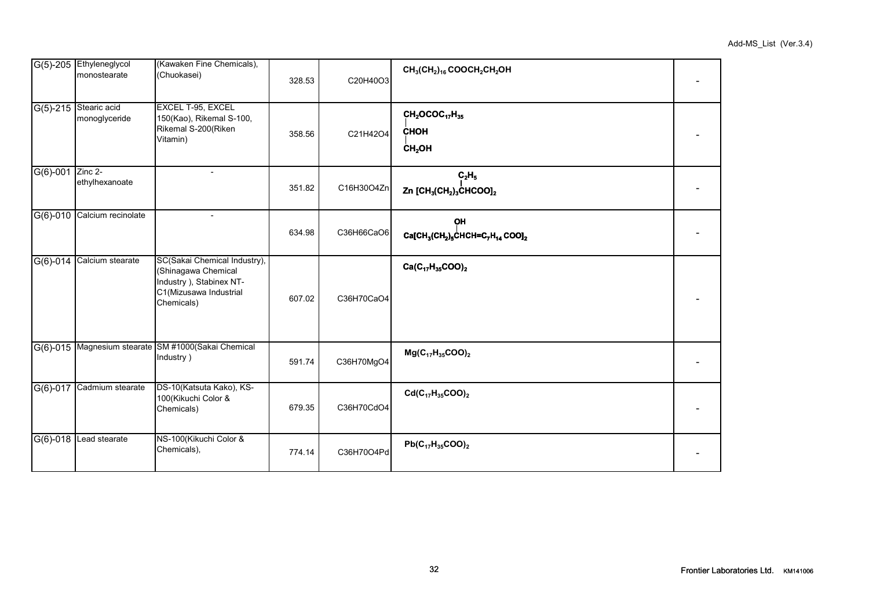|            | G(5)-205 Ethyleneglycol<br>monostearate | (Kawaken Fine Chemicals),<br>(Chuokasei)                                                                                | 328.53 | C20H40O3   | $CH_3CH_2$ <sub>16</sub> COOCH <sub>2</sub> CH <sub>2</sub> OH                                                        |  |
|------------|-----------------------------------------|-------------------------------------------------------------------------------------------------------------------------|--------|------------|-----------------------------------------------------------------------------------------------------------------------|--|
| $G(5)-215$ | Stearic acid<br>monoglyceride           | EXCEL T-95, EXCEL<br>150(Kao), Rikemal S-100,<br>Rikemal S-200(Riken<br>Vitamin)                                        | 358.56 | C21H42O4   | $CH2OCOC17H35$<br><b>CHOH</b><br>CH <sub>2</sub> OH                                                                   |  |
| $G(6)-001$ | Zinc 2-<br>ethylhexanoate               |                                                                                                                         | 351.82 | C16H30O4Zn | C <sub>2</sub> H <sub>5</sub><br>Zn [CH <sub>3</sub> (CH <sub>2</sub> ) <sub>3</sub> CHCOO] <sub>2</sub>              |  |
| $G(6)-010$ | Calcium recinolate                      |                                                                                                                         | 634.98 | C36H66CaO6 | <b>OH</b><br>Ca[CH <sub>3</sub> (CH <sub>2</sub> ) <sub>5</sub> CHCH=C <sub>7</sub> H <sub>14</sub> COO] <sub>2</sub> |  |
| $G(6)-014$ | Calcium stearate                        | SC(Sakai Chemical Industry),<br>(Shinagawa Chemical<br>Industry ), Stabinex NT-<br>C1(Mizusawa Industrial<br>Chemicals) | 607.02 | C36H70CaO4 | $Ca(C_{17}H_{35}COO)_2$                                                                                               |  |
| $G(6)-015$ |                                         | Magnesium stearate SM #1000(Sakai Chemical<br>Industry)                                                                 | 591.74 | C36H70MgO4 | $Mg(C_{17}H_{35}COO)_2$                                                                                               |  |

G(6)-017 Cadmium stearate DS-10(Katsuta Kako), KS-

G(6)-018 Lead stearate NS-100(Kikuchi Color &<br>Chemicals),

100(Kikuchi Color &

Chemicals) 679.35 C36H70CdO4 -

**Cd(C17H35COO)<sup>2</sup>**

 $\begin{array}{|c|c|c|c|c|c|c|c|}\n\hline\n\text{Chemicals)}, & & & 774.14 & & & \text{C36H70O4Pd} \end{array}$ 

**Pb(C17H35COO)<sup>2</sup>**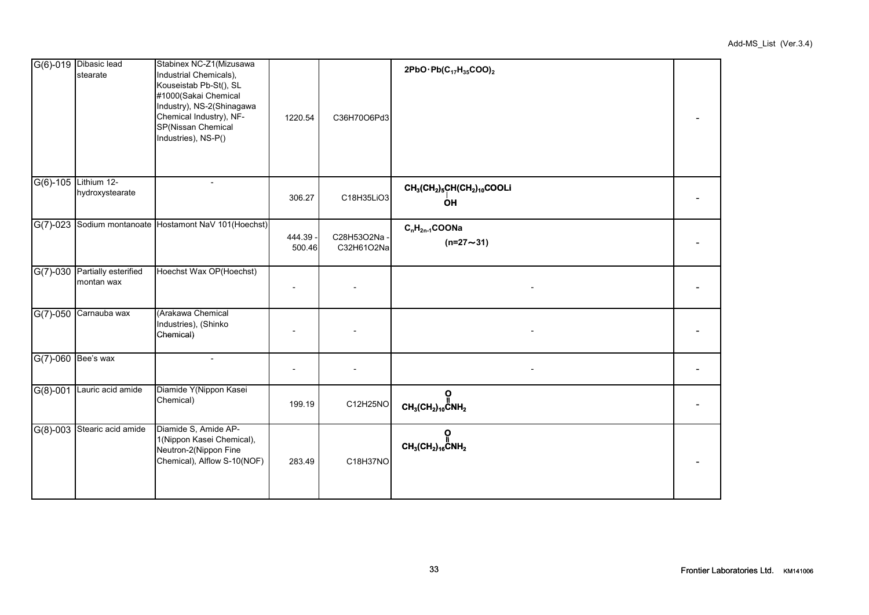|            | G(6)-019 Dibasic lead<br>stearate  | Stabinex NC-Z1(Mizusawa<br>Industrial Chemicals),<br>Kouseistab Pb-St(), SL<br>#1000(Sakai Chemical<br>Industry), NS-2(Shinagawa<br>Chemical Industry), NF-<br>SP(Nissan Chemical<br>Industries), NS-P() | 1220.54          | C36H70O6Pd3                | 2PbO·Pb $(C_{17}H_{35}COO)_2$                                                                         |  |
|------------|------------------------------------|----------------------------------------------------------------------------------------------------------------------------------------------------------------------------------------------------------|------------------|----------------------------|-------------------------------------------------------------------------------------------------------|--|
| $G(6)-105$ | Lithium 12-<br>hydroxystearate     |                                                                                                                                                                                                          | 306.27           | C18H35LiO3                 | CH <sub>3</sub> (CH <sub>2</sub> ) <sub>5</sub> CH(CH <sub>2</sub> ) <sub>10</sub> COOLi<br><b>OH</b> |  |
| $G(7)-023$ |                                    | Sodium montanoate Hostamont NaV 101(Hoechst)                                                                                                                                                             | 444.39<br>500.46 | C28H53O2Na -<br>C32H61O2Na | $C_nH_{2n-1}COONa$<br>$(n=27 \sim 31)$                                                                |  |
| $G(7)-030$ | Partially esterified<br>montan wax | Hoechst Wax OP(Hoechst)                                                                                                                                                                                  |                  |                            |                                                                                                       |  |
| $G(7)-050$ | Carnauba wax                       | (Arakawa Chemical<br>Industries), (Shinko<br>Chemical)                                                                                                                                                   |                  |                            |                                                                                                       |  |
|            | G(7)-060 Bee's wax                 | $-$                                                                                                                                                                                                      |                  |                            |                                                                                                       |  |
| $G(8)-001$ | Lauric acid amide                  | Diamide Y(Nippon Kasei<br>Chemical)                                                                                                                                                                      | 199.19           | C12H25NO                   | $\mathop{\mathsf{CH}}\nolimits_3(\mathsf{CH}_2)_{10}^\mathsf{I} \mathsf{CNH}_2$                       |  |
| $G(8)-003$ | Stearic acid amide                 | Diamide S, Amide AP-<br>1(Nippon Kasei Chemical),<br>Neutron-2(Nippon Fine<br>Chemical), Alflow S-10(NOF)                                                                                                | 283.49           | C18H37NO                   | $CH_3CH_2)_{16}$ CNH <sub>2</sub>                                                                     |  |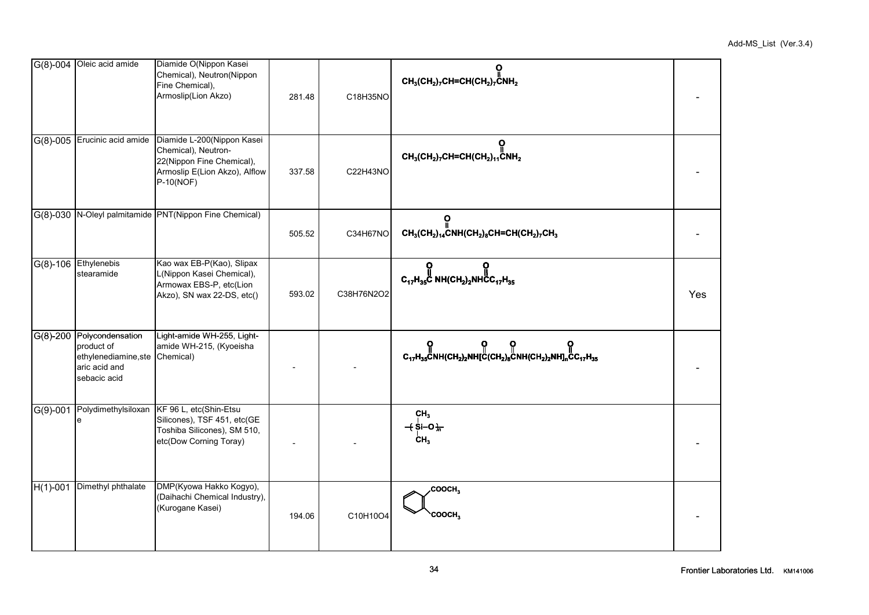|            | G(8)-004 Oleic acid amide                                                               | Diamide O(Nippon Kasei<br>Chemical), Neutron(Nippon<br>Fine Chemical),<br>Armoslip(Lion Akzo)                                      | 281.48 | C18H35NO   | ဝူ<br>$CH_3(CH_2)_7CH=CH(CH_2)_7\ddot{C}NH_2$                                                                                                                                                                   |     |
|------------|-----------------------------------------------------------------------------------------|------------------------------------------------------------------------------------------------------------------------------------|--------|------------|-----------------------------------------------------------------------------------------------------------------------------------------------------------------------------------------------------------------|-----|
| $G(8)-005$ | Erucinic acid amide                                                                     | Diamide L-200(Nippon Kasei<br>Chemical), Neutron-<br>22(Nippon Fine Chemical),<br>Armoslip E(Lion Akzo), Alflow<br>P-10(NOF)       | 337.58 | C22H43NO   | О<br>$CH_3(CH_2)_7CH=CH(CH_2)_{11}CNH_2$                                                                                                                                                                        |     |
| $G(8)-030$ |                                                                                         | N-Oleyl palmitamide PNT(Nippon Fine Chemical)                                                                                      | 505.52 | C34H67NO   | ၀ု<br>$CH_3(CH_2)_{14}$ CNH(CH <sub>2</sub> ) <sub>8</sub> CH=CH(CH <sub>2</sub> ) <sub>7</sub> CH <sub>3</sub>                                                                                                 |     |
|            | G(8)-106 Ethylenebis<br>stearamide                                                      | Kao wax EB-P(Kao), Slipax<br>L(Nippon Kasei Chemical),<br>Armowax EBS-P, etc(Lion<br>Akzo), SN wax 22-DS, etc()                    | 593.02 | C38H76N2O2 | $C_{17}H_{35}$ C NH(CH <sub>2</sub> ) <sub>2</sub> NHCC <sub>17</sub> H <sub>35</sub>                                                                                                                           | Yes |
| $G(8)-200$ | Polycondensation<br>product of<br>ethylenediamine, ste<br>aric acid and<br>sebacic acid | Light-amide WH-255, Light-<br>amide WH-215, (Kyoeisha<br>Chemical)                                                                 |        |            | <b>O</b> O O O O<br>C <sub>17</sub> H <sub>35</sub> CNH(CH <sub>2</sub> ) <sub>2</sub> NH[C(CH <sub>2</sub> ) <sub>8</sub> CNH(CH <sub>2</sub> ) <sub>2</sub> NH] <sub>n</sub> CC <sub>17</sub> H <sub>35</sub> |     |
| $G(9)-001$ | e                                                                                       | Polydimethylsiloxan KF 96 L, etc(Shin-Etsu<br>Silicones), TSF 451, etc(GE<br>Toshiba Silicones), SM 510,<br>etc(Dow Corning Toray) |        |            | CH <sub>3</sub><br>$+$ Si-O $+$<br>CH <sub>3</sub>                                                                                                                                                              |     |
| $H(1)-001$ | Dimethyl phthalate                                                                      | DMP(Kyowa Hakko Kogyo),<br>(Daihachi Chemical Industry),<br>(Kurogane Kasei)                                                       | 194.06 | C10H10O4   | COOCH <sub>3</sub><br>COOCH <sub>3</sub>                                                                                                                                                                        |     |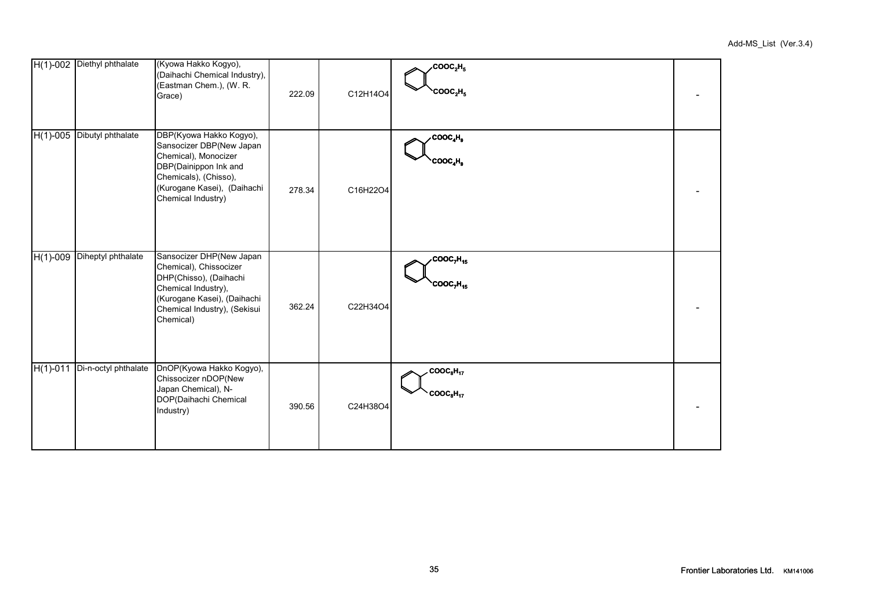|            | H(1)-002 Diethyl phthalate | (Kyowa Hakko Kogyo),<br>(Daihachi Chemical Industry),<br>(Eastman Chem.), (W. R.<br>Grace)                                                                                         | 222.09 | C12H14O4 | $\times$ COOC <sub>2</sub> H <sub>5</sub><br><b>COOC<sub>2</sub>H<sub>5</sub></b> |  |
|------------|----------------------------|------------------------------------------------------------------------------------------------------------------------------------------------------------------------------------|--------|----------|-----------------------------------------------------------------------------------|--|
|            | H(1)-005 Dibutyl phthalate | DBP(Kyowa Hakko Kogyo),<br>Sansocizer DBP(New Japan<br>Chemical), Monocizer<br>DBP(Dainippon Ink and<br>Chemicals), (Chisso),<br>(Kurogane Kasei), (Daihachi<br>Chemical Industry) | 278.34 | C16H22O4 | $\cdot$ COOC <sub>4</sub> H <sub>9</sub><br>COOC <sub>4</sub> H <sub>9</sub>      |  |
| $H(1)-009$ | Diheptyl phthalate         | Sansocizer DHP(New Japan<br>Chemical), Chissocizer<br>DHP(Chisso), (Daihachi<br>Chemical Industry),<br>(Kurogane Kasei), (Daihachi<br>Chemical Industry), (Sekisui<br>Chemical)    | 362.24 | C22H34O4 | COOC <sub>7</sub> H <sub>15</sub><br><b>COOC, H15</b>                             |  |
| $H(1)-011$ | Di-n-octyl phthalate       | DnOP(Kyowa Hakko Kogyo),<br>Chissocizer nDOP(New<br>Japan Chemical), N-<br>DOP(Daihachi Chemical<br>Industry)                                                                      | 390.56 | C24H38O4 | $\text{COOC}_8\text{H}_{17}$<br>COOC <sub>8</sub> H <sub>17</sub>                 |  |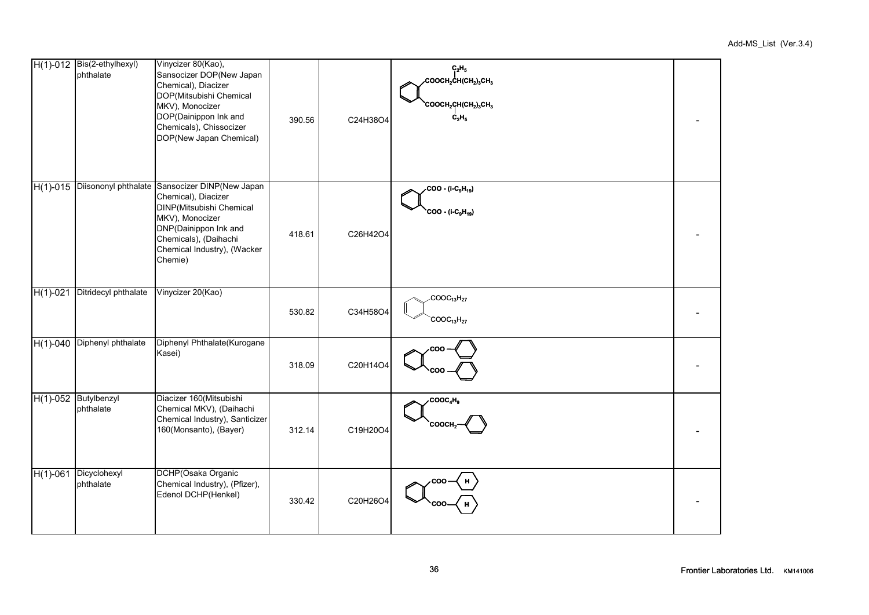|            | H(1)-012 Bis(2-ethylhexyl)<br>phthalate | Vinycizer 80(Kao),<br>Sansocizer DOP(New Japan<br>Chemical), Diacizer<br>DOP(Mitsubishi Chemical<br>MKV), Monocizer<br>DOP(Dainippon Ink and<br>Chemicals), Chissocizer<br>DOP(New Japan Chemical)               | 390.56 | C24H38O4 | $C_2H_5$<br>$\cdot$ соосн $\cdot$ сн(сн $_{2}$ ) $\cdot$ сн $_{3}$<br><b>COOCH2CH(CH2)3CH3</b><br>$C_2H_5$ |  |
|------------|-----------------------------------------|------------------------------------------------------------------------------------------------------------------------------------------------------------------------------------------------------------------|--------|----------|------------------------------------------------------------------------------------------------------------|--|
| $H(1)-015$ |                                         | Diisononyl phthalate Sansocizer DINP(New Japan<br>Chemical), Diacizer<br>DINP(Mitsubishi Chemical<br>MKV), Monocizer<br>DNP(Dainippon Ink and<br>Chemicals), (Daihachi<br>Chemical Industry), (Wacker<br>Chemie) | 418.61 | C26H42O4 | ∕COO - (i-C <sub>9</sub> H <sub>19</sub> )<br>COO - (i-C <sub>9</sub> H <sub>19</sub> )                    |  |
| $H(1)-021$ | Ditridecyl phthalate                    | Vinycizer 20(Kao)                                                                                                                                                                                                | 530.82 | C34H58O4 | COOC <sub>13</sub> H <sub>27</sub><br>$COOC_{13}H_{27}$                                                    |  |
| $H(1)-040$ | Diphenyl phthalate                      | Diphenyl Phthalate(Kurogane<br>Kasei)                                                                                                                                                                            | 318.09 | C20H14O4 | coo                                                                                                        |  |
| $H(1)-052$ | Butylbenzyl<br>phthalate                | Diacizer 160(Mitsubishi<br>Chemical MKV), (Daihachi<br>Chemical Industry), Santicizer<br>160(Monsanto), (Bayer)                                                                                                  | 312.14 | C19H20O4 | $\text{cooc}_4\text{H}_9$<br>соосн.                                                                        |  |
| $H(1)-061$ | Dicyclohexyl<br>phthalate               | DCHP(Osaka Organic<br>Chemical Industry), (Pfizer),<br>Edenol DCHP(Henkel)                                                                                                                                       | 330.42 | C20H26O4 | coo                                                                                                        |  |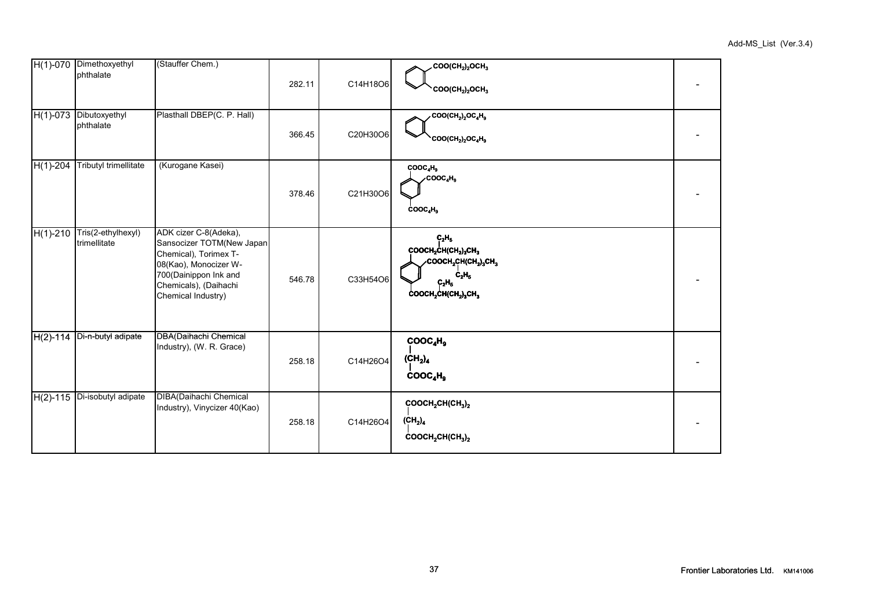|            | H(1)-070 Dimethoxyethyl<br>phthalate        | (Stauffer Chem.)                                                                                                                                                             | 282.11 | C14H18O6 | $COO(CH2)2OCH3$<br>$COO(CH2)2OCH3$                                                                                      |  |
|------------|---------------------------------------------|------------------------------------------------------------------------------------------------------------------------------------------------------------------------------|--------|----------|-------------------------------------------------------------------------------------------------------------------------|--|
|            | H(1)-073 Dibutoxyethyl<br>phthalate         | Plasthall DBEP(C. P. Hall)                                                                                                                                                   | 366.45 | C20H30O6 | $COO(CH_2)_2OC_4H_9$<br><b>COO(CH<sub>2</sub>)<sub>2</sub>OC<sub>4</sub>H<sub>9</sub></b>                               |  |
| $H(1)-204$ | <b>Tributyl trimellitate</b>                | (Kurogane Kasei)                                                                                                                                                             | 378.46 | C21H30O6 | COOC <sub>4</sub> H <sub>9</sub><br>COOC <sub>4</sub> H <sub>9</sub><br>COOC <sub>4</sub> H <sub>9</sub>                |  |
|            | H(1)-210 Tris(2-ethylhexyl)<br>trimellitate | ADK cizer C-8(Adeka),<br>Sansocizer TOTM(New Japan<br>Chemical), Torimex T-<br>08(Kao), Monocizer W-<br>700(Dainippon Ink and<br>Chemicals), (Daihachi<br>Chemical Industry) | 546.78 | C33H54O6 | $C_2H_5$<br>COOCH2CH(CH2)3CH3<br>∕COOCH2CH(CH2)3CH3<br>c <sub>2</sub> H <sub>5</sub><br>$C_2H_5$<br>$COOCH2CH(CH2)3CH3$ |  |
| $H(2)-114$ | Di-n-butyl adipate                          | DBA(Daihachi Chemical<br>Industry), (W. R. Grace)                                                                                                                            | 258.18 | C14H26O4 | COOC <sub>4</sub> H <sub>9</sub><br>$(\text{CH}_2)_4$<br>COOC <sub>4</sub> H <sub>9</sub>                               |  |
|            | H(2)-115 Di-isobutyl adipate                | DIBA(Daihachi Chemical<br>Industry), Vinycizer 40(Kao)                                                                                                                       | 258.18 | C14H26O4 | COOCH <sub>2</sub> CH(CH <sub>3</sub> ) <sub>2</sub><br>(CH <sub>2</sub> ) <sub>4</sub><br>$COOCH2CH(CH3)2$             |  |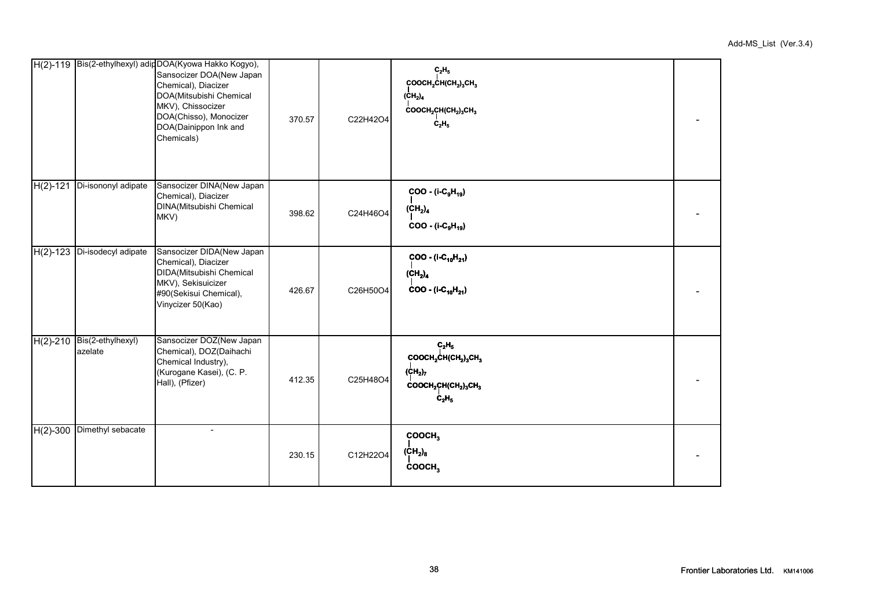|            |                                       | H(2)-119 Bis(2-ethylhexyl) adipDOA(Kyowa Hakko Kogyo),<br>Sansocizer DOA(New Japan<br>Chemical), Diacizer<br>DOA(Mitsubishi Chemical<br>MKV), Chissocizer<br>DOA(Chisso), Monocizer<br>DOA(Dainippon Ink and<br>Chemicals) | 370.57 | C22H42O4 | $\mathbf{C_2H_5}$<br>COOCH <sub>2</sub> CH(CH <sub>2</sub> ) <sub>3</sub> CH <sub>3</sub><br>(CH <sub>2</sub> ) <sub>4</sub><br>COOCH <sub>2</sub> CH(CH <sub>2</sub> ) <sub>3</sub> CH <sub>3</sub><br>$C_2H_5$ |  |
|------------|---------------------------------------|----------------------------------------------------------------------------------------------------------------------------------------------------------------------------------------------------------------------------|--------|----------|------------------------------------------------------------------------------------------------------------------------------------------------------------------------------------------------------------------|--|
| $H(2)-121$ | Di-isononyl adipate                   | Sansocizer DINA(New Japan<br>Chemical), Diacizer<br>DINA(Mitsubishi Chemical<br>MKV)                                                                                                                                       | 398.62 | C24H46O4 | $COO - (i-C9H19)$<br>(CH <sub>2</sub> ) <sub>4</sub><br>$COO - (i-C_9H_{19})$                                                                                                                                    |  |
|            | H(2)-123 Di-isodecyl adipate          | Sansocizer DIDA(New Japan<br>Chemical), Diacizer<br>DIDA(Mitsubishi Chemical<br>MKV), Sekisuicizer<br>#90(Sekisui Chemical),<br>Vinycizer 50(Kao)                                                                          | 426.67 | C26H50O4 | $COO - (i-C_{10}H_{21})$<br>(CH <sub>2</sub> ) <sub>4</sub><br>$COO - (I-C_{10}H_{21})$                                                                                                                          |  |
|            | H(2)-210 Bis(2-ethylhexyl)<br>azelate | Sansocizer DOZ(New Japan<br>Chemical), DOZ(Daihachi<br>Chemical Industry),<br>(Kurogane Kasei), (C. P.<br>Hall), (Pfizer)                                                                                                  | 412.35 | C25H48O4 | $\mathbf{C_2H_5}$<br>COOCH <sub>2</sub> CH(CH <sub>2</sub> ) <sub>3</sub> CH <sub>3</sub><br>$(CH_2)_7$<br>COOCH <sub>2</sub> CH(CH <sub>2</sub> ) <sub>3</sub> CH <sub>3</sub><br>$C_2H_5$                      |  |
|            | H(2)-300 Dimethyl sebacate            |                                                                                                                                                                                                                            | 230.15 | C12H22O4 | COOCH <sub>3</sub><br>(CH <sub>2</sub> ) <sub>8</sub><br>COOCH <sub>3</sub>                                                                                                                                      |  |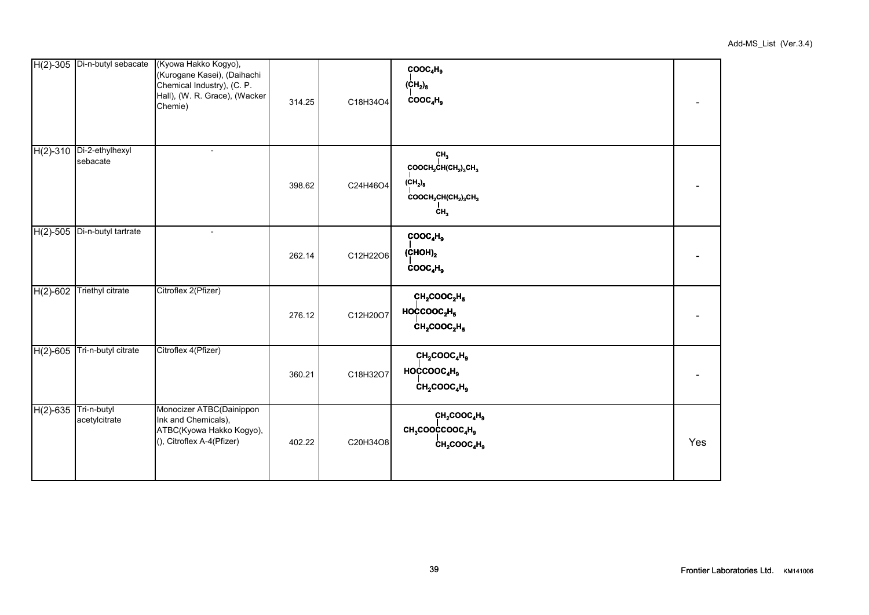|                         | H(2)-305 Di-n-butyl sebacate | (Kyowa Hakko Kogyo),<br>(Kurogane Kasei), (Daihachi<br>Chemical Industry), (C. P.<br>Hall), (W. R. Grace), (Wacker<br>Chemie) | 314.25 | C18H34O4 | COOC <sub>4</sub> H <sub>9</sub><br>$\text{(CH}_2)_8$<br>COOC <sub>4</sub> H <sub>9</sub>                                                                                                               |     |
|-------------------------|------------------------------|-------------------------------------------------------------------------------------------------------------------------------|--------|----------|---------------------------------------------------------------------------------------------------------------------------------------------------------------------------------------------------------|-----|
| $H(2)-310$              | Di-2-ethylhexyl<br>sebacate  | $\blacksquare$                                                                                                                | 398.62 | C24H46O4 | CH <sub>3</sub><br>COOCH <sub>2</sub> CH(CH <sub>2</sub> ) <sub>3</sub> CH <sub>3</sub><br>$\text{(CH}_2)_8$<br>COOCH <sub>2</sub> CH(CH <sub>2</sub> ) <sub>3</sub> CH <sub>3</sub><br>CH <sub>3</sub> |     |
| $\overline{H}(2)$ -505  | Di-n-butyl tartrate          | $\overline{\phantom{a}}$                                                                                                      | 262.14 | C12H22O6 | COOC <sub>4</sub> H <sub>9</sub><br>(CHOH) <sub>2</sub><br>COOC <sub>4</sub> H <sub>9</sub>                                                                                                             |     |
| $H(2)-602$              | <b>Triethyl citrate</b>      | Citroflex 2(Pfizer)                                                                                                           | 276.12 | C12H20O7 | CH <sub>2</sub> COOC <sub>2</sub> H <sub>5</sub><br>HOCCOOC <sub>2</sub> H <sub>5</sub><br>$CH2COOC2H5$                                                                                                 |     |
| $H(2)-605$              | Tri-n-butyl citrate          | Citroflex 4(Pfizer)                                                                                                           | 360.21 | C18H32O7 | CH <sub>2</sub> COOC <sub>4</sub> H <sub>9</sub><br>HOCCOOO <sub>4</sub> H <sub>9</sub><br>$CH2COOC4H9$                                                                                                 |     |
| $H(2)$ -635 Tri-n-butyl | acetylcitrate                | Monocizer ATBC(Dainippon<br>Ink and Chemicals),<br>ATBC(Kyowa Hakko Kogyo),<br>(), Citroflex A-4(Pfizer)                      | 402.22 | C20H34O8 | CH <sub>2</sub> COOC <sub>4</sub> H <sub>9</sub><br>CH <sub>3</sub> COOCCOOC <sub>4</sub> H <sub>9</sub><br>$CH2COOC4H9$                                                                                | Yes |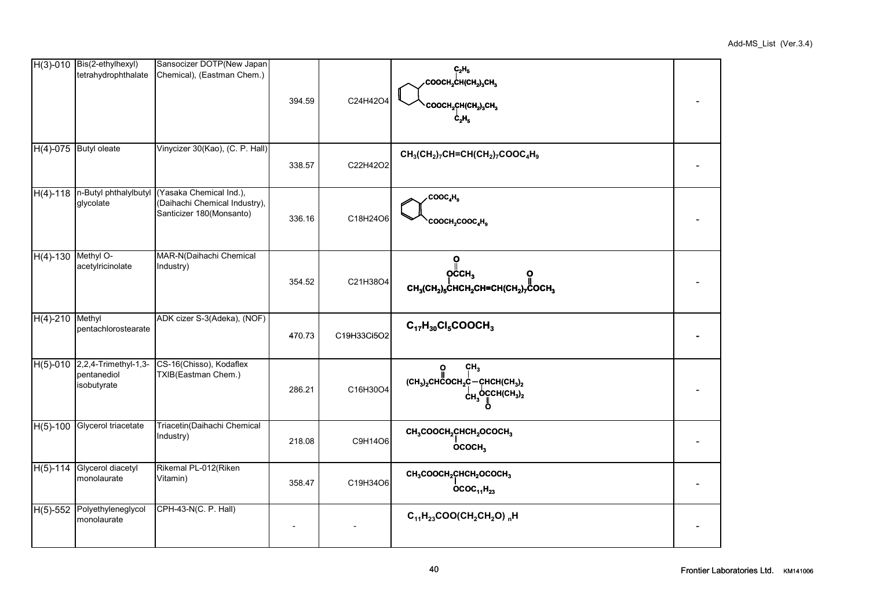|                    | $H(3)-010$ Bis(2-ethylhexyl)<br>tetrahydrophthalate         | Sansocizer DOTP(New Japan<br>Chemical), (Eastman Chem.)                                                              | 394.59 | C24H42O4    | $C_2H_5$<br>COOCH2CH(CH2)3CH3<br>COOCH2CH(CH2)3CH3<br>$c_{2}H_{5}$                                                                                              |  |
|--------------------|-------------------------------------------------------------|----------------------------------------------------------------------------------------------------------------------|--------|-------------|-----------------------------------------------------------------------------------------------------------------------------------------------------------------|--|
|                    | H(4)-075 Butyl oleate                                       | Vinycizer 30(Kao), (C. P. Hall)                                                                                      | 338.57 | C22H42O2    | $CH_3(CH_2)_7CH=CH(CH_2)_7COOC_4H_9$                                                                                                                            |  |
|                    | glycolate                                                   | H(4)-118  n-Butyl phthalylbutyl (Yasaka Chemical Ind.),<br>(Daihachi Chemical Industry),<br>Santicizer 180(Monsanto) | 336.16 | C18H24O6    | .COOC <sub>4</sub> H <sub>9</sub><br>COOCH <sub>2</sub> COOC <sub>4</sub> H <sub>9</sub>                                                                        |  |
| H(4)-130 Methyl O- | acetylricinolate                                            | MAR-N(Daihachi Chemical<br>Industry)                                                                                 | 354.52 | C21H38O4    | ö<br>$O$ CCH <sub>3</sub><br>$CH_3(CH_2)_5$ CHCH <sub>2</sub> CH=CH(CH <sub>2</sub> ) <sub>7</sub> COCH <sub>3</sub>                                            |  |
| $H(4) - 210$       | Methyl<br>pentachlorostearate                               | ADK cizer S-3(Adeka), (NOF)                                                                                          | 470.73 | C19H33Cl5O2 | $C_{17}H_{30}Cl_5COOCH_3$                                                                                                                                       |  |
|                    | H(5)-010 2,2,4-Trimethyl-1,3-<br>pentanediol<br>isobutyrate | CS-16(Chisso), Kodaflex<br>TXIB(Eastman Chem.)                                                                       | 286.21 | C16H30O4    | $\ddot{\mathbf{O}}$<br>CH <sub>3</sub><br>$(CH_3)_2$ CHCOCH <sub>2</sub> C-CHCH(CH <sub>3</sub> ) <sub>2</sub><br>$C_{H_2}$ OCCH(CH <sub>3</sub> ) <sub>2</sub> |  |
| $H(5)-100$         | Glycerol triacetate                                         | Triacetin(Daihachi Chemical<br>Industry)                                                                             | 218.08 | C9H14O6     | CH <sub>3</sub> COOCH <sub>2</sub> CHCH <sub>2</sub> OCOCH <sub>3</sub><br>OCOCH <sub>3</sub>                                                                   |  |
| $H(5)-114$         | Glycerol diacetyl<br>monolaurate                            | Rikemal PL-012(Riken<br>Vitamin)                                                                                     | 358.47 | C19H34O6    | CH <sub>3</sub> COOCH <sub>2</sub> CHCH <sub>2</sub> OCOCH <sub>3</sub><br>$OCOC_{11}H_{23}$                                                                    |  |
|                    | H(5)-552 Polyethyleneglycol<br>monolaurate                  | CPH-43-N(C. P. Hall)                                                                                                 |        |             | $C_{11}H_{23}COO(CH_2CH_2O)$ <sub>n</sub> H                                                                                                                     |  |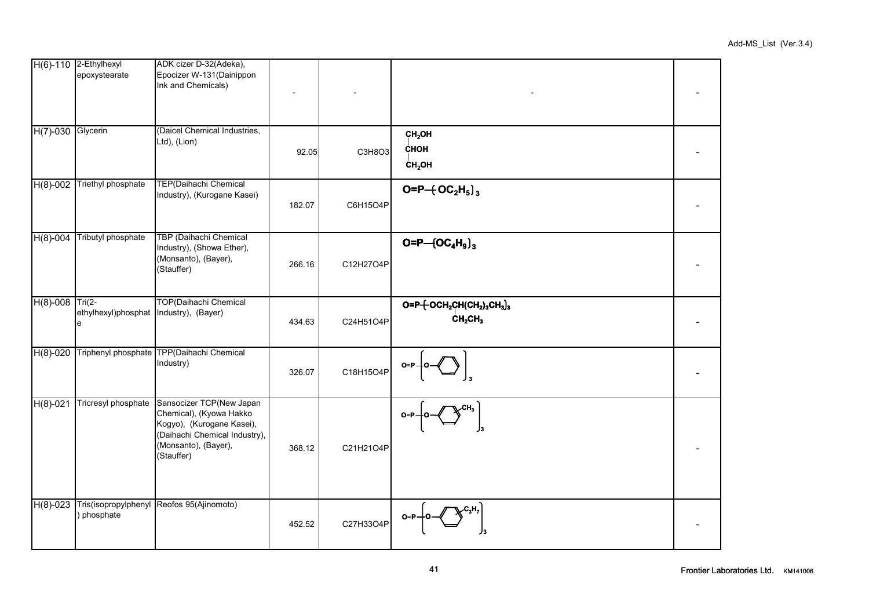|                   | H(6)-110 2-Ethylhexyl<br>epoxystearate                   | ADK cizer D-32(Adeka),<br>Epocizer W-131 (Dainippon<br>Ink and Chemicals)                                                                               |        |           |                                                                            |  |
|-------------------|----------------------------------------------------------|---------------------------------------------------------------------------------------------------------------------------------------------------------|--------|-----------|----------------------------------------------------------------------------|--|
| H(7)-030 Glycerin |                                                          | (Daicel Chemical Industries,<br>Ltd), (Lion)                                                                                                            | 92.05  | C3H8O3    | CH <sub>2</sub> OH<br><b>CHOH</b><br>CH <sub>2</sub> OH                    |  |
| $H(8)-002$        | Triethyl phosphate                                       | TEP(Daihachi Chemical<br>Industry), (Kurogane Kasei)                                                                                                    | 182.07 | C6H15O4P  | $O = P + OC2H5$ <sub>3</sub>                                               |  |
| $H(8)-004$        | Tributyl phosphate                                       | TBP (Daihachi Chemical<br>Industry), (Showa Ether),<br>(Monsanto), (Bayer),<br>(Stauffer)                                                               | 266.16 | C12H27O4P | $O = P - (OC4H9)3$                                                         |  |
| $H(8)-008$        | Tri $(2-$<br>ethylhexyl)phosphat Industry), (Bayer)<br>e | <b>TOP(Daihachi Chemical</b>                                                                                                                            | 434.63 | C24H51O4P | $\overline{O=P+OCH_2CH(CH_2)_3CH_3]_3}$<br>CH <sub>2</sub> CH <sub>3</sub> |  |
| $H(8)-020$        |                                                          | Triphenyl phosphate TPP(Daihachi Chemical<br>Industry)                                                                                                  | 326.07 | C18H15O4P |                                                                            |  |
| $H(8)-021$        | Tricresyl phosphate                                      | Sansocizer TCP(New Japan<br>Chemical), (Kyowa Hakko<br>Kogyo), (Kurogane Kasei),<br>(Daihachi Chemical Industry),<br>(Monsanto), (Bayer),<br>(Stauffer) | 368.12 | C21H21O4P |                                                                            |  |
| $H(8)-023$        | ) phosphate                                              | Tris(isopropylphenyl Reofos 95(Ajinomoto)                                                                                                               | 452.52 | C27H33O4P |                                                                            |  |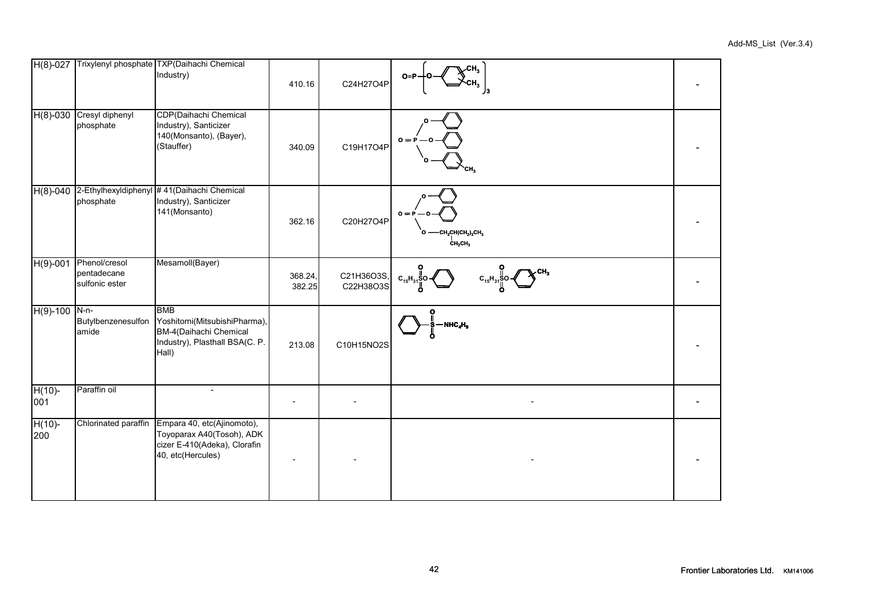| $H(8)-027$       |                                                | Trixylenyl phosphate TXP(Daihachi Chemical<br>Industry)                                                         | 410.16            | C24H27O4P               | CH <sub>3</sub><br>$O = P$                                                                                       |  |
|------------------|------------------------------------------------|-----------------------------------------------------------------------------------------------------------------|-------------------|-------------------------|------------------------------------------------------------------------------------------------------------------|--|
| $H(8)-030$       | Cresyl diphenyl<br>phosphate                   | CDP(Daihachi Chemical<br>Industry), Santicizer<br>140(Monsanto), (Bayer),<br>(Stauffer)                         | 340.09            | C19H17O4P               | $0 = P$                                                                                                          |  |
| $H(8)-040$       | phosphate                                      | 2-Ethylhexyldiphenyl #41(Daihachi Chemical<br>Industry), Santicizer<br>141(Monsanto)                            | 362.16            | C20H27O4P               | $0 = P$<br>-CH <sub>2</sub> CH(CH <sub>2</sub> ) <sub>3</sub> CH <sub>3</sub><br>CH <sub>2</sub> CH <sub>3</sub> |  |
| $H(9)-001$       | Phenol/cresol<br>pentadecane<br>sulfonic ester | Mesamoll(Bayer)                                                                                                 | 368.24,<br>382.25 | C21H36O3S,<br>C22H38O3S | $C_{15}H$                                                                                                        |  |
| $H(9)-100$       | $N-n-$<br>Butylbenzenesulfon<br>amide          | <b>BMB</b><br>Yoshitomi(MitsubishiPharma),<br>BM-4(Daihachi Chemical<br>Industry), Plasthall BSA(C. P.<br>Hall) | 213.08            | C10H15NO2S              | NHC <sub>4</sub> H <sub>9</sub>                                                                                  |  |
| $H(10)$ -<br>001 | Paraffin oil                                   |                                                                                                                 |                   |                         |                                                                                                                  |  |
| $H(10)$ -<br>200 | Chlorinated paraffin                           | Empara 40, etc(Ajinomoto),<br>Toyoparax A40(Tosoh), ADK<br>cizer E-410(Adeka), Clorafin<br>40, etc(Hercules)    |                   |                         |                                                                                                                  |  |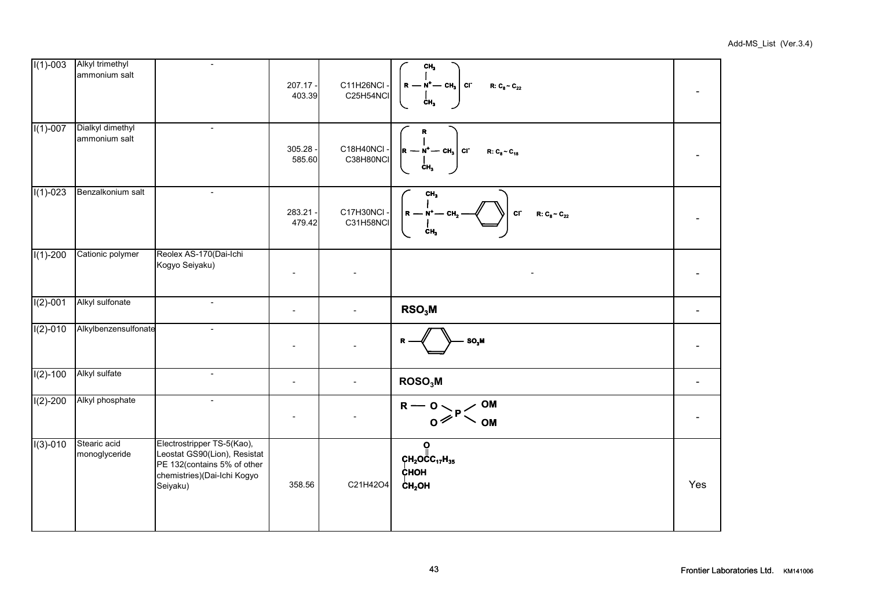| $I(1)-003$   | Alkyl trimethyl<br>ammonium salt  | $\overline{\phantom{a}}$                                                                                                             | 207.17 -<br>403.39       | C11H26NCI ·<br>C25H54NCI | $\mathsf{CH}_3$<br>$R - N^{+}$ – CH <sub>3</sub> Cr<br>$R: C_8 - C_{22}$<br>CH <sub>3</sub> |     |
|--------------|-----------------------------------|--------------------------------------------------------------------------------------------------------------------------------------|--------------------------|--------------------------|---------------------------------------------------------------------------------------------|-----|
| $I(1)-007$   | Dialkyl dimethyl<br>ammonium salt | $\overline{\phantom{a}}$                                                                                                             | 305.28<br>585.60         | C18H40NCI -<br>C38H80NCI | $\mathbf R$<br>$ R - N^{\dagger} - Ch_{3} $ cr<br>$R: C_8 \sim C_{18}$<br>$\mathbf{CH}_3$   |     |
| $I(1)-023$   | Benzalkonium salt                 | $\overline{\phantom{a}}$                                                                                                             | 283.21<br>479.42         | C17H30NCI -<br>C31H58NCI | CH <sub>3</sub><br>$R - N^{+} - CH$<br>cr<br>$R: C_8 \sim C_{22}$<br>CH,                    |     |
| $I(1)-200$   | Cationic polymer                  | Reolex AS-170(Dai-Ichi<br>Kogyo Seiyaku)                                                                                             |                          |                          |                                                                                             |     |
| $I(2)-001$   | Alkyl sulfonate                   | $\mathbb{L}$                                                                                                                         | $\overline{\phantom{a}}$ | $\overline{a}$           | RSO <sub>3</sub> M                                                                          |     |
| $I(2)-010$   | Alkylbenzensulfonate              | $\mathbf{r}$                                                                                                                         |                          | $\overline{a}$           | $SO_3M$                                                                                     |     |
| $I(2) - 100$ | Alkyl sulfate                     | $\overline{\phantom{a}}$                                                                                                             | $\overline{\phantom{a}}$ | $\overline{a}$           | ROSO <sub>3</sub> M                                                                         |     |
| $I(2)-200$   | Alkyl phosphate                   | $\overline{\phantom{a}}$                                                                                                             | $\overline{\phantom{a}}$ |                          | <b>OM</b><br>$R - 0 > P <$<br><b>OM</b>                                                     |     |
| $I(3)-010$   | Stearic acid<br>monoglyceride     | Electrostripper TS-5(Kao),<br>Leostat GS90(Lion), Resistat<br>PE 132(contains 5% of other<br>chemistries)(Dai-Ichi Kogyo<br>Seiyaku) | 358.56                   | C21H42O4                 | Ö<br>$CH2O$ CC <sub>17</sub> H <sub>35</sub><br>CHOH<br>CH <sub>2</sub> OH                  | Yes |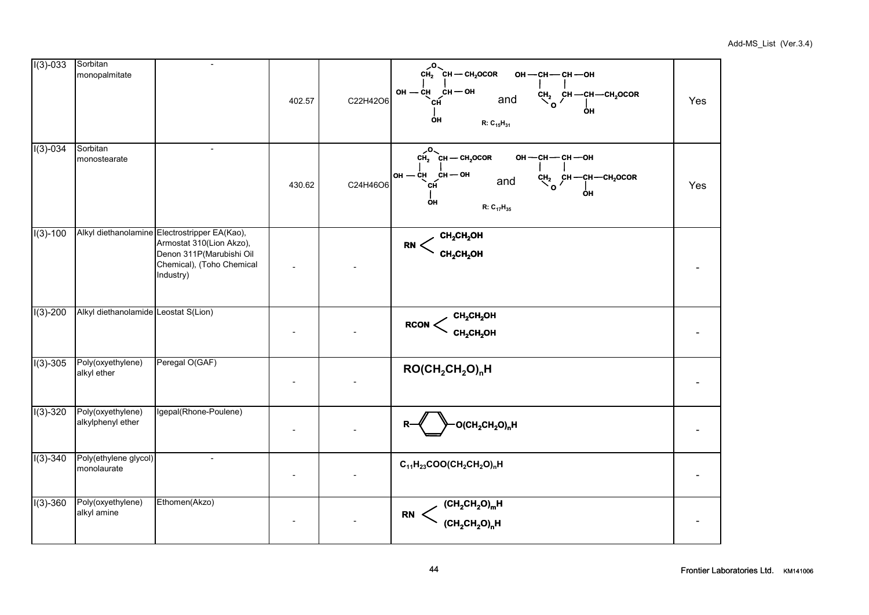| $I(3)-033$ | Sorbitan<br>monopalmitate              | $\blacksquare$                                                                                                                                  | 402.57 | C22H42O6 | $CH2$ CH — CH <sub>2</sub> OCOR<br>ОН $-$ СН $-$ СН $-$ ОН<br>$OH$ - $CH$ $CH$ - $OH$<br>$\overline{c}_{\mathsf{O}}^{\mathsf{H}_2}$ $\overline{c}_{\mathsf{H}}$ - $\overline{c}_{\mathsf{H}_2}^{\mathsf{H}_2}$ - $\overline{c}_{\mathsf{O}}$<br>and<br>сн́<br>ΟН<br>OH<br>$R: C_{15}H_{31}$ | Yes |
|------------|----------------------------------------|-------------------------------------------------------------------------------------------------------------------------------------------------|--------|----------|---------------------------------------------------------------------------------------------------------------------------------------------------------------------------------------------------------------------------------------------------------------------------------------------|-----|
| $I(3)-034$ | Sorbitan<br>monostearate               |                                                                                                                                                 | 430.62 | C24H46O6 | $CH2$ CH — CH <sub>2</sub> OCOR<br>он - сн - сн - он<br>$OH$ – CH CH – OH<br>and $\begin{array}{cc} \text{CH}_2 & \text{CH} \text{—CH} \text{—CH}_2 \text{OCOR} \\ \text{O} & \end{array}$<br>СĤ<br>OН<br>$R: C_{17}H_{35}$                                                                 | Yes |
| $I(3)-100$ |                                        | Alkyl diethanolamine Electrostripper EA(Kao),<br>Armostat 310(Lion Akzo),<br>Denon 311P(Marubishi Oil<br>Chemical), (Toho Chemical<br>Industry) |        |          | $\text{CH}_2\text{CH}_2\text{OH}$<br>$\textrm{RN} < \frac{C_{112}C_{11}C_{12}}{CH_2CH_2OH}$                                                                                                                                                                                                 |     |
| $I(3)-200$ | Alkyl diethanolamide Leostat S(Lion)   |                                                                                                                                                 |        |          | $\mathsf{RCON} < \underset{\mathsf{CH}_2\mathsf{CH}_2\mathsf{OH}}{\mathsf{CH}_2\mathsf{CH}_2\mathsf{OH}}$                                                                                                                                                                                   |     |
| $I(3)-305$ | Poly(oxyethylene)<br>alkyl ether       | Peregal O(GAF)                                                                                                                                  |        |          | $ROCH2CH2OnH$                                                                                                                                                                                                                                                                               |     |
| $I(3)-320$ | Poly(oxyethylene)<br>alkylphenyl ether | Igepal(Rhone-Poulene)                                                                                                                           |        |          | $O(CH_2CH_2O)_{n}H$                                                                                                                                                                                                                                                                         |     |
| $I(3)-340$ | Poly(ethylene glycol)<br>monolaurate   | $\overline{\phantom{a}}$                                                                                                                        |        |          | $C_{11}H_{23}COO(CH_2CH_2O)_{n}H$                                                                                                                                                                                                                                                           |     |
| $I(3)-360$ | Poly(oxyethylene)<br>alkyl amine       | Ethomen(Akzo)                                                                                                                                   |        |          | $\begin{aligned} \mathsf{RN} \begin{array}{c} \left( \mathsf{CH}_2\mathsf{CH}_2\mathsf{O} \right)_\mathsf{m} \mathsf{H} \\ \left( \mathsf{CH}_2\mathsf{CH}_2\mathsf{O} \right)_\mathsf{n} \mathsf{H} \end{array} \end{aligned}$                                                             |     |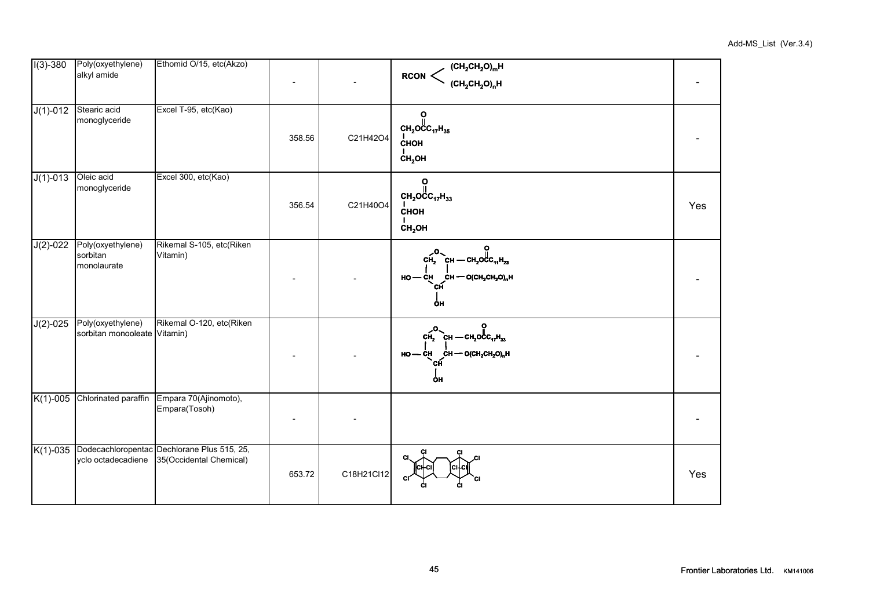|  | Add-MS_List (Ver.3.4) |
|--|-----------------------|
|--|-----------------------|

| $I(3)-380$ | Poly(oxyethylene)                                 | Ethomid O/15, etc(Akzo)                                                                            |        |            |                                                                                                                                                 |     |
|------------|---------------------------------------------------|----------------------------------------------------------------------------------------------------|--------|------------|-------------------------------------------------------------------------------------------------------------------------------------------------|-----|
|            | alkyl amide                                       |                                                                                                    |        |            | (CH <sub>2</sub> CH <sub>2</sub> O) <sub>m</sub> H<br>(CH <sub>2</sub> CH <sub>2</sub> O) <sub>n</sub> H<br><b>RCON</b>                         |     |
| $J(1)-012$ | Stearic acid<br>monoglyceride                     | Excel T-95, etc(Kao)                                                                               | 358.56 | C21H42O4   | $\frac{0}{\pi}$<br>$CH2OCO17H35$<br>CHOH<br>CH <sub>2</sub> OH                                                                                  |     |
| $J(1)-013$ | Oleic acid<br>monoglyceride                       | Excel 300, etc(Kao)                                                                                | 356.54 | C21H40O4   | ဂူ<br>$CH_2OCC_{17}H_{33}$<br><b>CHOH</b><br>CH <sub>2</sub> OH                                                                                 | Yes |
| $J(2)-022$ | Poly(oxyethylene)<br>sorbitan<br>monolaurate      | Rikemal S-105, etc(Riken<br>Vitamin)                                                               |        |            | $CH_2$ CH - CH <sub>2</sub> OCC <sub>11</sub> H <sub>23</sub><br>$HO$ - CH CH - O(CH <sub>2</sub> CH <sub>2</sub> O) <sub>n</sub> H<br>сн<br>ÓН |     |
| $J(2)-025$ | Poly(oxyethylene)<br>sorbitan monooleate Vitamin) | Rikemal O-120, etc(Riken                                                                           |        |            | $CH2$ CH - CH <sub>2</sub> OC <sub>17</sub> H <sub>33</sub><br>$HO$ — CH<br>сн — о(сн <sub>2</sub> сн <sub>2</sub> 0) <sub>n</sub> н<br>OH      |     |
| $K(1)-005$ | Chlorinated paraffin                              | Empara 70(Ajinomoto),<br>Empara(Tosoh)                                                             |        |            |                                                                                                                                                 |     |
|            |                                                   | K(1)-035 Dodecachloropentac Dechlorane Plus 515, 25,<br>yclo octadecadiene 35(Occidental Chemical) | 653.72 | C18H21Cl12 | СI                                                                                                                                              | Yes |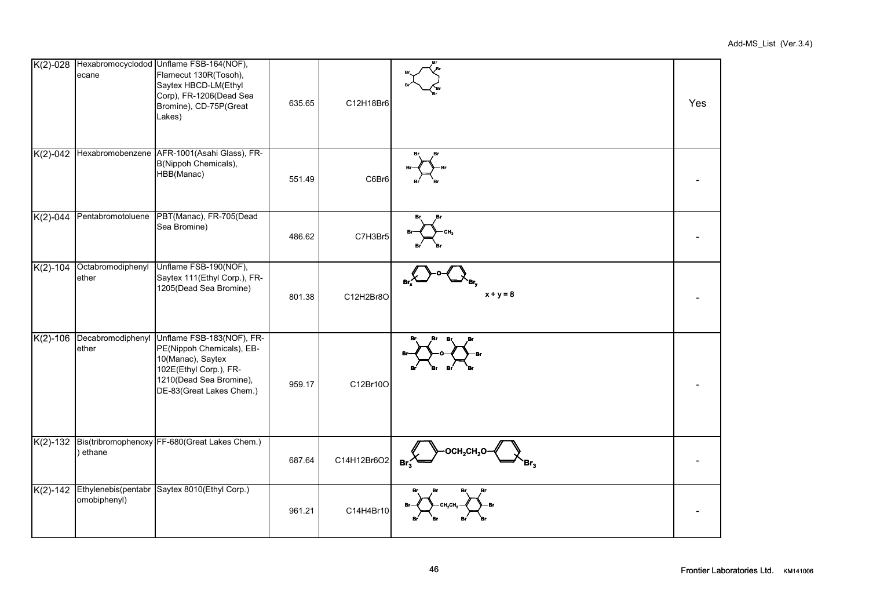|            | ecane                      | K(2)-028 Hexabromocyclodod Unflame FSB-164(NOF),<br>Flamecut 130R(Tosoh),<br>Saytex HBCD-LM(Ethyl<br>Corp), FR-1206(Dead Sea<br>Bromine), CD-75P(Great<br>Lakes) | 635.65 | C12H18Br6   |                        | Yes |
|------------|----------------------------|------------------------------------------------------------------------------------------------------------------------------------------------------------------|--------|-------------|------------------------|-----|
|            |                            | K(2)-042 Hexabromobenzene AFR-1001(Asahi Glass), FR-<br>B(Nippoh Chemicals),<br>HBB(Manac)                                                                       | 551.49 | C6Br6       |                        |     |
|            | K(2)-044 Pentabromotoluene | PBT(Manac), FR-705(Dead<br>Sea Bromine)                                                                                                                          | 486.62 | C7H3Br5     |                        |     |
| $K(2)-104$ | Octabromodiphenyl<br>ether | Unflame FSB-190(NOF),<br>Saytex 111(Ethyl Corp.), FR-<br>1205(Dead Sea Bromine)                                                                                  | 801.38 | C12H2Br8O   | $x + y = 8$            |     |
| $K(2)-106$ | Decabromodiphenyl<br>ether | Unflame FSB-183(NOF), FR-<br>PE(Nippoh Chemicals), EB-<br>10(Manac), Saytex<br>102E(Ethyl Corp.), FR-<br>1210(Dead Sea Bromine),<br>DE-83(Great Lakes Chem.)     | 959.17 | C12Br10O    |                        |     |
|            | ethane                     | K(2)-132 Bis(tribromophenoxy FF-680(Great Lakes Chem.)                                                                                                           | 687.64 | C14H12Br6O2 | Br.<br>Br <sub>3</sub> |     |
|            | omobiphenyl)               | K(2)-142 Ethylenebis(pentabr Saytex 8010(Ethyl Corp.)                                                                                                            | 961.21 | C14H4Br10   |                        |     |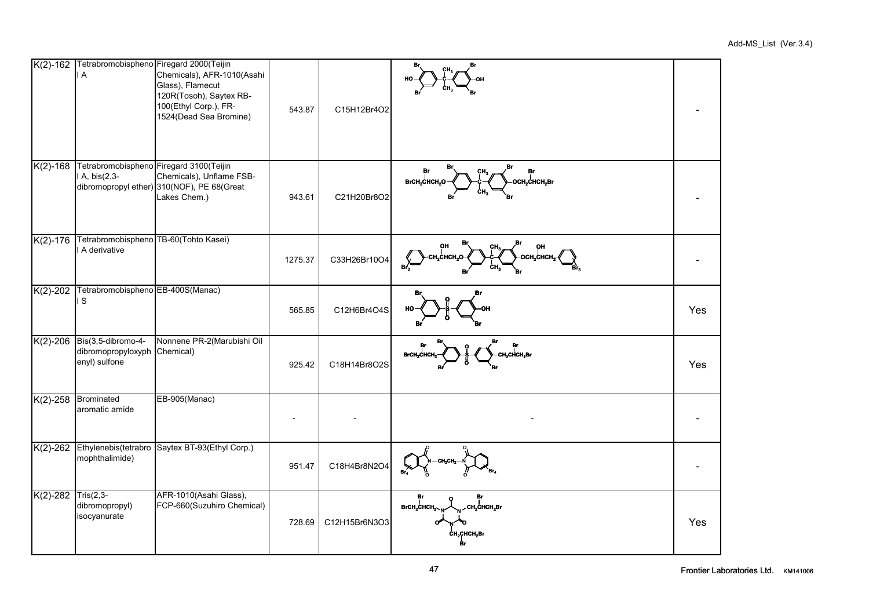|              | l A                                                       | K(2)-162 Tetrabromobispheno Firegard 2000(Teijin<br>Chemicals), AFR-1010(Asahi<br>Glass), Flamecut<br>120R(Tosoh), Saytex RB-<br>100(Ethyl Corp.), FR-<br>1524(Dead Sea Bromine) | 543.87  | C15H12Br4O2   |                                                                                                               |     |
|--------------|-----------------------------------------------------------|----------------------------------------------------------------------------------------------------------------------------------------------------------------------------------|---------|---------------|---------------------------------------------------------------------------------------------------------------|-----|
| $K(2) - 168$ | I A, bis(2,3-                                             | Tetrabromobispheno Firegard 3100(Teijin<br>Chemicals), Unflame FSB-<br>dibromopropyl ether) 310(NOF), PE 68(Great<br>Lakes Chem.)                                                | 943.61  | C21H20Br8O2   | Br<br>Br<br>Br<br>Br<br>OCH <sub>2</sub> CHCH <sub>2</sub> Br<br>BrCH <sub>2</sub> CHCH <sub>2</sub> O<br>CH, |     |
| $K(2)-176$   | Tetrabromobispheno TB-60(Tohto Kasei)<br>A derivative     |                                                                                                                                                                                  | 1275.37 | C33H26Br10O4  | OH<br><b>H,CHCH.O</b><br>осн.снсн.                                                                            |     |
| $K(2)-202$   | Tetrabromobispheno EB-400S(Manac)<br>IS.                  |                                                                                                                                                                                  | 565.85  | C12H6Br4O4S   |                                                                                                               | Yes |
| $K(2)-206$   | Bis(3,5-dibromo-4-<br>dibromopropyloxyph<br>enyl) sulfone | Nonnene PR-2(Marubishi Oil<br>Chemical)                                                                                                                                          | 925.42  | C18H14Br8O2S  | BrCH,CHCH<br>,CliCH,Br                                                                                        | Yes |
| $K(2) - 258$ | Brominated<br>aromatic amide                              | EB-905(Manac)                                                                                                                                                                    |         |               |                                                                                                               |     |
| $K(2)-262$   | mophthalimide)                                            | Ethylenebis(tetrabro Saytex BT-93(Ethyl Corp.)                                                                                                                                   | 951.47  | C18H4Br8N2O4  |                                                                                                               |     |
| $K(2)-282$   | $Tris(2,3-$<br>dibromopropyl)<br>isocyanurate             | AFR-1010(Asahi Glass),<br>FCP-660(Suzuhiro Chemical)                                                                                                                             | 728.69  | C12H15Br6N3O3 | Br<br>BrCH <sub>2</sub> CHCH <sub>2</sub><br><b>СН,СНСН,Вг</b><br><b>CH2CHCH2BI</b>                           | Yes |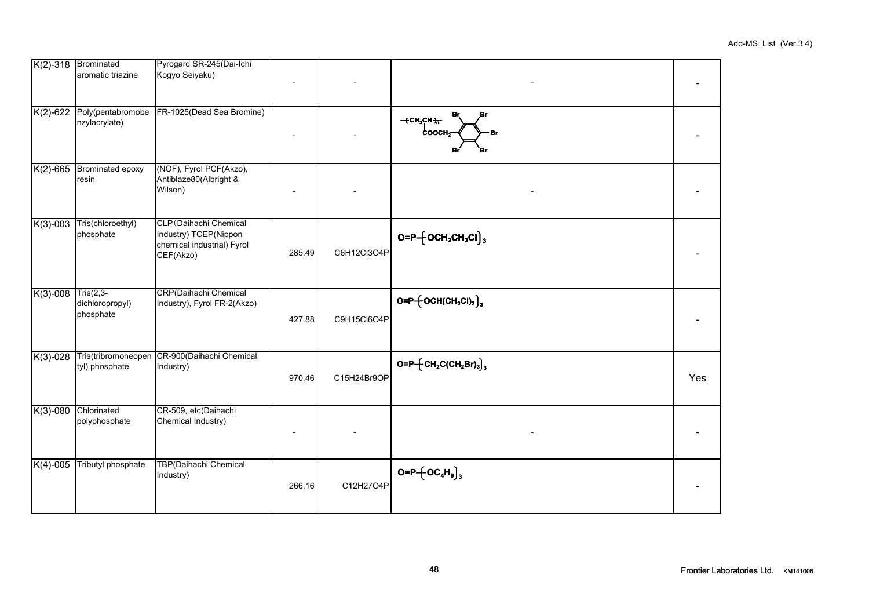|  |  |  | Add-MS_List (Ver.3.4) |
|--|--|--|-----------------------|
|--|--|--|-----------------------|

| $K(2)-318$   | <b>Brominated</b><br>aromatic triazine      | Pyrogard SR-245(Dai-Ichi<br>Kogyo Seiyaku)                                                 |        |             |                                                             |     |
|--------------|---------------------------------------------|--------------------------------------------------------------------------------------------|--------|-------------|-------------------------------------------------------------|-----|
| $K(2) - 622$ | Poly(pentabromobe<br>nzylacrylate)          | FR-1025(Dead Sea Bromine)                                                                  |        |             | $+$ CH <sub>2</sub> CH $+$<br>$\text{cooch}_{\tilde{\tau}}$ |     |
| $K(2) - 665$ | Brominated epoxy<br>resin                   | (NOF), Fyrol PCF(Akzo),<br>Antiblaze80(Albright &<br>Wilson)                               |        |             |                                                             |     |
| $K(3)-003$   | Tris(chloroethyl)<br>phosphate              | CLP (Daihachi Chemical<br>Industry) TCEP(Nippon<br>chemical industrial) Fyrol<br>CEF(Akzo) | 285.49 | C6H12Cl3O4P | $O = P \left\{ OCH_2CH_2Cl \right\}$                        |     |
| $K(3)-008$   | $Tris(2,3-$<br>dichloropropyl)<br>phosphate | CRP(Daihachi Chemical<br>Industry), Fyrol FR-2(Akzo)                                       | 427.88 | C9H15Cl6O4P | $O = P - \left\{ OCH(CH_2Cl)_2 \right\}$                    |     |
| $K(3)-028$   | Tris(tribromoneopen<br>tyl) phosphate       | CR-900(Daihachi Chemical<br>Industry)                                                      | 970.46 | C15H24Br9OP | $O = P - [CH_2C(CH_2Br)_3]_3$                               | Yes |
| $K(3)-080$   | Chlorinated<br>polyphosphate                | CR-509, etc(Daihachi<br>Chemical Industry)                                                 |        |             |                                                             |     |
| $K(4)-005$   | Tributyl phosphate                          | TBP(Daihachi Chemical<br>Industry)                                                         | 266.16 | C12H27O4P   | $O = P + \left[OC_4H_9\right]_3$                            |     |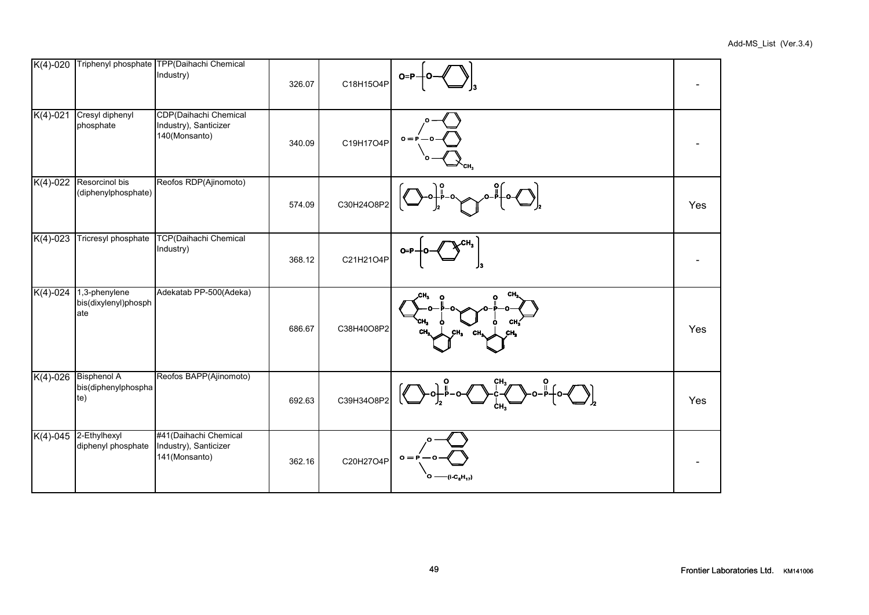| $K(4)-020$ |                                                  | Triphenyl phosphate TPP(Daihachi Chemical<br>Industry)          | 326.07 | C18H15O4P  | $O = P$                       |     |
|------------|--------------------------------------------------|-----------------------------------------------------------------|--------|------------|-------------------------------|-----|
| $K(4)-021$ | Cresyl diphenyl<br>phosphate                     | CDP(Daihachi Chemical<br>Industry), Santicizer<br>140(Monsanto) | 340.09 | C19H17O4P  | $o =$                         |     |
| $K(4)-022$ | Resorcinol bis<br>(diphenylphosphate)            | Reofos RDP(Ajinomoto)                                           | 574.09 | C30H24O8P2 |                               | Yes |
| $K(4)-023$ | Tricresyl phosphate                              | TCP(Daihachi Chemical<br>Industry)                              | 368.12 | C21H21O4P  |                               |     |
| $K(4)-024$ | 1,3-phenylene<br>bis(dixylenyl)phosph<br>ate     | Adekatab PP-500(Adeka)                                          | 686.67 | C38H40O8P2 | CH.<br>CН                     | Yes |
| $K(4)-026$ | <b>Bisphenol A</b><br>bis(diphenylphospha<br>te) | Reofos BAPP(Ajinomoto)                                          | 692.63 | C39H34O8P2 |                               | Yes |
| $K(4)-045$ | 2-Ethylhexyl<br>diphenyl phosphate               | #41(Daihachi Chemical<br>Industry), Santicizer<br>141(Monsanto) | 362.16 | C20H27O4P  | $o = F$<br>$-(i - C_8H_{17})$ |     |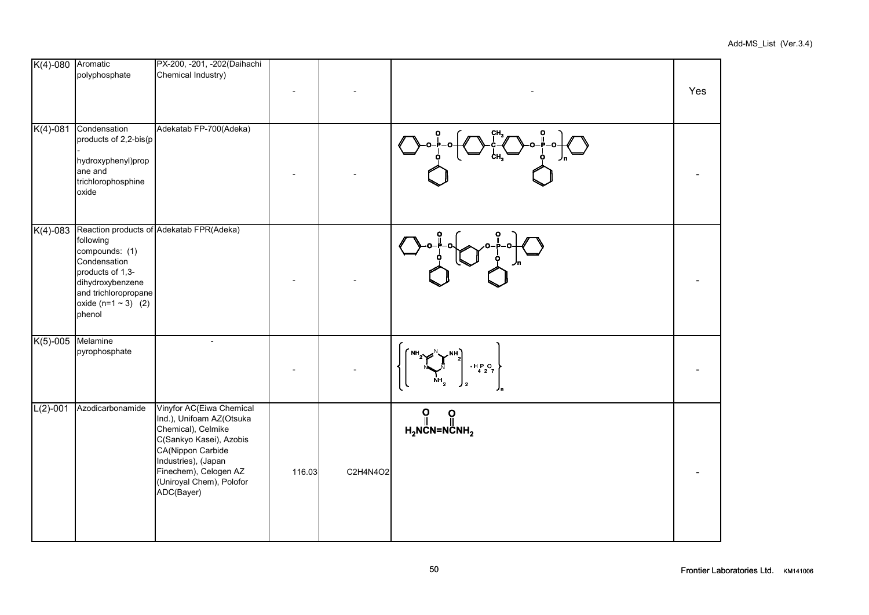| K(4)-080 Aromatic | polyphosphate                                                                                                                                     | PX-200, -201, -202(Daihachi<br>Chemical Industry)                                                                                                                                                                    |        |          |                                           | Yes |
|-------------------|---------------------------------------------------------------------------------------------------------------------------------------------------|----------------------------------------------------------------------------------------------------------------------------------------------------------------------------------------------------------------------|--------|----------|-------------------------------------------|-----|
|                   | K(4)-081 Condensation<br>products of 2,2-bis(p<br>hydroxyphenyl)prop<br>ane and<br>trichlorophosphine<br>oxide                                    | Adekatab FP-700(Adeka)                                                                                                                                                                                               |        |          |                                           |     |
| $K(4) - 083$      | following<br>compounds: (1)<br>Condensation<br>products of 1,3-<br>dihydroxybenzene<br>and trichloropropane<br>oxide $(n=1 \sim 3)$ (2)<br>phenol | Reaction products of Adekatab FPR(Adeka)                                                                                                                                                                             |        |          |                                           |     |
| K(5)-005 Melamine | pyrophosphate                                                                                                                                     | $\overline{\phantom{a}}$                                                                                                                                                                                             |        |          | $\frac{1}{4}$ $\frac{1}{2}$ $\frac{1}{7}$ |     |
| $L(2)-001$        | Azodicarbonamide                                                                                                                                  | Vinyfor AC(Eiwa Chemical<br>Ind.), Unifoam AZ(Otsuka<br>Chemical), Celmike<br>C(Sankyo Kasei), Azobis<br>CA(Nippon Carbide<br>Industries), (Japan<br>Finechem), Celogen AZ<br>(Uniroyal Chem), Polofor<br>ADC(Bayer) | 116.03 | C2H4N4O2 | ဂူ<br>ဝူ<br>$H_2$ NCN=NCNH <sub>2</sub>   |     |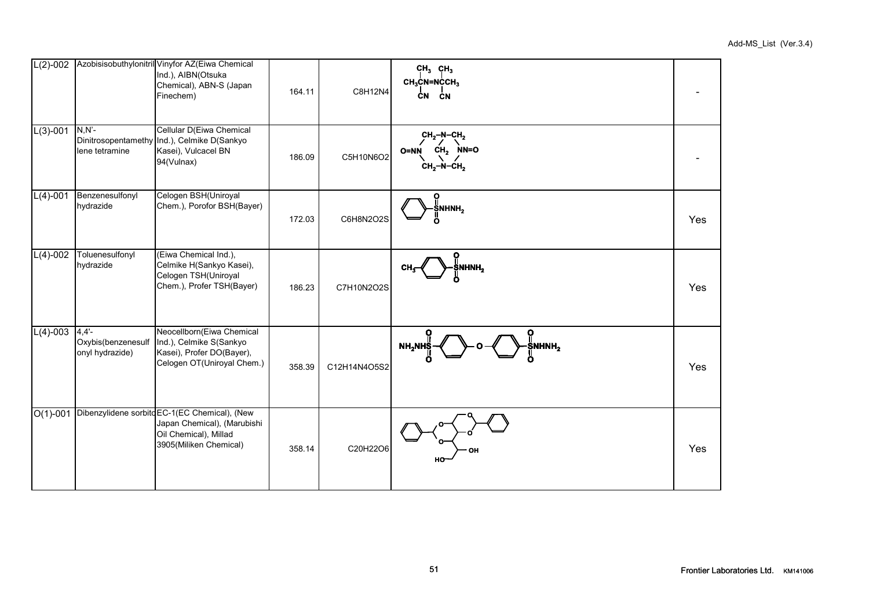| $\overline{L(2)}$ -002 |                                                    | Azobisisobuthylonitril Vinyfor AZ(Eiwa Chemical<br>Ind.), AIBN(Otsuka<br>Chemical), ABN-S (Japan<br>Finechem)                   | 164.11 | C8H12N4      | $CH3$ CH <sub>3</sub><br>$CH3$ CN=NCCH <sub>3</sub><br>ĊN<br><b>CN</b> |     |
|------------------------|----------------------------------------------------|---------------------------------------------------------------------------------------------------------------------------------|--------|--------------|------------------------------------------------------------------------|-----|
| $L(3)-001$             | $N, N'$ -<br>Dinitrosopentamethy<br>lene tetramine | Cellular D(Eiwa Chemical<br>Ind.), Celmike D(Sankyo<br>Kasei), Vulcacel BN<br>94(Vulnax)                                        | 186.09 | C5H10N6O2    | $CH2-N-CH2$<br>$CH2$ NN=O<br>O=NN<br>$CH2-N-CH2$                       |     |
| $L(4)-001$             | Benzenesulfonyl<br>hydrazide                       | Celogen BSH(Uniroyal<br>Chem.), Porofor BSH(Bayer)                                                                              | 172.03 | C6H8N2O2S    | ႙<br>ŠNHNH <sub>2</sub>                                                | Yes |
| $L(4)-002$             | Toluenesulfonyl<br>hydrazide                       | (Eiwa Chemical Ind.),<br>Celmike H(Sankyo Kasei),<br>Celogen TSH(Uniroyal<br>Chem.), Profer TSH(Bayer)                          | 186.23 | C7H10N2O2S   | ႙<br>NHNH <sub>2</sub>                                                 | Yes |
| $L(4)-003$             | $4,4'$ -<br>Oxybis(benzenesulf<br>onyl hydrazide)  | Neocellborn(Eiwa Chemical<br>Ind.), Celmike S(Sankyo<br>Kasei), Profer DO(Bayer),<br>Celogen OT(Uniroyal Chem.)                 | 358.39 | C12H14N4O5S2 | ႙<br>$\S$ NHNH $_2$<br>NH <sub>2</sub> NHŞ                             | Yes |
| $\overline{O(1)-0}01$  |                                                    | Dibenzylidene sorbito EC-1(EC Chemical), (New<br>Japan Chemical), (Marubishi<br>Oil Chemical), Millad<br>3905(Miliken Chemical) | 358.14 | C20H22O6     | ΟН<br>HO                                                               | Yes |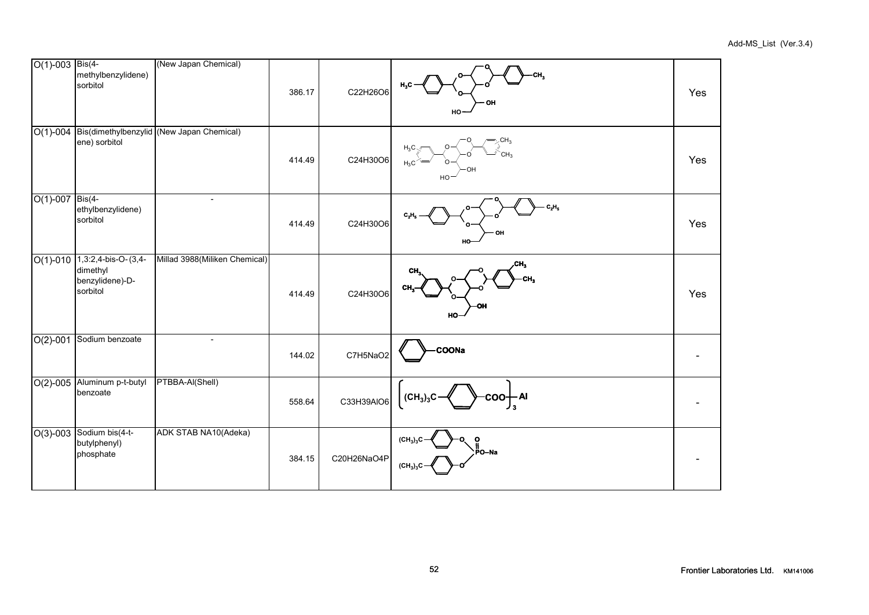| $O(1)$ -003 Bis(4- | methylbenzylidene)<br>sorbitol                                            | (New Japan Chemical)                               | 386.17 | C22H26O6    | H,C<br>ΟH<br>HO-                                              | Yes |
|--------------------|---------------------------------------------------------------------------|----------------------------------------------------|--------|-------------|---------------------------------------------------------------|-----|
|                    | ene) sorbitol                                                             | O(1)-004 Bis(dimethylbenzylid (New Japan Chemical) | 414.49 | C24H30O6    | $-CH_3$<br>$H_3C$<br>$H_3C$<br>HC                             | Yes |
| $O(1)-007$         | $Bis(4-$<br>ethylbenzylidene)<br>sorbitol                                 | $\overline{a}$                                     | 414.49 | C24H30O6    | $C_2H_5$<br>OH<br>HO                                          | Yes |
|                    | $O(1)-010$ 1,3:2,4-bis-O-(3,4-<br>dimethyl<br>benzylidene)-D-<br>sorbitol | Millad 3988(Miliken Chemical)                      | 414.49 | C24H30O6    | CH,<br>CH.<br>CH,<br>HO                                       | Yes |
| $O(2)-001$         | Sodium benzoate                                                           | $\overline{a}$                                     | 144.02 | C7H5NaO2    | <b>COONa</b>                                                  |     |
| $O(2)-005$         | Aluminum p-t-butyl<br>benzoate                                            | PTBBA-AI(Shell)                                    | 558.64 | C33H39AIO6  | coo <del>∣</del> Al<br>(CH <sub>3</sub> ) <sub>3</sub> C      |     |
|                    | O(3)-003 Sodium bis(4-t-<br>butylphenyl)<br>phosphate                     | ADK STAB NA10(Adeka)                               | 384.15 | C20H26NaO4P | (CH <sub>2</sub> ) <sub>2</sub> C<br>ο<br>PO-Na<br>$(CH_3)_3$ |     |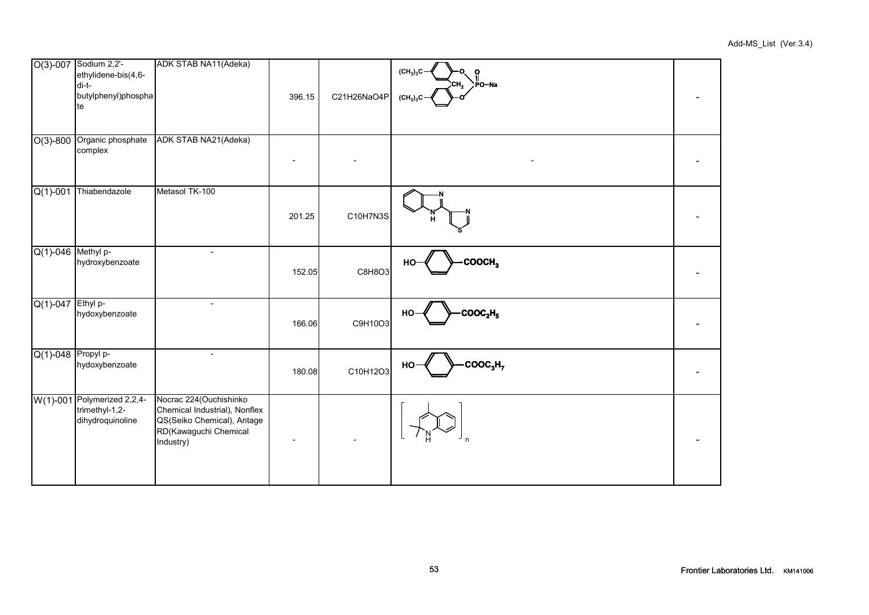|                       | O(3)-007 Sodium 2,2'-<br>ethylidene-bis(4,6-<br>di-t-<br>butylphenyl)phospha<br>te | ADK STAB NA11(Adeka)                                                                                                         | 396.15 | C21H26NaO4P | $(CH_3)_3C -$<br>ი<br>:СН $_2$ $>$ РО-Nа<br>(CH <sub>3</sub> ) <sub>3</sub> C |  |
|-----------------------|------------------------------------------------------------------------------------|------------------------------------------------------------------------------------------------------------------------------|--------|-------------|-------------------------------------------------------------------------------|--|
| $O(3)-800$            | Organic phosphate<br>complex                                                       | ADK STAB NA21(Adeka)                                                                                                         |        |             |                                                                               |  |
| $Q(1) - 001$          | Thiabendazole                                                                      | Metasol TK-100                                                                                                               | 201.25 | C10H7N3S    | н                                                                             |  |
| $Q(1)$ -046 Methyl p- | hydroxybenzoate                                                                    |                                                                                                                              | 152.05 | C8H8O3      | COOCH <sub>3</sub><br>НΟ                                                      |  |
| Q(1)-047 Ethyl p-     | hydoxybenzoate                                                                     | $\overline{\phantom{0}}$                                                                                                     | 166.06 | C9H10O3     | $\mathsf{COOC}_2\mathsf{H}_5$<br>HO-                                          |  |
| $Q(1)-048$ Propyl p-  | hydoxybenzoate                                                                     |                                                                                                                              | 180.08 | C10H12O3    | $\text{cooc}_3\text{H}_7$<br>HO                                               |  |
|                       | W(1)-001 Polymerized 2,2,4-<br>trimethyl-1,2-<br>dihydroquinoline                  | Nocrac 224 (Ouchishinko<br>Chemical Industrial), Nonflex<br>QS(Seiko Chemical), Antage<br>RD(Kawaguchi Chemical<br>Industry) |        |             |                                                                               |  |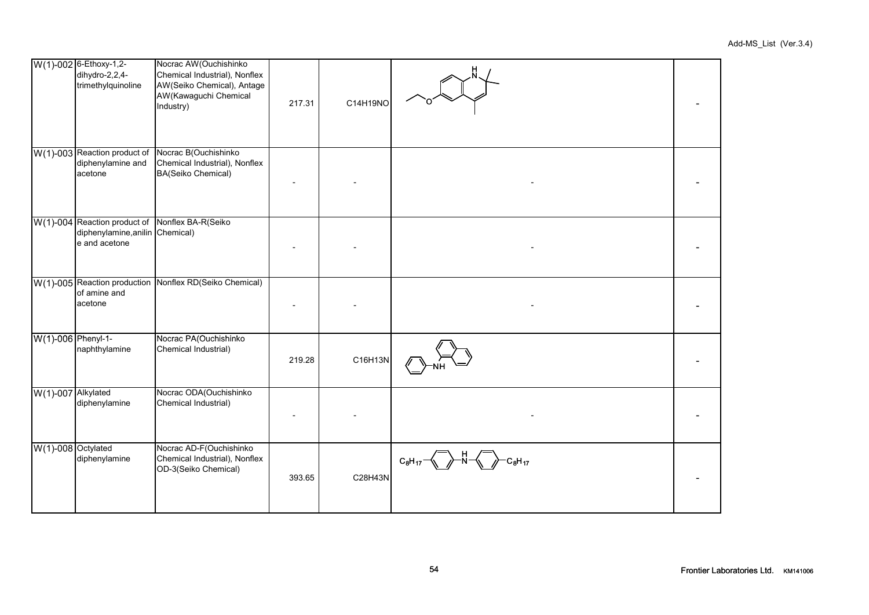|                    | W(1)-002 6-Ethoxy-1,2-<br>dihydro-2,2,4-<br>trimethylquinoline                                      | Nocrac AW (Ouchishinko<br>Chemical Industrial), Nonflex<br>AW(Seiko Chemical), Antage<br>AW(Kawaguchi Chemical<br>Industry) | 217.31 | C14H19NO |             |  |
|--------------------|-----------------------------------------------------------------------------------------------------|-----------------------------------------------------------------------------------------------------------------------------|--------|----------|-------------|--|
|                    | W(1)-003 Reaction product of<br>diphenylamine and<br>acetone                                        | Nocrac B(Ouchishinko<br>Chemical Industrial), Nonflex<br>BA(Seiko Chemical)                                                 |        |          |             |  |
|                    | W(1)-004 Reaction product of Nonflex BA-R(Seiko<br>diphenylamine, anilin Chemical)<br>e and acetone |                                                                                                                             |        |          |             |  |
|                    | of amine and<br>acetone                                                                             | W(1)-005 Reaction production Nonflex RD(Seiko Chemical)                                                                     |        |          |             |  |
| W(1)-006 Phenyl-1- | naphthylamine                                                                                       | Nocrac PA(Ouchishinko<br>Chemical Industrial)                                                                               | 219.28 | C16H13N  |             |  |
| W(1)-007 Alkylated | diphenylamine                                                                                       | Nocrac ODA(Ouchishinko<br>Chemical Industrial)                                                                              |        |          |             |  |
| W(1)-008 Octylated | diphenylamine                                                                                       | Nocrac AD-F(Ouchishinko<br>Chemical Industrial), Nonflex<br>OD-3(Seiko Chemical)                                            | 393.65 | C28H43N  | $C_8H_{17}$ |  |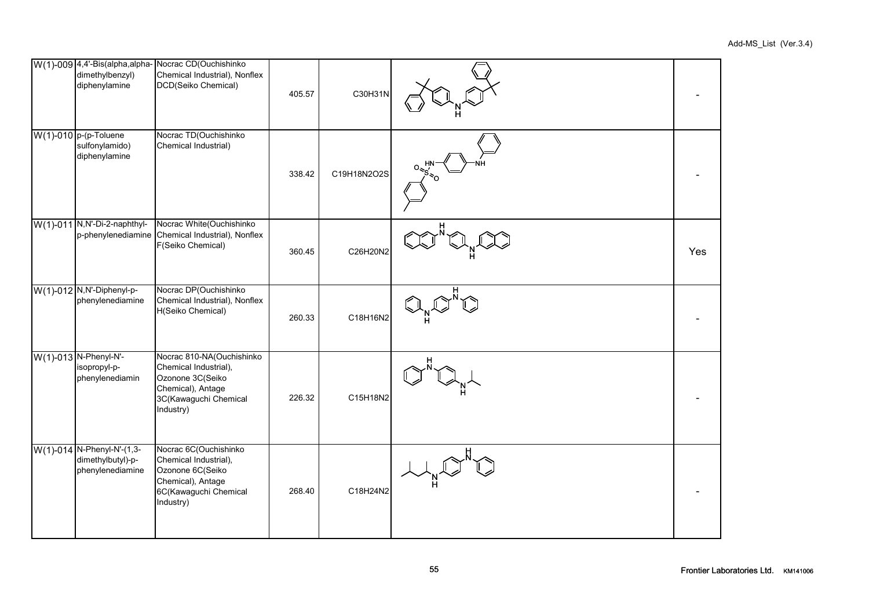| dimethylbenzyl)<br>diphenylamine                                    | W(1)-009 4,4'-Bis(alpha,alpha- Nocrac CD(Ouchishinko<br>Chemical Industrial), Nonflex<br>DCD(Seiko Chemical)                      | 405.57 | C30H31N     |     |
|---------------------------------------------------------------------|-----------------------------------------------------------------------------------------------------------------------------------|--------|-------------|-----|
| $W(1)$ -010 p-(p-Toluene<br>sulfonylamido)<br>diphenylamine         | Nocrac TD(Ouchishinko<br>Chemical Industrial)                                                                                     | 338.42 | C19H18N2O2S |     |
| W(1)-011 N, N'-Di-2-naphthyl-                                       | Nocrac White(Ouchishinko<br>p-phenylenediamine Chemical Industrial), Nonflex<br>F(Seiko Chemical)                                 | 360.45 | C26H20N2    | Yes |
| W(1)-012 N,N'-Diphenyl-p-<br>phenylenediamine                       | Nocrac DP(Ouchishinko<br>Chemical Industrial), Nonflex<br>H(Seiko Chemical)                                                       | 260.33 | C18H16N2    |     |
| W(1)-013 N-Phenyl-N'-<br>isopropyl-p-<br>phenylenediamin            | Nocrac 810-NA(Ouchishinko<br>Chemical Industrial),<br>Ozonone 3C(Seiko<br>Chemical), Antage<br>3C(Kawaguchi Chemical<br>Industry) | 226.32 | C15H18N2    |     |
| W(1)-014 N-Phenyl-N'-(1,3-<br>dimethylbutyl)-p-<br>phenylenediamine | Nocrac 6C(Ouchishinko<br>Chemical Industrial),<br>Ozonone 6C(Seiko<br>Chemical), Antage<br>6C(Kawaguchi Chemical<br>Industry)     | 268.40 | C18H24N2    |     |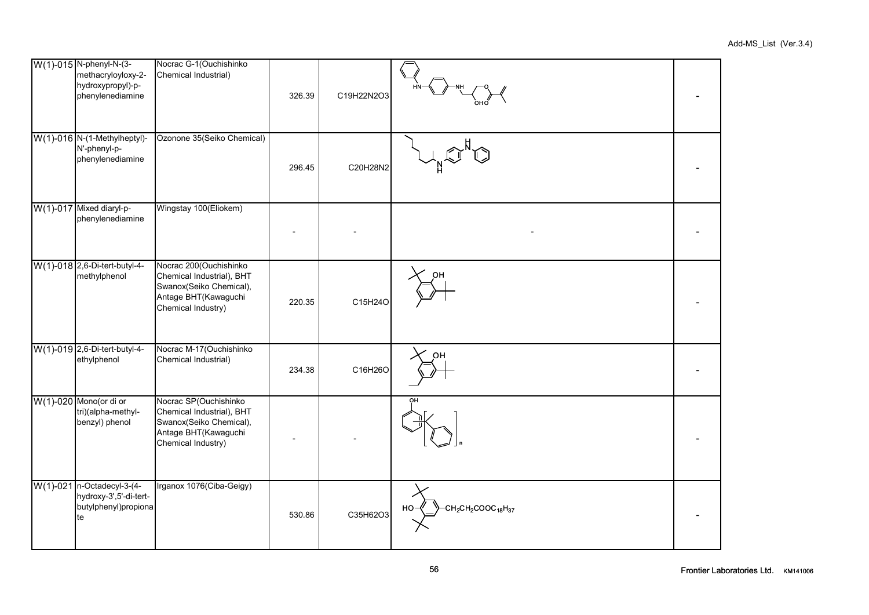| W(1)-015 N-phenyl-N-(3-<br>methacryloyloxy-2-<br>hydroxypropyl)-p-<br>phenylenediamine | Nocrac G-1 (Ouchishinko<br>Chemical Industrial)                                                                              | 326.39 | C19H22N2O3 |                                                                          |  |
|----------------------------------------------------------------------------------------|------------------------------------------------------------------------------------------------------------------------------|--------|------------|--------------------------------------------------------------------------|--|
| W(1)-016 N-(1-Methylheptyl)-<br>N'-phenyl-p-<br>phenylenediamine                       | Ozonone 35(Seiko Chemical)                                                                                                   | 296.45 | C20H28N2   |                                                                          |  |
| W(1)-017 Mixed diaryl-p-<br>phenylenediamine                                           | Wingstay 100(Eliokem)                                                                                                        |        |            |                                                                          |  |
| W(1)-018 2,6-Di-tert-butyl-4-<br>methylphenol                                          | Nocrac 200(Ouchishinko<br>Chemical Industrial), BHT<br>Swanox(Seiko Chemical),<br>Antage BHT(Kawaguchi<br>Chemical Industry) | 220.35 | C15H24O    |                                                                          |  |
| W(1)-019 2,6-Di-tert-butyl-4-<br>ethylphenol                                           | Nocrac M-17(Ouchishinko<br>Chemical Industrial)                                                                              | 234.38 | C16H26O    |                                                                          |  |
| W(1)-020 Mono(or di or<br>tri)(alpha-methyl-<br>benzyl) phenol                         | Nocrac SP(Ouchishinko<br>Chemical Industrial), BHT<br>Swanox(Seiko Chemical),<br>Antage BHT(Kawaguchi<br>Chemical Industry)  |        |            |                                                                          |  |
| W(1)-021 n-Octadecyl-3-(4-<br>hydroxy-3',5'-di-tert-<br>butylphenyl)propiona<br>te     | Irganox 1076(Ciba-Geigy)                                                                                                     | 530.86 | C35H62O3   | CH <sub>2</sub> CH <sub>2</sub> COOC <sub>18</sub> H <sub>37</sub><br>HO |  |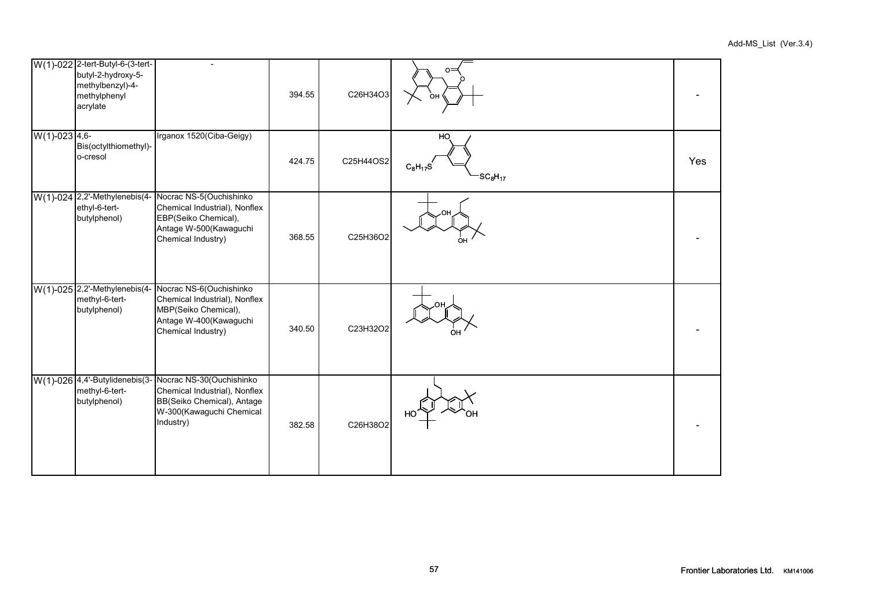|                  | W(1)-022 2-tert-Butyl-6-(3-tert-<br>butyl-2-hydroxy-5-<br>methylbenzyl)-4-<br>methylphenyl<br>acrylate | $\overline{a}$                                                                                                                                                  | 394.55 | C26H34O3  | O.<br>ΩН                                               |     |
|------------------|--------------------------------------------------------------------------------------------------------|-----------------------------------------------------------------------------------------------------------------------------------------------------------------|--------|-----------|--------------------------------------------------------|-----|
| $W(1)$ -023 4,6- | Bis(octylthiomethyl)-<br>o-cresol                                                                      | Irganox 1520(Ciba-Geigy)                                                                                                                                        | 424.75 | C25H44OS2 | HO.<br>$C_8H_{17}S$<br>SC <sub>8</sub> H <sub>17</sub> | Yes |
|                  | $W(1)$ -024 2,2'-Methylenebis(4-<br>ethyl-6-tert-<br>butylphenol)                                      | Nocrac NS-5(Ouchishinko<br>Chemical Industrial), Nonflex<br>EBP(Seiko Chemical),<br>Antage W-500(Kawaguchi<br>Chemical Industry)                                | 368.55 | C25H36O2  | ∩⊦                                                     |     |
|                  | W(1)-025 2,2'-Methylenebis(4-<br>methyl-6-tert-<br>butylphenol)                                        | Nocrac NS-6(Ouchishinko<br>Chemical Industrial), Nonflex<br>MBP(Seiko Chemical),<br>Antage W-400(Kawaguchi<br>Chemical Industry)                                | 340.50 | C23H32O2  |                                                        |     |
|                  | methyl-6-tert-<br>butylphenol)                                                                         | W(1)-026 4,4'-Butylidenebis(3- Nocrac NS-30(Ouchishinko<br>Chemical Industrial), Nonflex<br>BB(Seiko Chemical), Antage<br>W-300(Kawaguchi Chemical<br>Industry) | 382.58 | C26H38O2  | HС                                                     |     |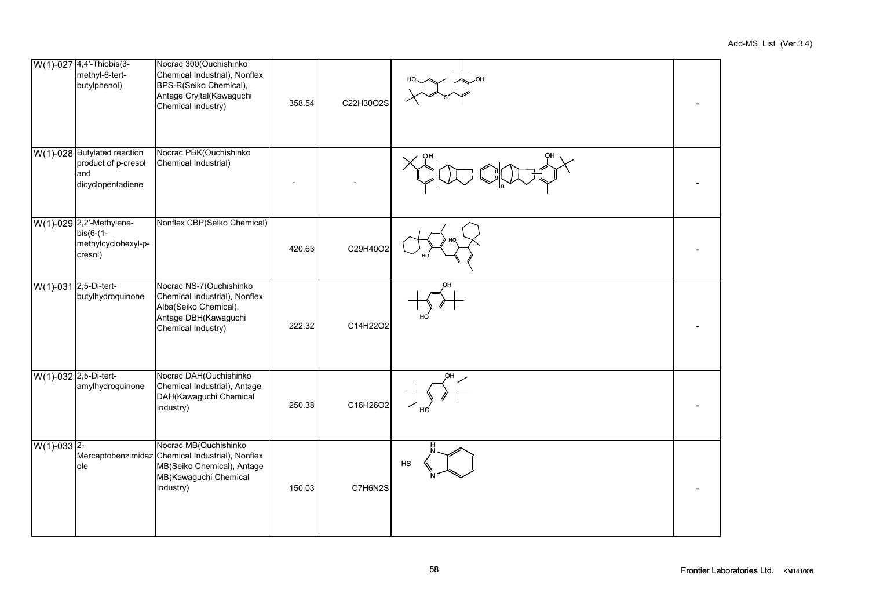|                       | W(1)-027 4,4'-Thiobis(3-<br>methyl-6-tert-<br>butylphenol)                        | Nocrac 300(Ouchishinko<br>Chemical Industrial), Nonflex<br>BPS-R(Seiko Chemical),<br>Antage Cryltal(Kawaguchi<br>Chemical Industry)           | 358.54 | C22H30O2S |           |  |
|-----------------------|-----------------------------------------------------------------------------------|-----------------------------------------------------------------------------------------------------------------------------------------------|--------|-----------|-----------|--|
|                       | $W(1)$ -028 Butylated reaction<br>product of p-cresol<br>and<br>dicyclopentadiene | Nocrac PBK(Ouchishinko<br>Chemical Industrial)                                                                                                |        |           |           |  |
|                       | W(1)-029 2,2'-Methylene-<br>$bis(6-(1-$<br>methylcyclohexyl-p-<br>cresol)         | Nonflex CBP(Seiko Chemical)                                                                                                                   | 420.63 | C29H40O2  |           |  |
| W(1)-031 2,5-Di-tert- | butylhydroquinone                                                                 | Nocrac NS-7(Ouchishinko<br>Chemical Industrial), Nonflex<br>Alba(Seiko Chemical),<br>Antage DBH(Kawaguchi<br>Chemical Industry)               | 222.32 | C14H22O2  |           |  |
| W(1)-032 2,5-Di-tert- | amylhydroquinone                                                                  | Nocrac DAH(Ouchishinko<br>Chemical Industrial), Antage<br>DAH(Kawaguchi Chemical<br>Industry)                                                 | 250.38 | C16H26O2  |           |  |
| $W(1) - 033$ 2-       | ole                                                                               | Nocrac MB(Ouchishinko<br>Mercaptobenzimidaz Chemical Industrial), Nonflex<br>MB(Seiko Chemical), Antage<br>MB(Kawaguchi Chemical<br>Industry) | 150.03 | C7H6N2S   | <b>HS</b> |  |